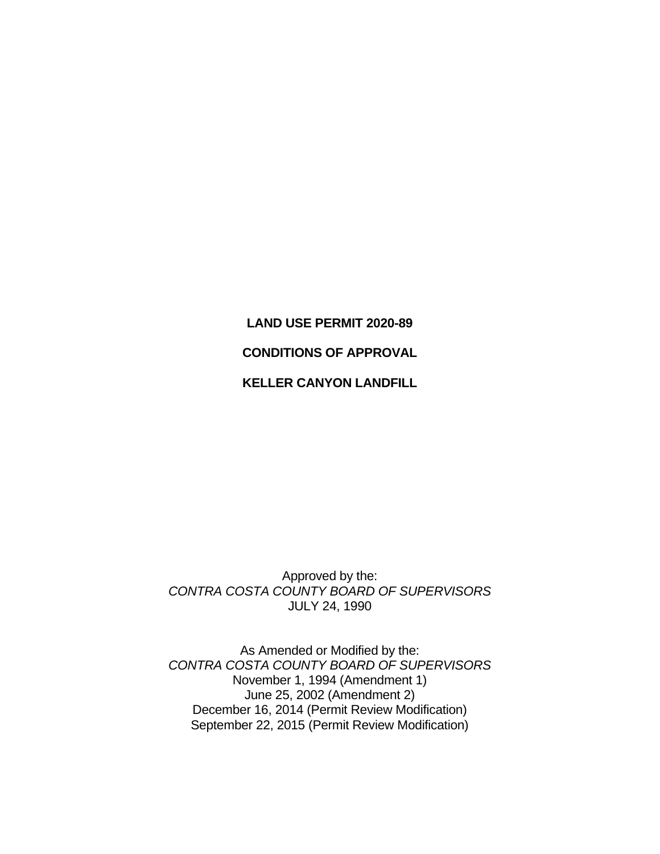# **LAND USE PERMIT 2020-89 CONDITIONS OF APPROVAL KELLER CANYON LANDFILL**

Approved by the: *CONTRA COSTA COUNTY BOARD OF SUPERVISORS*  JULY 24, 1990

As Amended or Modified by the: *CONTRA COSTA COUNTY BOARD OF SUPERVISORS*  November 1, 1994 (Amendment 1) June 25, 2002 (Amendment 2) December 16, 2014 (Permit Review Modification) September 22, 2015 (Permit Review Modification)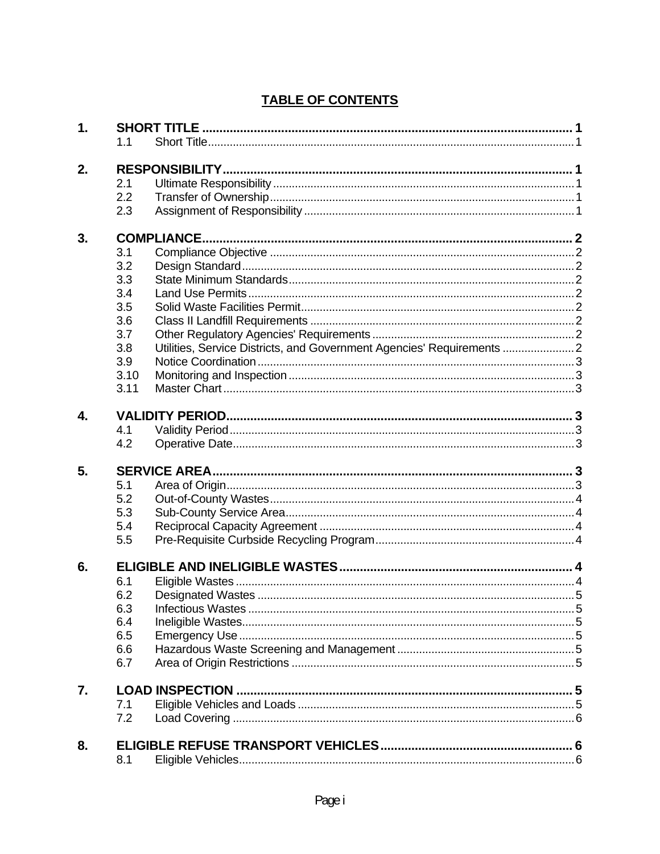# **TABLE OF CONTENTS**

| $\mathbf 1$ . |                                                                               |  |  |  |
|---------------|-------------------------------------------------------------------------------|--|--|--|
|               | 1.1                                                                           |  |  |  |
| 2.            |                                                                               |  |  |  |
|               | 2.1                                                                           |  |  |  |
|               | 2.2                                                                           |  |  |  |
|               | 2.3                                                                           |  |  |  |
| 3.            |                                                                               |  |  |  |
|               | 3.1                                                                           |  |  |  |
|               | 3.2                                                                           |  |  |  |
|               | 3.3                                                                           |  |  |  |
|               | 3.4                                                                           |  |  |  |
|               | 3.5                                                                           |  |  |  |
|               | 3.6                                                                           |  |  |  |
|               | 3.7                                                                           |  |  |  |
|               | Utilities, Service Districts, and Government Agencies' Requirements  2<br>3.8 |  |  |  |
|               | 3.9                                                                           |  |  |  |
|               | 3.10                                                                          |  |  |  |
|               | 3.11                                                                          |  |  |  |
| 4.            |                                                                               |  |  |  |
|               | 4.1                                                                           |  |  |  |
|               | 4.2                                                                           |  |  |  |
| 5.            |                                                                               |  |  |  |
|               | 5.1                                                                           |  |  |  |
|               | 5.2                                                                           |  |  |  |
|               | 5.3                                                                           |  |  |  |
|               | 5.4                                                                           |  |  |  |
|               | 5.5                                                                           |  |  |  |
|               |                                                                               |  |  |  |
| 6.            |                                                                               |  |  |  |
|               | 6.1                                                                           |  |  |  |
|               | 6.2                                                                           |  |  |  |
|               | 6.3                                                                           |  |  |  |
|               | 6.4                                                                           |  |  |  |
|               | 6.5                                                                           |  |  |  |
|               | 6.6                                                                           |  |  |  |
|               | 6.7                                                                           |  |  |  |
| 7.            |                                                                               |  |  |  |
|               | 7.1                                                                           |  |  |  |
|               | 7.2                                                                           |  |  |  |
| 8.            |                                                                               |  |  |  |
|               | 8.1                                                                           |  |  |  |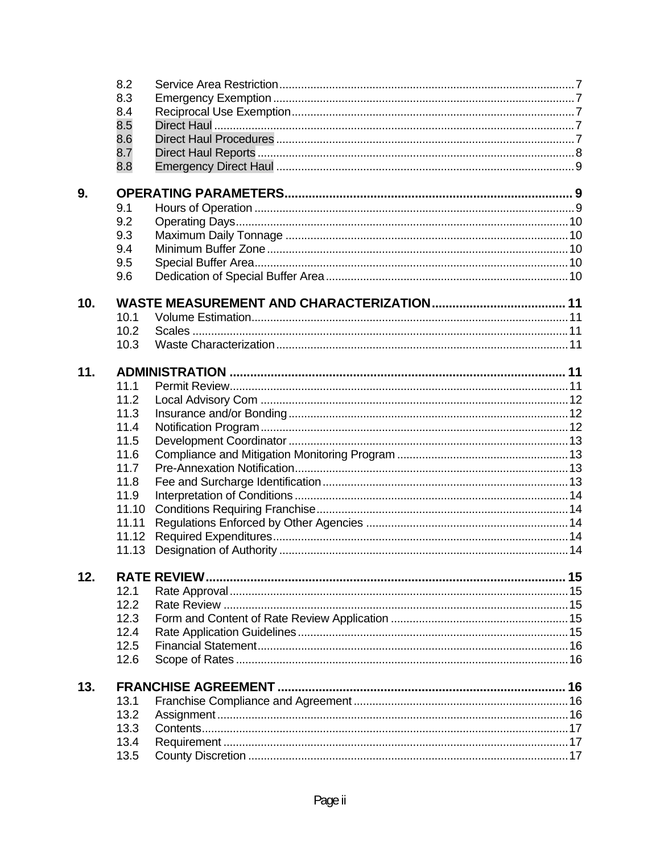|     | 8.2   |  |
|-----|-------|--|
|     | 8.3   |  |
|     | 8.4   |  |
|     | 8.5   |  |
|     | 8.6   |  |
|     | 8.7   |  |
|     | 8.8   |  |
|     |       |  |
| 9.  | 9.1   |  |
|     | 9.2   |  |
|     | 9.3   |  |
|     | 9.4   |  |
|     | 9.5   |  |
|     | 9.6   |  |
|     |       |  |
| 10. |       |  |
|     | 10.1  |  |
|     | 10.2  |  |
|     | 10.3  |  |
| 11. |       |  |
|     | 11.1  |  |
|     | 11.2  |  |
|     | 11.3  |  |
|     | 11.4  |  |
|     | 11.5  |  |
|     | 11.6  |  |
|     | 11.7  |  |
|     | 11.8  |  |
|     | 11.9  |  |
|     | 11.10 |  |
|     | 11.11 |  |
|     | 11.12 |  |
|     | 11.13 |  |
| 12. |       |  |
|     | 12.1  |  |
|     | 12.2  |  |
|     | 12.3  |  |
|     | 12.4  |  |
|     | 12.5  |  |
|     | 12.6  |  |
| 13. |       |  |
|     | 13.1  |  |
|     | 13.2  |  |
|     | 13.3  |  |
|     | 13.4  |  |
|     | 13.5  |  |
|     |       |  |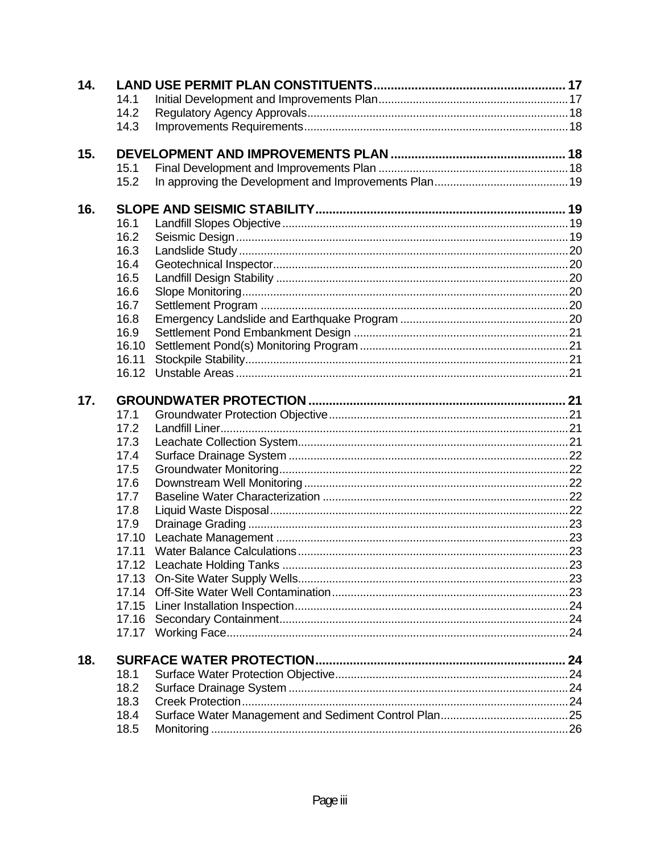| 14. |       |  |
|-----|-------|--|
|     | 14.1  |  |
|     | 14.2  |  |
|     | 14.3  |  |
| 15. |       |  |
|     | 15.1  |  |
|     | 15.2  |  |
| 16. |       |  |
|     | 16.1  |  |
|     | 16.2  |  |
|     | 16.3  |  |
|     | 16.4  |  |
|     | 16.5  |  |
|     | 16.6  |  |
|     | 16.7  |  |
|     | 16.8  |  |
|     | 16.9  |  |
|     | 16.10 |  |
|     | 16.11 |  |
|     | 16.12 |  |
| 17. |       |  |
|     | 17.1  |  |
|     | 17.2  |  |
|     | 17.3  |  |
|     | 17.4  |  |
|     | 17.5  |  |
|     | 17.6  |  |
|     | 17.7  |  |
|     | 17.8  |  |
|     | 17.9  |  |
|     | 17.10 |  |
|     | 17.11 |  |
|     |       |  |
|     |       |  |
|     |       |  |
|     |       |  |
|     |       |  |
|     |       |  |
| 18. |       |  |
|     | 18.1  |  |
|     | 18.2  |  |
|     | 18.3  |  |
|     | 18.4  |  |
|     | 18.5  |  |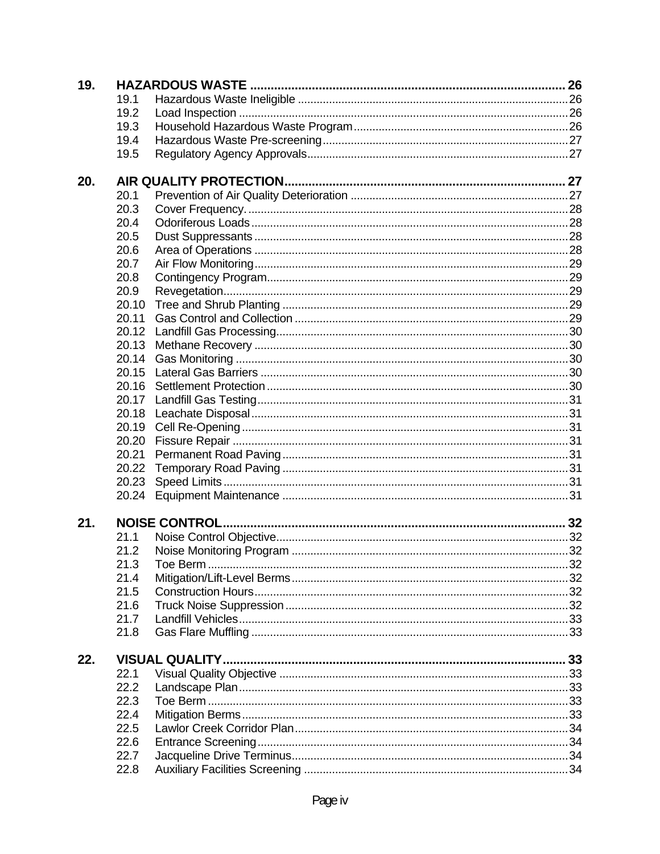| 19. |       |  |
|-----|-------|--|
|     | 19.1  |  |
|     | 19.2  |  |
|     | 19.3  |  |
|     | 19.4  |  |
|     | 19.5  |  |
| 20. |       |  |
|     | 20.1  |  |
|     | 20.3  |  |
|     | 20.4  |  |
|     | 20.5  |  |
|     | 20.6  |  |
|     | 20.7  |  |
|     | 20.8  |  |
|     | 20.9  |  |
|     | 20.10 |  |
|     | 20.11 |  |
|     | 20.12 |  |
|     | 20.13 |  |
|     | 20.14 |  |
|     | 20.15 |  |
|     | 20.16 |  |
|     | 20.17 |  |
|     |       |  |
|     | 20.19 |  |
|     | 20.20 |  |
|     | 20.21 |  |
|     | 20.22 |  |
|     | 20.23 |  |
|     | 20.24 |  |
| 21. |       |  |
|     | 21.1  |  |
|     | 21.2  |  |
|     | 21.3  |  |
|     | 21.4  |  |
|     | 21.5  |  |
|     | 21.6  |  |
|     | 21.7  |  |
|     | 21.8  |  |
|     |       |  |
| 22. |       |  |
|     | 22.1  |  |
|     | 22.2  |  |
|     | 22.3  |  |
|     | 22.4  |  |
|     | 22.5  |  |
|     | 22.6  |  |
|     | 22.7  |  |
|     | 22.8  |  |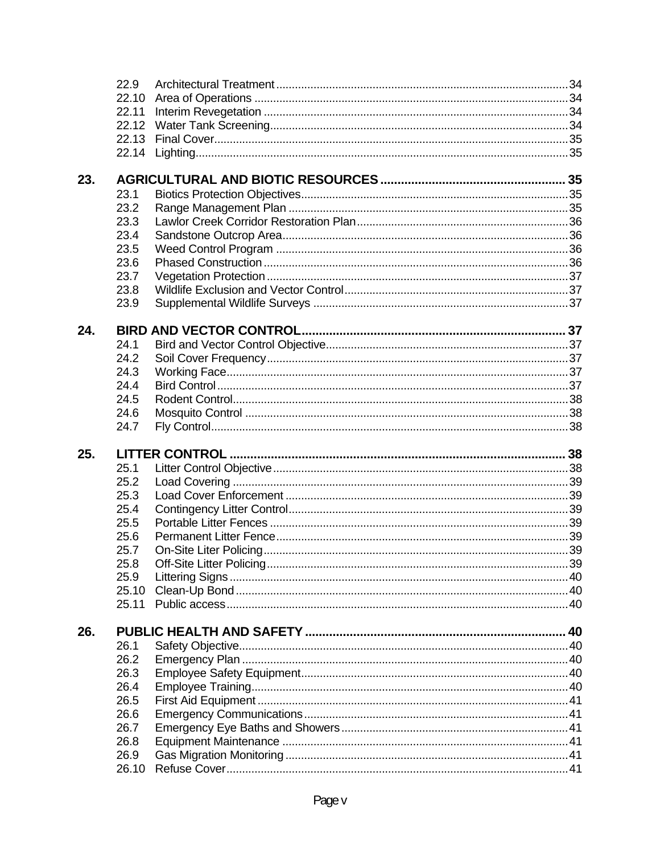|     | 22.9  |  |
|-----|-------|--|
|     | 22.10 |  |
|     | 22.11 |  |
|     | 22.12 |  |
|     | 22.13 |  |
|     | 22.14 |  |
|     |       |  |
| 23. |       |  |
|     | 23.1  |  |
|     | 23.2  |  |
|     | 23.3  |  |
|     | 23.4  |  |
|     | 23.5  |  |
|     | 23.6  |  |
|     | 23.7  |  |
|     | 23.8  |  |
|     | 23.9  |  |
| 24. |       |  |
|     | 24.1  |  |
|     | 24.2  |  |
|     | 24.3  |  |
|     | 24.4  |  |
|     | 24.5  |  |
|     | 24.6  |  |
|     | 24.7  |  |
| 25. |       |  |
|     | 25.1  |  |
|     | 25.2  |  |
|     | 25.3  |  |
|     |       |  |
|     | 25.4  |  |
|     | 25.5  |  |
|     | 25.6  |  |
|     | 25.7  |  |
|     | 25.8  |  |
|     | 25.9  |  |
|     | 25.10 |  |
|     | 25.11 |  |
| 26. |       |  |
|     | 26.1  |  |
|     | 26.2  |  |
|     | 26.3  |  |
|     | 26.4  |  |
|     | 26.5  |  |
|     | 26.6  |  |
|     | 26.7  |  |
|     | 26.8  |  |
|     | 26.9  |  |
|     |       |  |
|     |       |  |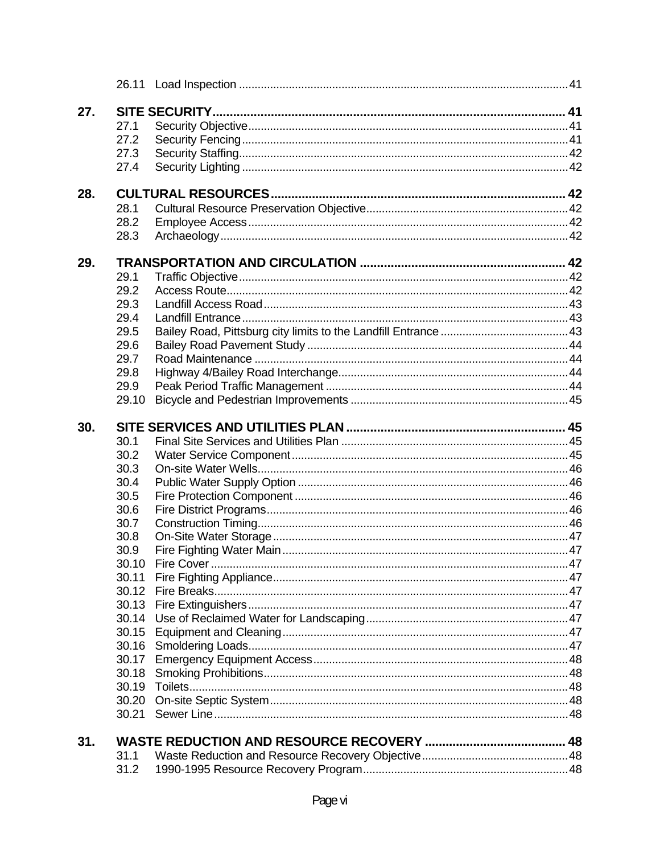| 27. |       |  |
|-----|-------|--|
|     | 27.1  |  |
|     | 27.2  |  |
|     | 27.3  |  |
|     | 27.4  |  |
| 28. |       |  |
|     | 28.1  |  |
|     | 28.2  |  |
|     | 28.3  |  |
|     |       |  |
| 29. |       |  |
|     | 29.1  |  |
|     | 29.2  |  |
|     | 29.3  |  |
|     | 29.4  |  |
|     | 29.5  |  |
|     | 29.6  |  |
|     | 29.7  |  |
|     | 29.8  |  |
|     | 29.9  |  |
|     | 29.10 |  |
| 30. |       |  |
|     | 30.1  |  |
|     | 30.2  |  |
|     | 30.3  |  |
|     | 30.4  |  |
|     | 30.5  |  |
|     | 30.6  |  |
|     | 30.7  |  |
|     | 30.8  |  |
|     | 30.9  |  |
|     | 30.10 |  |
|     | 30.11 |  |
|     | 30.12 |  |
|     |       |  |
|     | 30.14 |  |
|     | 30.15 |  |
|     | 30.16 |  |
|     | 30.17 |  |
|     |       |  |
|     | 30.18 |  |
|     | 30.19 |  |
|     | 30.20 |  |
|     | 30.21 |  |
| 31. |       |  |
|     | 31.1  |  |
|     | 31.2  |  |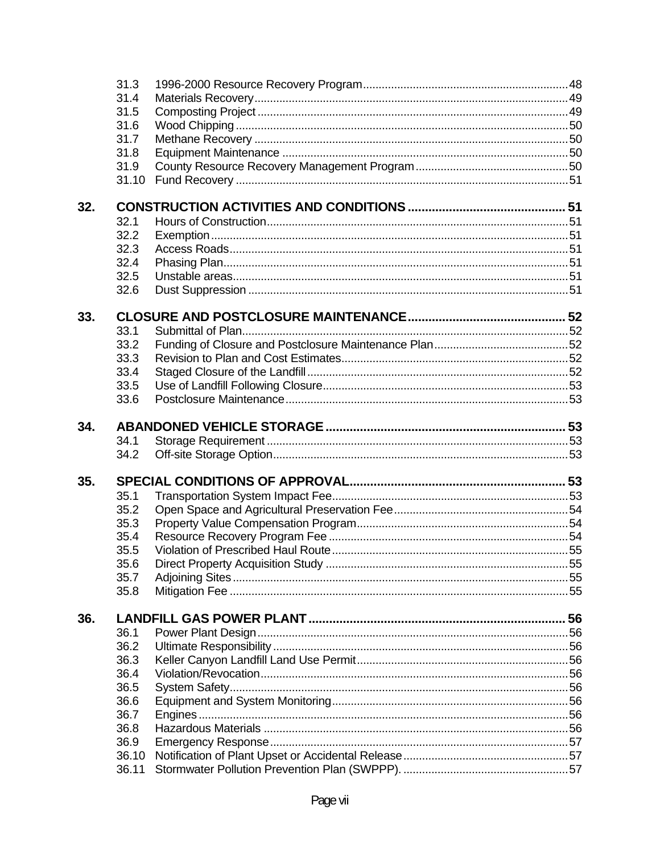|     | 31.3  |  |
|-----|-------|--|
|     | 31.4  |  |
|     | 31.5  |  |
|     | 31.6  |  |
|     | 31.7  |  |
|     | 31.8  |  |
|     | 31.9  |  |
|     | 31.10 |  |
| 32. |       |  |
|     | 32.1  |  |
|     | 32.2  |  |
|     | 32.3  |  |
|     | 32.4  |  |
|     | 32.5  |  |
|     | 32.6  |  |
| 33. |       |  |
|     | 33.1  |  |
|     | 33.2  |  |
|     | 33.3  |  |
|     | 33.4  |  |
|     | 33.5  |  |
|     | 33.6  |  |
| 34. |       |  |
|     | 34.1  |  |
|     | 34.2  |  |
| 35. |       |  |
|     | 35.1  |  |
|     | 35.2  |  |
|     | 35.3  |  |
|     | 35.4  |  |
|     | 35.5  |  |
|     | 35.6  |  |
|     | 35.7  |  |
|     | 35.8  |  |
| 36. |       |  |
|     | 36.1  |  |
|     | 36.2  |  |
|     | 36.3  |  |
|     | 36.4  |  |
|     | 36.5  |  |
|     | 36.6  |  |
|     | 36.7  |  |
|     | 36.8  |  |
|     | 36.9  |  |
|     | 36.10 |  |
|     | 36.11 |  |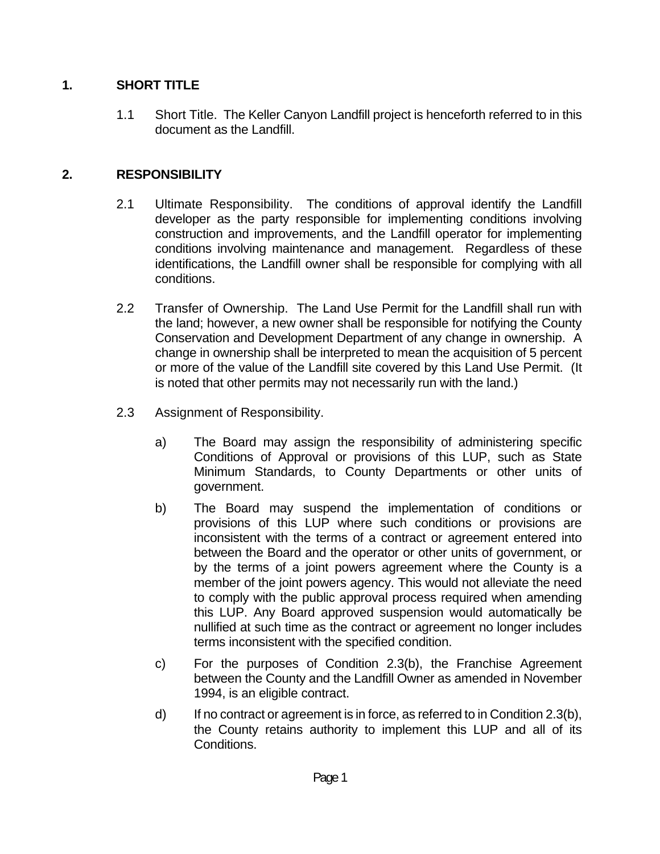## **1. SHORT TITLE**

 1.1 Short Title. The Keller Canyon Landfill project is henceforth referred to in this document as the Landfill.

## **2. RESPONSIBILITY**

- 2.1 Ultimate Responsibility. The conditions of approval identify the Landfill developer as the party responsible for implementing conditions involving construction and improvements, and the Landfill operator for implementing conditions involving maintenance and management. Regardless of these identifications, the Landfill owner shall be responsible for complying with all conditions.
- 2.2 Transfer of Ownership. The Land Use Permit for the Landfill shall run with the land; however, a new owner shall be responsible for notifying the County Conservation and Development Department of any change in ownership. A change in ownership shall be interpreted to mean the acquisition of 5 percent or more of the value of the Landfill site covered by this Land Use Permit. (It is noted that other permits may not necessarily run with the land.)
- 2.3 Assignment of Responsibility.
	- a) The Board may assign the responsibility of administering specific Conditions of Approval or provisions of this LUP, such as State Minimum Standards, to County Departments or other units of government.
	- b) The Board may suspend the implementation of conditions or provisions of this LUP where such conditions or provisions are inconsistent with the terms of a contract or agreement entered into between the Board and the operator or other units of government, or by the terms of a joint powers agreement where the County is a member of the joint powers agency. This would not alleviate the need to comply with the public approval process required when amending this LUP. Any Board approved suspension would automatically be nullified at such time as the contract or agreement no longer includes terms inconsistent with the specified condition.
	- c) For the purposes of Condition 2.3(b), the Franchise Agreement between the County and the Landfill Owner as amended in November 1994, is an eligible contract.
	- d) If no contract or agreement is in force, as referred to in Condition 2.3(b), the County retains authority to implement this LUP and all of its Conditions.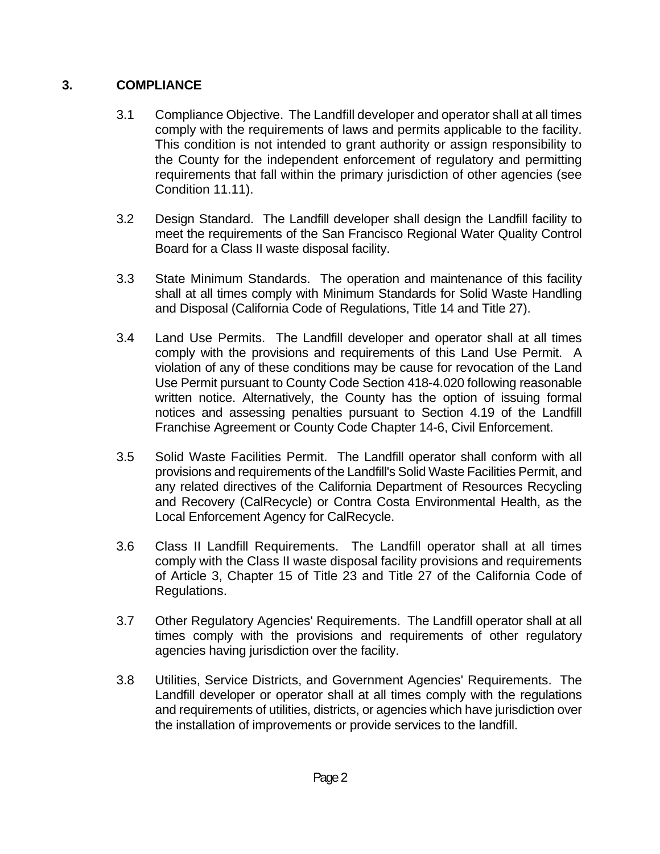## **3. COMPLIANCE**

- 3.1 Compliance Objective. The Landfill developer and operator shall at all times comply with the requirements of laws and permits applicable to the facility. This condition is not intended to grant authority or assign responsibility to the County for the independent enforcement of regulatory and permitting requirements that fall within the primary jurisdiction of other agencies (see Condition 11.11).
- 3.2 Design Standard. The Landfill developer shall design the Landfill facility to meet the requirements of the San Francisco Regional Water Quality Control Board for a Class II waste disposal facility.
- 3.3 State Minimum Standards. The operation and maintenance of this facility shall at all times comply with Minimum Standards for Solid Waste Handling and Disposal (California Code of Regulations, Title 14 and Title 27).
- 3.4 Land Use Permits. The Landfill developer and operator shall at all times comply with the provisions and requirements of this Land Use Permit. A violation of any of these conditions may be cause for revocation of the Land Use Permit pursuant to County Code Section 418-4.020 following reasonable written notice. Alternatively, the County has the option of issuing formal notices and assessing penalties pursuant to Section 4.19 of the Landfill Franchise Agreement or County Code Chapter 14-6, Civil Enforcement.
- 3.5 Solid Waste Facilities Permit. The Landfill operator shall conform with all provisions and requirements of the Landfill's Solid Waste Facilities Permit, and any related directives of the California Department of Resources Recycling and Recovery (CalRecycle) or Contra Costa Environmental Health, as the Local Enforcement Agency for CalRecycle.
- 3.6 Class II Landfill Requirements. The Landfill operator shall at all times comply with the Class II waste disposal facility provisions and requirements of Article 3, Chapter 15 of Title 23 and Title 27 of the California Code of Regulations.
- 3.7 Other Regulatory Agencies' Requirements. The Landfill operator shall at all times comply with the provisions and requirements of other regulatory agencies having jurisdiction over the facility.
- 3.8 Utilities, Service Districts, and Government Agencies' Requirements. The Landfill developer or operator shall at all times comply with the regulations and requirements of utilities, districts, or agencies which have jurisdiction over the installation of improvements or provide services to the landfill.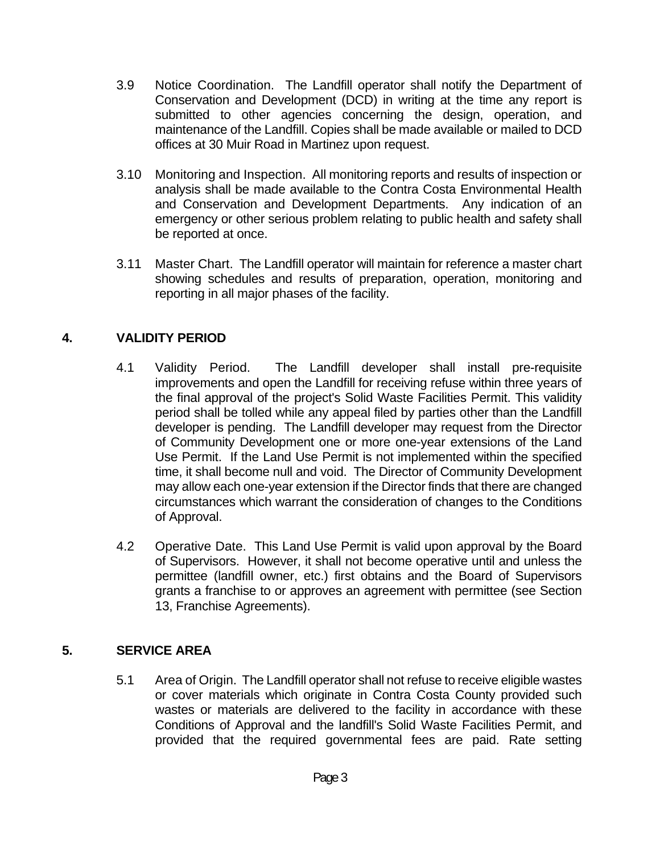- 3.9 Notice Coordination. The Landfill operator shall notify the Department of Conservation and Development (DCD) in writing at the time any report is submitted to other agencies concerning the design, operation, and maintenance of the Landfill. Copies shall be made available or mailed to DCD offices at 30 Muir Road in Martinez upon request.
- 3.10 Monitoring and Inspection. All monitoring reports and results of inspection or analysis shall be made available to the Contra Costa Environmental Health and Conservation and Development Departments. Any indication of an emergency or other serious problem relating to public health and safety shall be reported at once.
- 3.11 Master Chart. The Landfill operator will maintain for reference a master chart showing schedules and results of preparation, operation, monitoring and reporting in all major phases of the facility.

## **4. VALIDITY PERIOD**

- 4.1 Validity Period. The Landfill developer shall install pre-requisite improvements and open the Landfill for receiving refuse within three years of the final approval of the project's Solid Waste Facilities Permit. This validity period shall be tolled while any appeal filed by parties other than the Landfill developer is pending. The Landfill developer may request from the Director of Community Development one or more one-year extensions of the Land Use Permit. If the Land Use Permit is not implemented within the specified time, it shall become null and void. The Director of Community Development may allow each one-year extension if the Director finds that there are changed circumstances which warrant the consideration of changes to the Conditions of Approval.
- 4.2 Operative Date. This Land Use Permit is valid upon approval by the Board of Supervisors. However, it shall not become operative until and unless the permittee (landfill owner, etc.) first obtains and the Board of Supervisors grants a franchise to or approves an agreement with permittee (see Section 13, Franchise Agreements).

## **5. SERVICE AREA**

 5.1 Area of Origin. The Landfill operator shall not refuse to receive eligible wastes or cover materials which originate in Contra Costa County provided such wastes or materials are delivered to the facility in accordance with these Conditions of Approval and the landfill's Solid Waste Facilities Permit, and provided that the required governmental fees are paid. Rate setting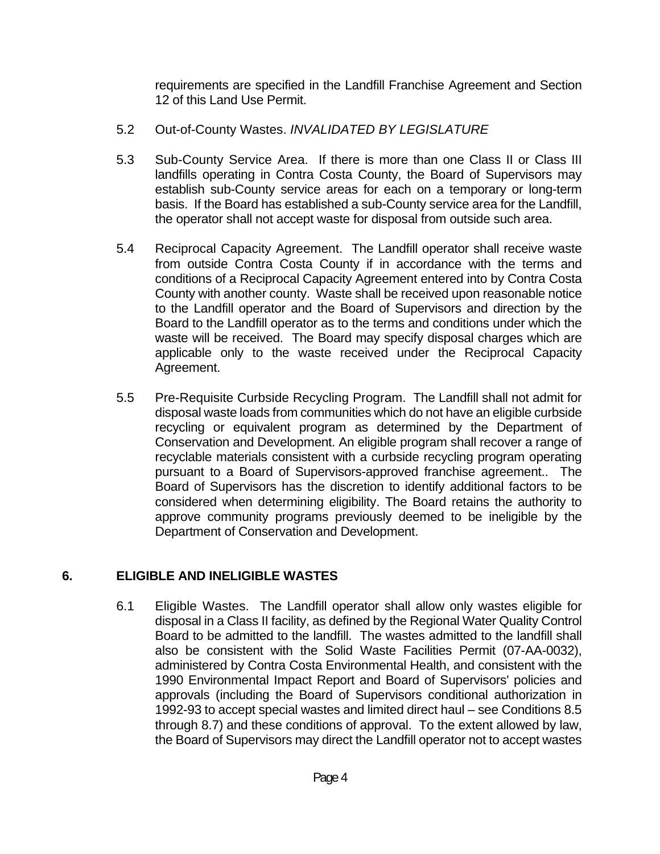requirements are specified in the Landfill Franchise Agreement and Section 12 of this Land Use Permit.

- 5.2 Out-of-County Wastes. *INVALIDATED BY LEGISLATURE*
- 5.3 Sub-County Service Area. If there is more than one Class II or Class III landfills operating in Contra Costa County, the Board of Supervisors may establish sub-County service areas for each on a temporary or long-term basis. If the Board has established a sub-County service area for the Landfill, the operator shall not accept waste for disposal from outside such area.
- 5.4 Reciprocal Capacity Agreement. The Landfill operator shall receive waste from outside Contra Costa County if in accordance with the terms and conditions of a Reciprocal Capacity Agreement entered into by Contra Costa County with another county. Waste shall be received upon reasonable notice to the Landfill operator and the Board of Supervisors and direction by the Board to the Landfill operator as to the terms and conditions under which the waste will be received. The Board may specify disposal charges which are applicable only to the waste received under the Reciprocal Capacity Agreement.
- 5.5 Pre-Requisite Curbside Recycling Program. The Landfill shall not admit for disposal waste loads from communities which do not have an eligible curbside recycling or equivalent program as determined by the Department of Conservation and Development. An eligible program shall recover a range of recyclable materials consistent with a curbside recycling program operating pursuant to a Board of Supervisors-approved franchise agreement.. The Board of Supervisors has the discretion to identify additional factors to be considered when determining eligibility. The Board retains the authority to approve community programs previously deemed to be ineligible by the Department of Conservation and Development.

## **6. ELIGIBLE AND INELIGIBLE WASTES**

 6.1 Eligible Wastes. The Landfill operator shall allow only wastes eligible for disposal in a Class II facility, as defined by the Regional Water Quality Control Board to be admitted to the landfill. The wastes admitted to the landfill shall also be consistent with the Solid Waste Facilities Permit (07-AA-0032), administered by Contra Costa Environmental Health, and consistent with the 1990 Environmental Impact Report and Board of Supervisors' policies and approvals (including the Board of Supervisors conditional authorization in 1992-93 to accept special wastes and limited direct haul – see Conditions 8.5 through 8.7) and these conditions of approval. To the extent allowed by law, the Board of Supervisors may direct the Landfill operator not to accept wastes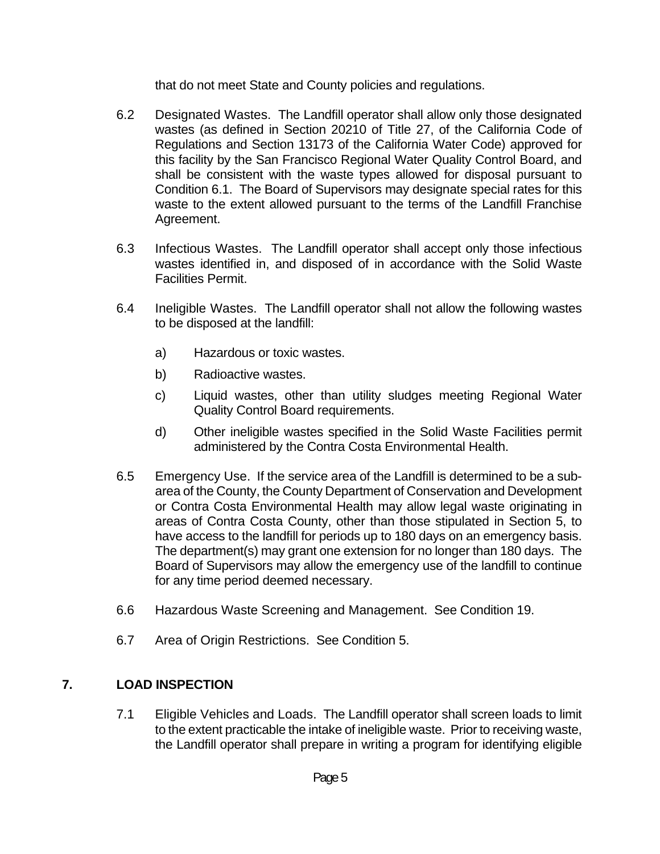that do not meet State and County policies and regulations.

- 6.2 Designated Wastes. The Landfill operator shall allow only those designated wastes (as defined in Section 20210 of Title 27, of the California Code of Regulations and Section 13173 of the California Water Code) approved for this facility by the San Francisco Regional Water Quality Control Board, and shall be consistent with the waste types allowed for disposal pursuant to Condition 6.1. The Board of Supervisors may designate special rates for this waste to the extent allowed pursuant to the terms of the Landfill Franchise Agreement.
- 6.3 Infectious Wastes. The Landfill operator shall accept only those infectious wastes identified in, and disposed of in accordance with the Solid Waste Facilities Permit.
- 6.4 Ineligible Wastes. The Landfill operator shall not allow the following wastes to be disposed at the landfill:
	- a) Hazardous or toxic wastes.
	- b) Radioactive wastes.
	- c) Liquid wastes, other than utility sludges meeting Regional Water Quality Control Board requirements.
	- d) Other ineligible wastes specified in the Solid Waste Facilities permit administered by the Contra Costa Environmental Health.
- 6.5 Emergency Use. If the service area of the Landfill is determined to be a subarea of the County, the County Department of Conservation and Development or Contra Costa Environmental Health may allow legal waste originating in areas of Contra Costa County, other than those stipulated in Section 5, to have access to the landfill for periods up to 180 days on an emergency basis. The department(s) may grant one extension for no longer than 180 days. The Board of Supervisors may allow the emergency use of the landfill to continue for any time period deemed necessary.
- 6.6 Hazardous Waste Screening and Management. See Condition 19.
- 6.7 Area of Origin Restrictions. See Condition 5.

#### **7. LOAD INSPECTION**

 7.1 Eligible Vehicles and Loads. The Landfill operator shall screen loads to limit to the extent practicable the intake of ineligible waste. Prior to receiving waste, the Landfill operator shall prepare in writing a program for identifying eligible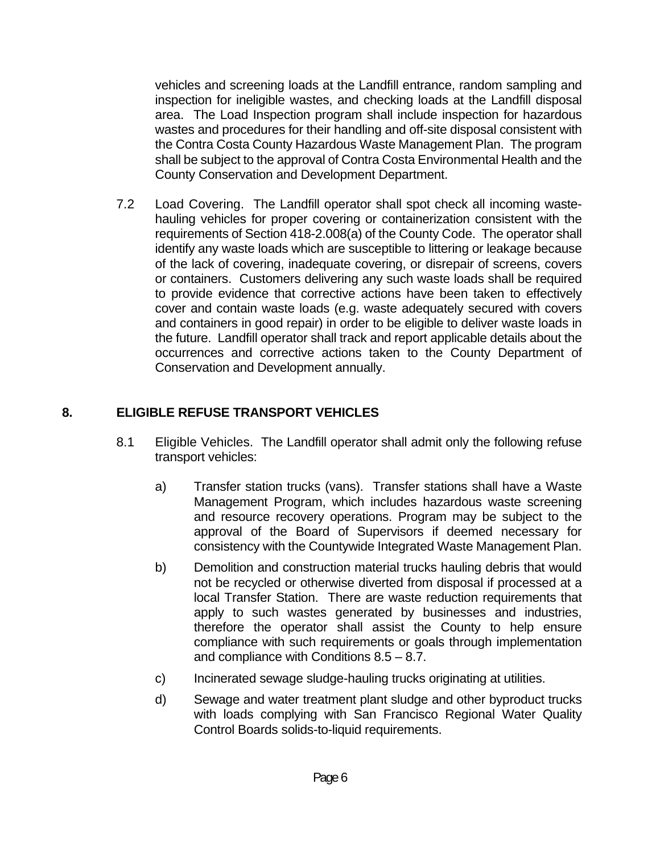vehicles and screening loads at the Landfill entrance, random sampling and inspection for ineligible wastes, and checking loads at the Landfill disposal area. The Load Inspection program shall include inspection for hazardous wastes and procedures for their handling and off-site disposal consistent with the Contra Costa County Hazardous Waste Management Plan. The program shall be subject to the approval of Contra Costa Environmental Health and the County Conservation and Development Department.

 7.2 Load Covering. The Landfill operator shall spot check all incoming wastehauling vehicles for proper covering or containerization consistent with the requirements of Section 418-2.008(a) of the County Code. The operator shall identify any waste loads which are susceptible to littering or leakage because of the lack of covering, inadequate covering, or disrepair of screens, covers or containers. Customers delivering any such waste loads shall be required to provide evidence that corrective actions have been taken to effectively cover and contain waste loads (e.g. waste adequately secured with covers and containers in good repair) in order to be eligible to deliver waste loads in the future. Landfill operator shall track and report applicable details about the occurrences and corrective actions taken to the County Department of Conservation and Development annually.

## **8. ELIGIBLE REFUSE TRANSPORT VEHICLES**

- 8.1 Eligible Vehicles. The Landfill operator shall admit only the following refuse transport vehicles:
	- a) Transfer station trucks (vans). Transfer stations shall have a Waste Management Program, which includes hazardous waste screening and resource recovery operations. Program may be subject to the approval of the Board of Supervisors if deemed necessary for consistency with the Countywide Integrated Waste Management Plan.
	- b) Demolition and construction material trucks hauling debris that would not be recycled or otherwise diverted from disposal if processed at a local Transfer Station. There are waste reduction requirements that apply to such wastes generated by businesses and industries, therefore the operator shall assist the County to help ensure compliance with such requirements or goals through implementation and compliance with Conditions 8.5 – 8.7.
	- c) Incinerated sewage sludge-hauling trucks originating at utilities.
	- d) Sewage and water treatment plant sludge and other byproduct trucks with loads complying with San Francisco Regional Water Quality Control Boards solids-to-liquid requirements.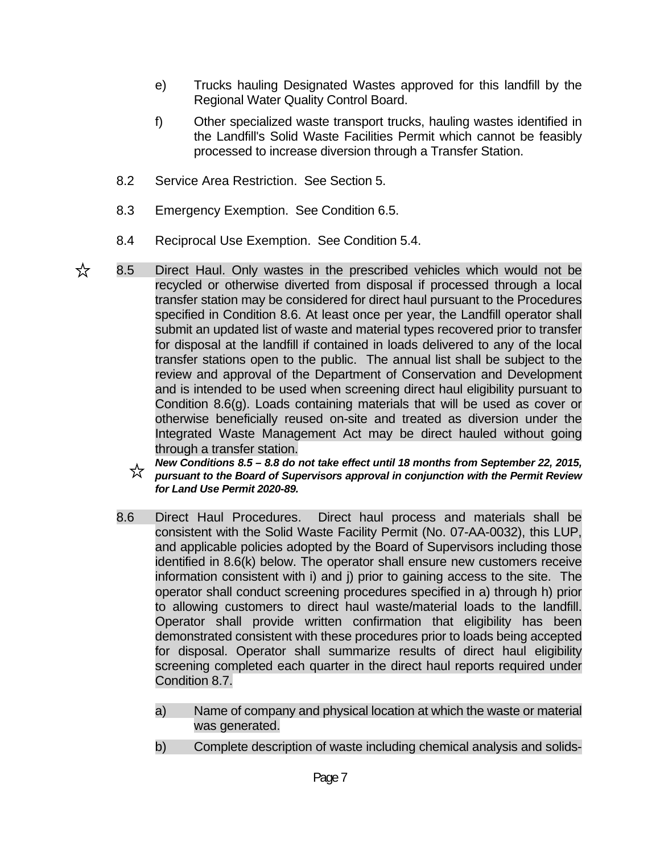- e) Trucks hauling Designated Wastes approved for this landfill by the Regional Water Quality Control Board.
- f) Other specialized waste transport trucks, hauling wastes identified in the Landfill's Solid Waste Facilities Permit which cannot be feasibly processed to increase diversion through a Transfer Station.
- 8.2 Service Area Restriction. See Section 5.
- 8.3 Emergency Exemption. See Condition 6.5.
- 8.4 Reciprocal Use Exemption. See Condition 5.4.
- ☆ 8.5 Direct Haul. Only wastes in the prescribed vehicles which would not be recycled or otherwise diverted from disposal if processed through a local transfer station may be considered for direct haul pursuant to the Procedures specified in Condition 8.6. At least once per year, the Landfill operator shall submit an updated list of waste and material types recovered prior to transfer for disposal at the landfill if contained in loads delivered to any of the local transfer stations open to the public. The annual list shall be subject to the review and approval of the Department of Conservation and Development and is intended to be used when screening direct haul eligibility pursuant to Condition 8.6(g). Loads containing materials that will be used as cover or otherwise beneficially reused on-site and treated as diversion under the Integrated Waste Management Act may be direct hauled without going through a transfer station.
	- *New Conditions 8.5 8.8 do not take effect until 18 months from September 22, 2015,*  ☆ *pursuant to the Board of Supervisors approval in conjunction with the Permit Review for Land Use Permit 2020-89.*
	- 8.6 Direct Haul Procedures. Direct haul process and materials shall be consistent with the Solid Waste Facility Permit (No. 07-AA-0032), this LUP, and applicable policies adopted by the Board of Supervisors including those identified in 8.6(k) below. The operator shall ensure new customers receive information consistent with i) and j) prior to gaining access to the site. The operator shall conduct screening procedures specified in a) through h) prior to allowing customers to direct haul waste/material loads to the landfill. Operator shall provide written confirmation that eligibility has been demonstrated consistent with these procedures prior to loads being accepted for disposal. Operator shall summarize results of direct haul eligibility screening completed each quarter in the direct haul reports required under Condition 8.7.
		- a) Name of company and physical location at which the waste or material was generated.
		- b) Complete description of waste including chemical analysis and solids-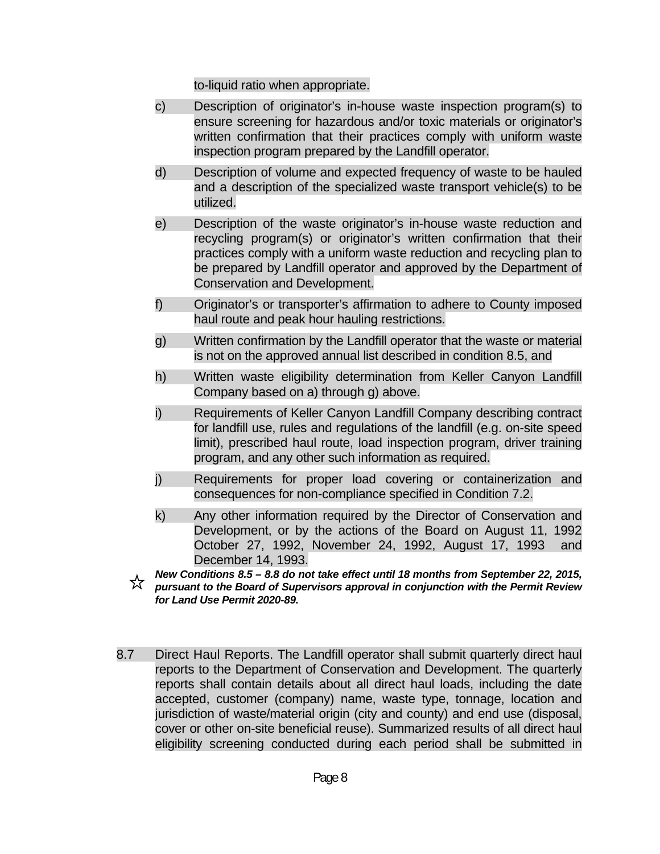to-liquid ratio when appropriate.

- c) Description of originator's in-house waste inspection program(s) to ensure screening for hazardous and/or toxic materials or originator's written confirmation that their practices comply with uniform waste inspection program prepared by the Landfill operator.
- d) Description of volume and expected frequency of waste to be hauled and a description of the specialized waste transport vehicle(s) to be utilized.
- e) Description of the waste originator's in-house waste reduction and recycling program(s) or originator's written confirmation that their practices comply with a uniform waste reduction and recycling plan to be prepared by Landfill operator and approved by the Department of Conservation and Development.
- f) Originator's or transporter's affirmation to adhere to County imposed haul route and peak hour hauling restrictions.
- g) Written confirmation by the Landfill operator that the waste or material is not on the approved annual list described in condition 8.5, and
- h) Written waste eligibility determination from Keller Canyon Landfill Company based on a) through g) above.
- i) Requirements of Keller Canyon Landfill Company describing contract for landfill use, rules and regulations of the landfill (e.g. on-site speed limit), prescribed haul route, load inspection program, driver training program, and any other such information as required.
- j) Requirements for proper load covering or containerization and consequences for non-compliance specified in Condition 7.2.
- k) Any other information required by the Director of Conservation and Development, or by the actions of the Board on August 11, 1992 October 27, 1992, November 24, 1992, August 17, 1993 and December 14, 1993.
- *New Conditions 8.5 8.8 do not take effect until 18 months from September 22, 2015,*  ☆ *pursuant to the Board of Supervisors approval in conjunction with the Permit Review for Land Use Permit 2020-89.*
- 8.7 Direct Haul Reports. The Landfill operator shall submit quarterly direct haul reports to the Department of Conservation and Development. The quarterly reports shall contain details about all direct haul loads, including the date accepted, customer (company) name, waste type, tonnage, location and jurisdiction of waste/material origin (city and county) and end use (disposal, cover or other on-site beneficial reuse). Summarized results of all direct haul eligibility screening conducted during each period shall be submitted in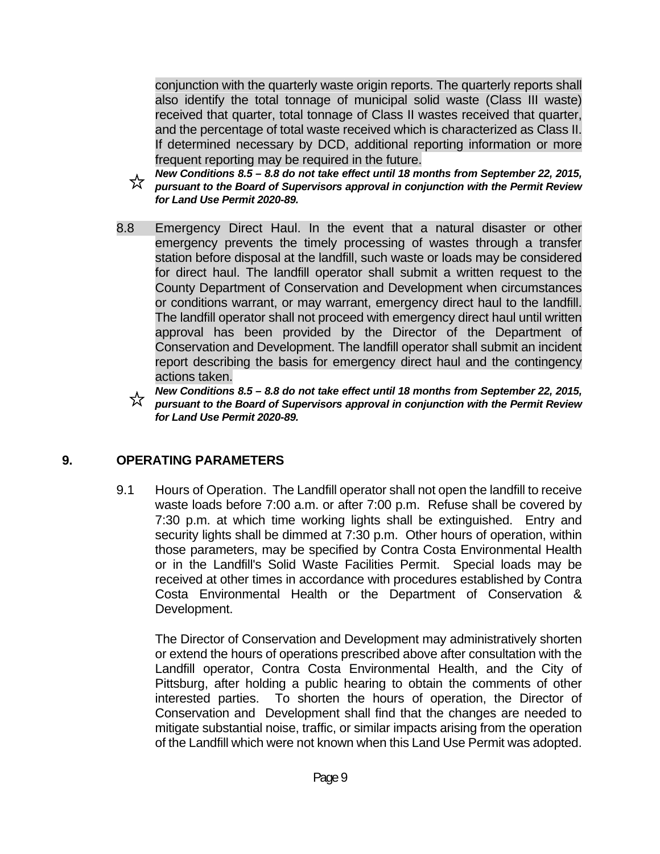conjunction with the quarterly waste origin reports. The quarterly reports shall also identify the total tonnage of municipal solid waste (Class III waste) received that quarter, total tonnage of Class II wastes received that quarter, and the percentage of total waste received which is characterized as Class II. If determined necessary by DCD, additional reporting information or more frequent reporting may be required in the future.

- *New Conditions 8.5 8.8 do not take effect until 18 months from September 22, 2015,*  ☆ *pursuant to the Board of Supervisors approval in conjunction with the Permit Review for Land Use Permit 2020-89.*
- 8.8 Emergency Direct Haul. In the event that a natural disaster or other emergency prevents the timely processing of wastes through a transfer station before disposal at the landfill, such waste or loads may be considered for direct haul. The landfill operator shall submit a written request to the County Department of Conservation and Development when circumstances or conditions warrant, or may warrant, emergency direct haul to the landfill. The landfill operator shall not proceed with emergency direct haul until written approval has been provided by the Director of the Department of Conservation and Development. The landfill operator shall submit an incident report describing the basis for emergency direct haul and the contingency actions taken.

*New Conditions 8.5 – 8.8 do not take effect until 18 months from September 22, 2015, pursuant to the Board of Supervisors approval in conjunction with the Permit Review for Land Use Permit 2020-89.*

#### **9. OPERATING PARAMETERS**

 9.1 Hours of Operation. The Landfill operator shall not open the landfill to receive waste loads before 7:00 a.m. or after 7:00 p.m. Refuse shall be covered by 7:30 p.m. at which time working lights shall be extinguished. Entry and security lights shall be dimmed at 7:30 p.m. Other hours of operation, within those parameters, may be specified by Contra Costa Environmental Health or in the Landfill's Solid Waste Facilities Permit. Special loads may be received at other times in accordance with procedures established by Contra Costa Environmental Health or the Department of Conservation & Development.

 The Director of Conservation and Development may administratively shorten or extend the hours of operations prescribed above after consultation with the Landfill operator, Contra Costa Environmental Health, and the City of Pittsburg, after holding a public hearing to obtain the comments of other interested parties. To shorten the hours of operation, the Director of Conservation and Development shall find that the changes are needed to mitigate substantial noise, traffic, or similar impacts arising from the operation of the Landfill which were not known when this Land Use Permit was adopted.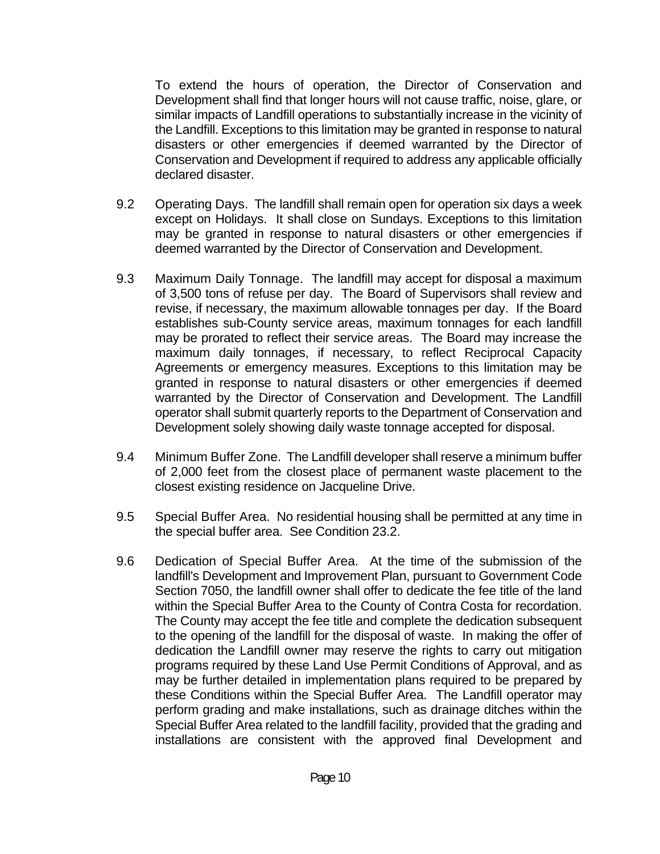To extend the hours of operation, the Director of Conservation and Development shall find that longer hours will not cause traffic, noise, glare, or similar impacts of Landfill operations to substantially increase in the vicinity of the Landfill. Exceptions to this limitation may be granted in response to natural disasters or other emergencies if deemed warranted by the Director of Conservation and Development if required to address any applicable officially declared disaster.

- 9.2 Operating Days. The landfill shall remain open for operation six days a week except on Holidays. It shall close on Sundays. Exceptions to this limitation may be granted in response to natural disasters or other emergencies if deemed warranted by the Director of Conservation and Development.
- 9.3 Maximum Daily Tonnage. The landfill may accept for disposal a maximum of 3,500 tons of refuse per day. The Board of Supervisors shall review and revise, if necessary, the maximum allowable tonnages per day. If the Board establishes sub-County service areas, maximum tonnages for each landfill may be prorated to reflect their service areas. The Board may increase the maximum daily tonnages, if necessary, to reflect Reciprocal Capacity Agreements or emergency measures. Exceptions to this limitation may be granted in response to natural disasters or other emergencies if deemed warranted by the Director of Conservation and Development. The Landfill operator shall submit quarterly reports to the Department of Conservation and Development solely showing daily waste tonnage accepted for disposal.
- 9.4 Minimum Buffer Zone. The Landfill developer shall reserve a minimum buffer of 2,000 feet from the closest place of permanent waste placement to the closest existing residence on Jacqueline Drive.
- 9.5 Special Buffer Area. No residential housing shall be permitted at any time in the special buffer area. See Condition 23.2.
- 9.6 Dedication of Special Buffer Area. At the time of the submission of the landfill's Development and Improvement Plan, pursuant to Government Code Section 7050, the landfill owner shall offer to dedicate the fee title of the land within the Special Buffer Area to the County of Contra Costa for recordation. The County may accept the fee title and complete the dedication subsequent to the opening of the landfill for the disposal of waste. In making the offer of dedication the Landfill owner may reserve the rights to carry out mitigation programs required by these Land Use Permit Conditions of Approval, and as may be further detailed in implementation plans required to be prepared by these Conditions within the Special Buffer Area. The Landfill operator may perform grading and make installations, such as drainage ditches within the Special Buffer Area related to the landfill facility, provided that the grading and installations are consistent with the approved final Development and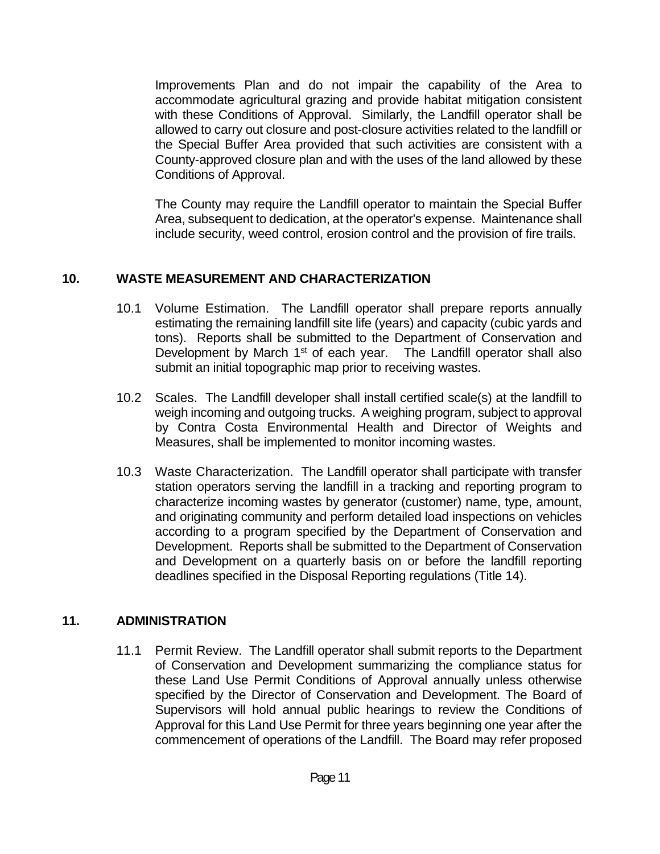Improvements Plan and do not impair the capability of the Area to accommodate agricultural grazing and provide habitat mitigation consistent with these Conditions of Approval. Similarly, the Landfill operator shall be allowed to carry out closure and post-closure activities related to the landfill or the Special Buffer Area provided that such activities are consistent with a County-approved closure plan and with the uses of the land allowed by these Conditions of Approval.

 The County may require the Landfill operator to maintain the Special Buffer Area, subsequent to dedication, at the operator's expense. Maintenance shall include security, weed control, erosion control and the provision of fire trails.

## **10. WASTE MEASUREMENT AND CHARACTERIZATION**

- 10.1 Volume Estimation. The Landfill operator shall prepare reports annually estimating the remaining landfill site life (years) and capacity (cubic yards and tons). Reports shall be submitted to the Department of Conservation and Development by March 1<sup>st</sup> of each year. The Landfill operator shall also submit an initial topographic map prior to receiving wastes.
- 10.2 Scales. The Landfill developer shall install certified scale(s) at the landfill to weigh incoming and outgoing trucks. A weighing program, subject to approval by Contra Costa Environmental Health and Director of Weights and Measures, shall be implemented to monitor incoming wastes.
- 10.3 Waste Characterization. The Landfill operator shall participate with transfer station operators serving the landfill in a tracking and reporting program to characterize incoming wastes by generator (customer) name, type, amount, and originating community and perform detailed load inspections on vehicles according to a program specified by the Department of Conservation and Development. Reports shall be submitted to the Department of Conservation and Development on a quarterly basis on or before the landfill reporting deadlines specified in the Disposal Reporting regulations (Title 14).

## **11. ADMINISTRATION**

 11.1 Permit Review. The Landfill operator shall submit reports to the Department of Conservation and Development summarizing the compliance status for these Land Use Permit Conditions of Approval annually unless otherwise specified by the Director of Conservation and Development. The Board of Supervisors will hold annual public hearings to review the Conditions of Approval for this Land Use Permit for three years beginning one year after the commencement of operations of the Landfill. The Board may refer proposed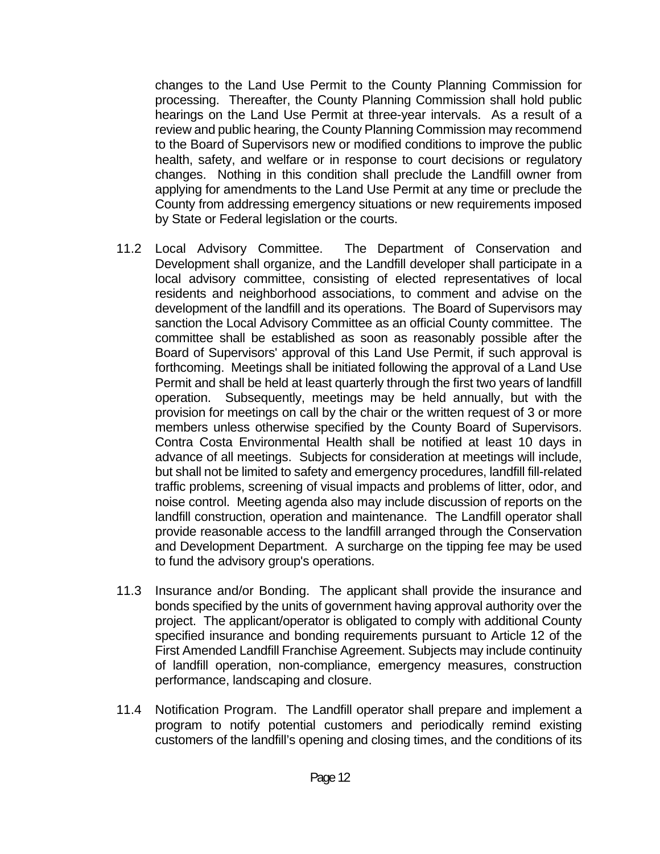changes to the Land Use Permit to the County Planning Commission for processing. Thereafter, the County Planning Commission shall hold public hearings on the Land Use Permit at three-year intervals. As a result of a review and public hearing, the County Planning Commission may recommend to the Board of Supervisors new or modified conditions to improve the public health, safety, and welfare or in response to court decisions or regulatory changes. Nothing in this condition shall preclude the Landfill owner from applying for amendments to the Land Use Permit at any time or preclude the County from addressing emergency situations or new requirements imposed by State or Federal legislation or the courts.

- 11.2 Local Advisory Committee. The Department of Conservation and Development shall organize, and the Landfill developer shall participate in a local advisory committee, consisting of elected representatives of local residents and neighborhood associations, to comment and advise on the development of the landfill and its operations. The Board of Supervisors may sanction the Local Advisory Committee as an official County committee. The committee shall be established as soon as reasonably possible after the Board of Supervisors' approval of this Land Use Permit, if such approval is forthcoming. Meetings shall be initiated following the approval of a Land Use Permit and shall be held at least quarterly through the first two years of landfill operation. Subsequently, meetings may be held annually, but with the provision for meetings on call by the chair or the written request of 3 or more members unless otherwise specified by the County Board of Supervisors. Contra Costa Environmental Health shall be notified at least 10 days in advance of all meetings. Subjects for consideration at meetings will include, but shall not be limited to safety and emergency procedures, landfill fill-related traffic problems, screening of visual impacts and problems of litter, odor, and noise control. Meeting agenda also may include discussion of reports on the landfill construction, operation and maintenance. The Landfill operator shall provide reasonable access to the landfill arranged through the Conservation and Development Department. A surcharge on the tipping fee may be used to fund the advisory group's operations.
- 11.3 Insurance and/or Bonding. The applicant shall provide the insurance and bonds specified by the units of government having approval authority over the project. The applicant/operator is obligated to comply with additional County specified insurance and bonding requirements pursuant to Article 12 of the First Amended Landfill Franchise Agreement. Subjects may include continuity of landfill operation, non-compliance, emergency measures, construction performance, landscaping and closure.
- 11.4 Notification Program. The Landfill operator shall prepare and implement a program to notify potential customers and periodically remind existing customers of the landfill's opening and closing times, and the conditions of its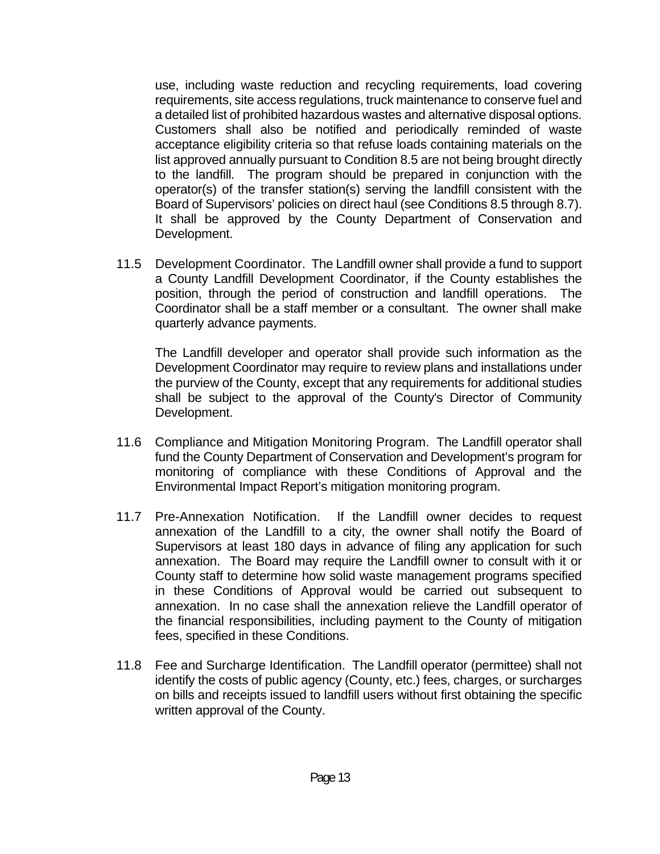use, including waste reduction and recycling requirements, load covering requirements, site access regulations, truck maintenance to conserve fuel and a detailed list of prohibited hazardous wastes and alternative disposal options. Customers shall also be notified and periodically reminded of waste acceptance eligibility criteria so that refuse loads containing materials on the list approved annually pursuant to Condition 8.5 are not being brought directly to the landfill. The program should be prepared in conjunction with the operator(s) of the transfer station(s) serving the landfill consistent with the Board of Supervisors' policies on direct haul (see Conditions 8.5 through 8.7). It shall be approved by the County Department of Conservation and Development.

 11.5 Development Coordinator. The Landfill owner shall provide a fund to support a County Landfill Development Coordinator, if the County establishes the position, through the period of construction and landfill operations. The Coordinator shall be a staff member or a consultant. The owner shall make quarterly advance payments.

 The Landfill developer and operator shall provide such information as the Development Coordinator may require to review plans and installations under the purview of the County, except that any requirements for additional studies shall be subject to the approval of the County's Director of Community Development.

- 11.6 Compliance and Mitigation Monitoring Program. The Landfill operator shall fund the County Department of Conservation and Development's program for monitoring of compliance with these Conditions of Approval and the Environmental Impact Report's mitigation monitoring program.
- 11.7 Pre-Annexation Notification. If the Landfill owner decides to request annexation of the Landfill to a city, the owner shall notify the Board of Supervisors at least 180 days in advance of filing any application for such annexation. The Board may require the Landfill owner to consult with it or County staff to determine how solid waste management programs specified in these Conditions of Approval would be carried out subsequent to annexation. In no case shall the annexation relieve the Landfill operator of the financial responsibilities, including payment to the County of mitigation fees, specified in these Conditions.
- 11.8 Fee and Surcharge Identification. The Landfill operator (permittee) shall not identify the costs of public agency (County, etc.) fees, charges, or surcharges on bills and receipts issued to landfill users without first obtaining the specific written approval of the County.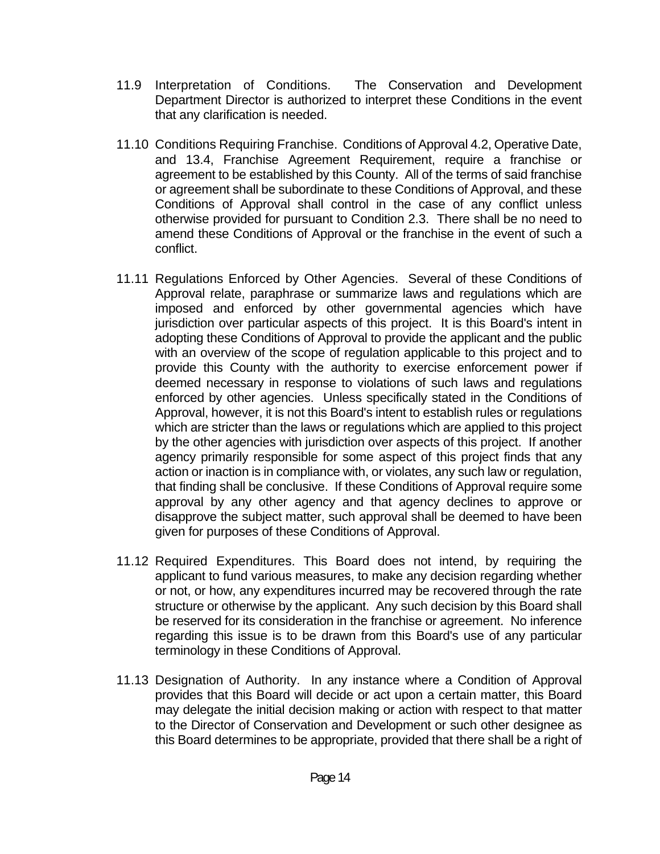- 11.9 Interpretation of Conditions. The Conservation and Development Department Director is authorized to interpret these Conditions in the event that any clarification is needed.
- 11.10 Conditions Requiring Franchise. Conditions of Approval 4.2, Operative Date, and 13.4, Franchise Agreement Requirement, require a franchise or agreement to be established by this County. All of the terms of said franchise or agreement shall be subordinate to these Conditions of Approval, and these Conditions of Approval shall control in the case of any conflict unless otherwise provided for pursuant to Condition 2.3. There shall be no need to amend these Conditions of Approval or the franchise in the event of such a conflict.
- 11.11 Regulations Enforced by Other Agencies. Several of these Conditions of Approval relate, paraphrase or summarize laws and regulations which are imposed and enforced by other governmental agencies which have jurisdiction over particular aspects of this project. It is this Board's intent in adopting these Conditions of Approval to provide the applicant and the public with an overview of the scope of regulation applicable to this project and to provide this County with the authority to exercise enforcement power if deemed necessary in response to violations of such laws and regulations enforced by other agencies. Unless specifically stated in the Conditions of Approval, however, it is not this Board's intent to establish rules or regulations which are stricter than the laws or regulations which are applied to this project by the other agencies with jurisdiction over aspects of this project. If another agency primarily responsible for some aspect of this project finds that any action or inaction is in compliance with, or violates, any such law or regulation, that finding shall be conclusive. If these Conditions of Approval require some approval by any other agency and that agency declines to approve or disapprove the subject matter, such approval shall be deemed to have been given for purposes of these Conditions of Approval.
- 11.12 Required Expenditures. This Board does not intend, by requiring the applicant to fund various measures, to make any decision regarding whether or not, or how, any expenditures incurred may be recovered through the rate structure or otherwise by the applicant. Any such decision by this Board shall be reserved for its consideration in the franchise or agreement. No inference regarding this issue is to be drawn from this Board's use of any particular terminology in these Conditions of Approval.
- 11.13 Designation of Authority. In any instance where a Condition of Approval provides that this Board will decide or act upon a certain matter, this Board may delegate the initial decision making or action with respect to that matter to the Director of Conservation and Development or such other designee as this Board determines to be appropriate, provided that there shall be a right of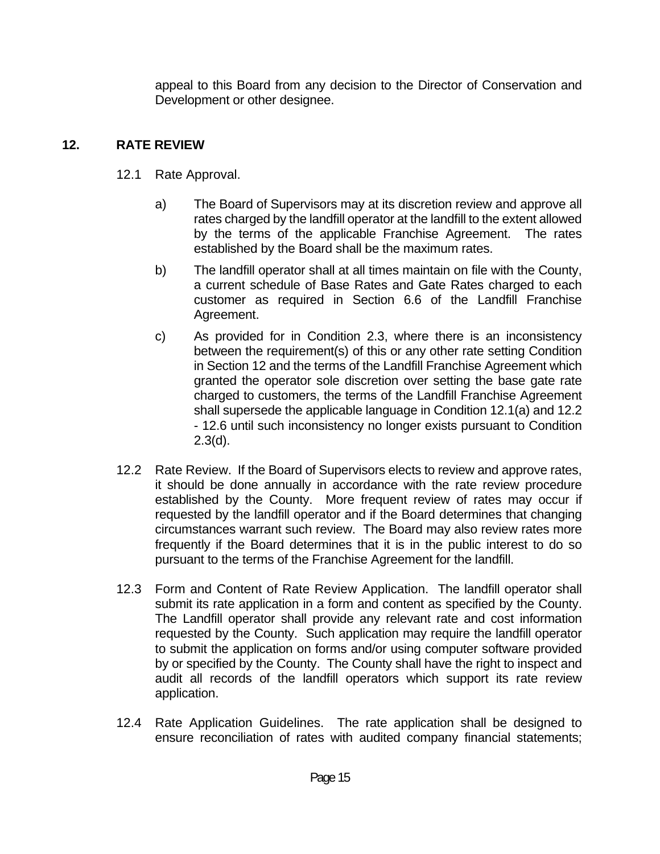appeal to this Board from any decision to the Director of Conservation and Development or other designee.

## **12. RATE REVIEW**

- 12.1 Rate Approval.
	- a) The Board of Supervisors may at its discretion review and approve all rates charged by the landfill operator at the landfill to the extent allowed by the terms of the applicable Franchise Agreement. The rates established by the Board shall be the maximum rates.
	- b) The landfill operator shall at all times maintain on file with the County, a current schedule of Base Rates and Gate Rates charged to each customer as required in Section 6.6 of the Landfill Franchise Agreement.
	- c) As provided for in Condition 2.3, where there is an inconsistency between the requirement(s) of this or any other rate setting Condition in Section 12 and the terms of the Landfill Franchise Agreement which granted the operator sole discretion over setting the base gate rate charged to customers, the terms of the Landfill Franchise Agreement shall supersede the applicable language in Condition 12.1(a) and 12.2 - 12.6 until such inconsistency no longer exists pursuant to Condition 2.3(d).
- 12.2 Rate Review. If the Board of Supervisors elects to review and approve rates, it should be done annually in accordance with the rate review procedure established by the County. More frequent review of rates may occur if requested by the landfill operator and if the Board determines that changing circumstances warrant such review. The Board may also review rates more frequently if the Board determines that it is in the public interest to do so pursuant to the terms of the Franchise Agreement for the landfill.
- 12.3 Form and Content of Rate Review Application. The landfill operator shall submit its rate application in a form and content as specified by the County. The Landfill operator shall provide any relevant rate and cost information requested by the County. Such application may require the landfill operator to submit the application on forms and/or using computer software provided by or specified by the County. The County shall have the right to inspect and audit all records of the landfill operators which support its rate review application.
- 12.4 Rate Application Guidelines. The rate application shall be designed to ensure reconciliation of rates with audited company financial statements;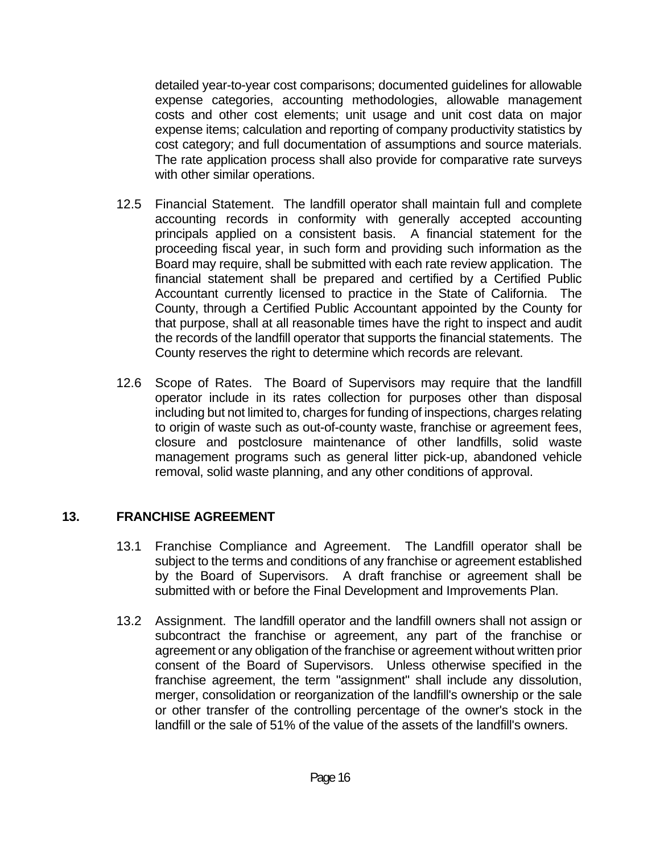detailed year-to-year cost comparisons; documented guidelines for allowable expense categories, accounting methodologies, allowable management costs and other cost elements; unit usage and unit cost data on major expense items; calculation and reporting of company productivity statistics by cost category; and full documentation of assumptions and source materials. The rate application process shall also provide for comparative rate surveys with other similar operations.

- 12.5 Financial Statement. The landfill operator shall maintain full and complete accounting records in conformity with generally accepted accounting principals applied on a consistent basis. A financial statement for the proceeding fiscal year, in such form and providing such information as the Board may require, shall be submitted with each rate review application. The financial statement shall be prepared and certified by a Certified Public Accountant currently licensed to practice in the State of California. The County, through a Certified Public Accountant appointed by the County for that purpose, shall at all reasonable times have the right to inspect and audit the records of the landfill operator that supports the financial statements. The County reserves the right to determine which records are relevant.
- 12.6 Scope of Rates. The Board of Supervisors may require that the landfill operator include in its rates collection for purposes other than disposal including but not limited to, charges for funding of inspections, charges relating to origin of waste such as out-of-county waste, franchise or agreement fees, closure and postclosure maintenance of other landfills, solid waste management programs such as general litter pick-up, abandoned vehicle removal, solid waste planning, and any other conditions of approval.

## **13. FRANCHISE AGREEMENT**

- 13.1 Franchise Compliance and Agreement. The Landfill operator shall be subject to the terms and conditions of any franchise or agreement established by the Board of Supervisors. A draft franchise or agreement shall be submitted with or before the Final Development and Improvements Plan.
- 13.2 Assignment. The landfill operator and the landfill owners shall not assign or subcontract the franchise or agreement, any part of the franchise or agreement or any obligation of the franchise or agreement without written prior consent of the Board of Supervisors. Unless otherwise specified in the franchise agreement, the term "assignment" shall include any dissolution, merger, consolidation or reorganization of the landfill's ownership or the sale or other transfer of the controlling percentage of the owner's stock in the landfill or the sale of 51% of the value of the assets of the landfill's owners.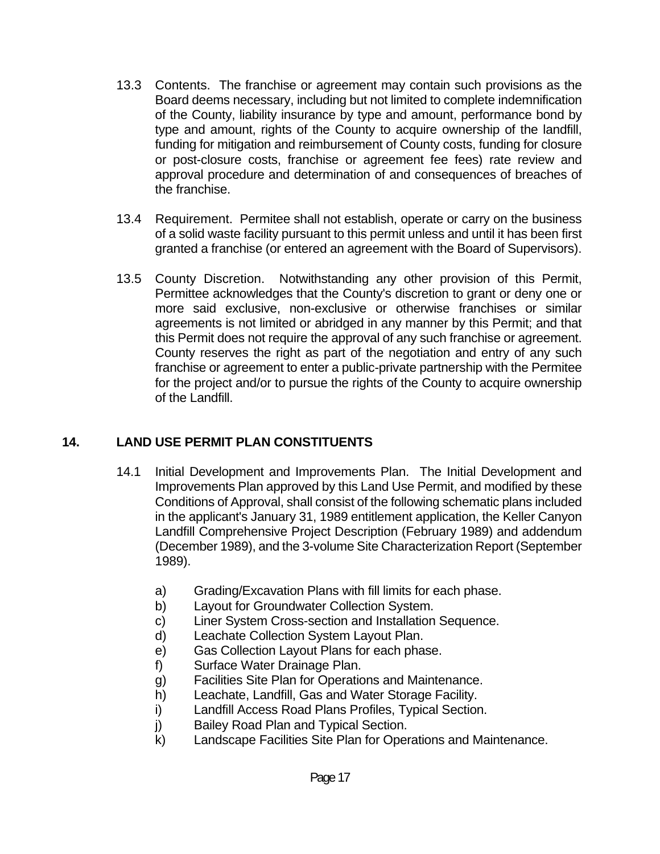- 13.3 Contents. The franchise or agreement may contain such provisions as the Board deems necessary, including but not limited to complete indemnification of the County, liability insurance by type and amount, performance bond by type and amount, rights of the County to acquire ownership of the landfill, funding for mitigation and reimbursement of County costs, funding for closure or post-closure costs, franchise or agreement fee fees) rate review and approval procedure and determination of and consequences of breaches of the franchise.
- 13.4 Requirement. Permitee shall not establish, operate or carry on the business of a solid waste facility pursuant to this permit unless and until it has been first granted a franchise (or entered an agreement with the Board of Supervisors).
- 13.5 County Discretion. Notwithstanding any other provision of this Permit, Permittee acknowledges that the County's discretion to grant or deny one or more said exclusive, non-exclusive or otherwise franchises or similar agreements is not limited or abridged in any manner by this Permit; and that this Permit does not require the approval of any such franchise or agreement. County reserves the right as part of the negotiation and entry of any such franchise or agreement to enter a public-private partnership with the Permitee for the project and/or to pursue the rights of the County to acquire ownership of the Landfill.

## **14. LAND USE PERMIT PLAN CONSTITUENTS**

- 14.1 Initial Development and Improvements Plan. The Initial Development and Improvements Plan approved by this Land Use Permit, and modified by these Conditions of Approval, shall consist of the following schematic plans included in the applicant's January 31, 1989 entitlement application, the Keller Canyon Landfill Comprehensive Project Description (February 1989) and addendum (December 1989), and the 3-volume Site Characterization Report (September 1989).
	- a) Grading/Excavation Plans with fill limits for each phase.
	- b) Layout for Groundwater Collection System.
	- c) Liner System Cross-section and Installation Sequence.
	- d) Leachate Collection System Layout Plan.
	- e) Gas Collection Layout Plans for each phase.
	- f) Surface Water Drainage Plan.
	- g) Facilities Site Plan for Operations and Maintenance.
	- h) Leachate, Landfill, Gas and Water Storage Facility.
	- i) Landfill Access Road Plans Profiles, Typical Section.
	- j) Bailey Road Plan and Typical Section.
	- k) Landscape Facilities Site Plan for Operations and Maintenance.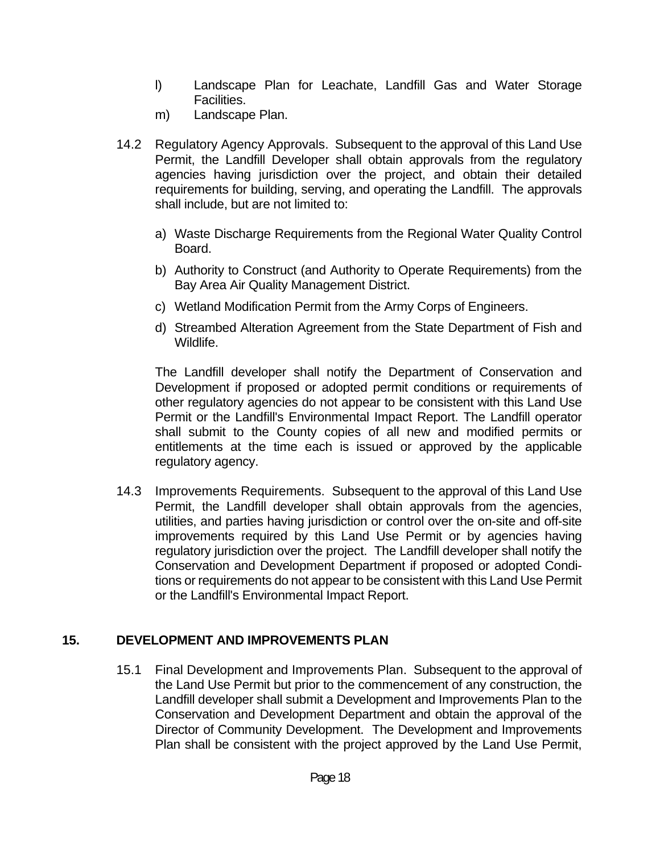- l) Landscape Plan for Leachate, Landfill Gas and Water Storage Facilities.
- m) Landscape Plan.
- 14.2 Regulatory Agency Approvals. Subsequent to the approval of this Land Use Permit, the Landfill Developer shall obtain approvals from the regulatory agencies having jurisdiction over the project, and obtain their detailed requirements for building, serving, and operating the Landfill. The approvals shall include, but are not limited to:
	- a) Waste Discharge Requirements from the Regional Water Quality Control Board.
	- b) Authority to Construct (and Authority to Operate Requirements) from the Bay Area Air Quality Management District.
	- c) Wetland Modification Permit from the Army Corps of Engineers.
	- d) Streambed Alteration Agreement from the State Department of Fish and Wildlife.

 The Landfill developer shall notify the Department of Conservation and Development if proposed or adopted permit conditions or requirements of other regulatory agencies do not appear to be consistent with this Land Use Permit or the Landfill's Environmental Impact Report. The Landfill operator shall submit to the County copies of all new and modified permits or entitlements at the time each is issued or approved by the applicable regulatory agency.

 14.3 Improvements Requirements. Subsequent to the approval of this Land Use Permit, the Landfill developer shall obtain approvals from the agencies, utilities, and parties having jurisdiction or control over the on-site and off-site improvements required by this Land Use Permit or by agencies having regulatory jurisdiction over the project. The Landfill developer shall notify the Conservation and Development Department if proposed or adopted Conditions or requirements do not appear to be consistent with this Land Use Permit or the Landfill's Environmental Impact Report.

## **15. DEVELOPMENT AND IMPROVEMENTS PLAN**

 15.1 Final Development and Improvements Plan. Subsequent to the approval of the Land Use Permit but prior to the commencement of any construction, the Landfill developer shall submit a Development and Improvements Plan to the Conservation and Development Department and obtain the approval of the Director of Community Development. The Development and Improvements Plan shall be consistent with the project approved by the Land Use Permit,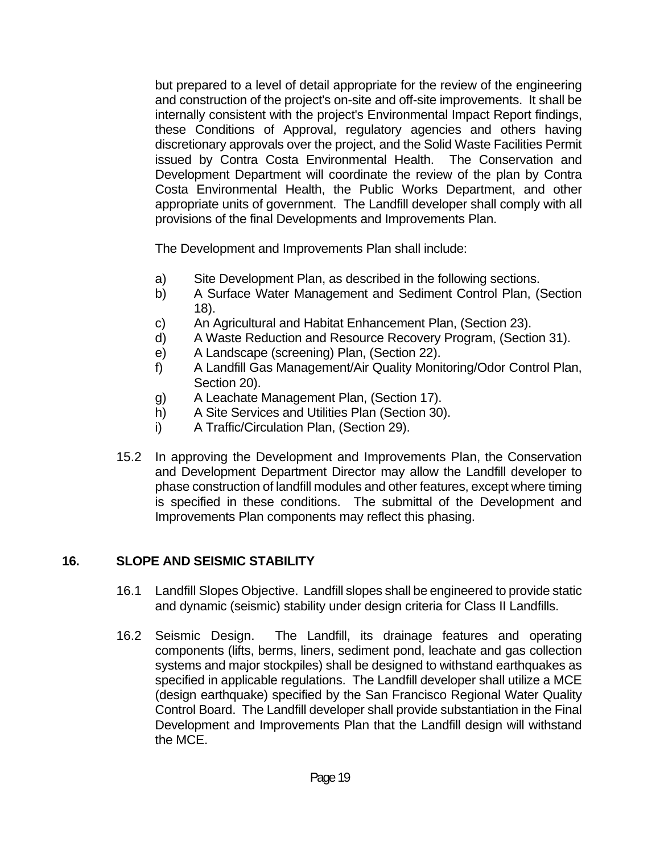but prepared to a level of detail appropriate for the review of the engineering and construction of the project's on-site and off-site improvements. It shall be internally consistent with the project's Environmental Impact Report findings, these Conditions of Approval, regulatory agencies and others having discretionary approvals over the project, and the Solid Waste Facilities Permit issued by Contra Costa Environmental Health. The Conservation and Development Department will coordinate the review of the plan by Contra Costa Environmental Health, the Public Works Department, and other appropriate units of government. The Landfill developer shall comply with all provisions of the final Developments and Improvements Plan.

The Development and Improvements Plan shall include:

- a) Site Development Plan, as described in the following sections.
- b) A Surface Water Management and Sediment Control Plan, (Section 18).
- c) An Agricultural and Habitat Enhancement Plan, (Section 23).
- d) A Waste Reduction and Resource Recovery Program, (Section 31).
- e) A Landscape (screening) Plan, (Section 22).
- f) A Landfill Gas Management/Air Quality Monitoring/Odor Control Plan, Section 20).
- g) A Leachate Management Plan, (Section 17).
- h) A Site Services and Utilities Plan (Section 30).
- i) A Traffic/Circulation Plan, (Section 29).
- 15.2 In approving the Development and Improvements Plan, the Conservation and Development Department Director may allow the Landfill developer to phase construction of landfill modules and other features, except where timing is specified in these conditions. The submittal of the Development and Improvements Plan components may reflect this phasing.

# **16. SLOPE AND SEISMIC STABILITY**

- 16.1 Landfill Slopes Objective. Landfill slopes shall be engineered to provide static and dynamic (seismic) stability under design criteria for Class II Landfills.
- 16.2 Seismic Design. The Landfill, its drainage features and operating components (lifts, berms, liners, sediment pond, leachate and gas collection systems and major stockpiles) shall be designed to withstand earthquakes as specified in applicable regulations. The Landfill developer shall utilize a MCE (design earthquake) specified by the San Francisco Regional Water Quality Control Board. The Landfill developer shall provide substantiation in the Final Development and Improvements Plan that the Landfill design will withstand the MCE.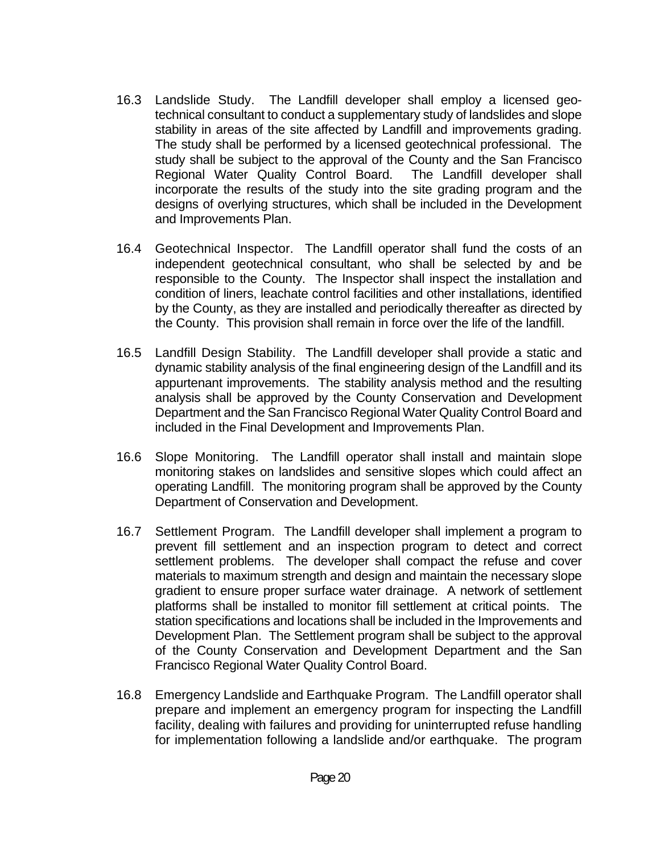- 16.3 Landslide Study. The Landfill developer shall employ a licensed geotechnical consultant to conduct a supplementary study of landslides and slope stability in areas of the site affected by Landfill and improvements grading. The study shall be performed by a licensed geotechnical professional. The study shall be subject to the approval of the County and the San Francisco Regional Water Quality Control Board. The Landfill developer shall incorporate the results of the study into the site grading program and the designs of overlying structures, which shall be included in the Development and Improvements Plan.
- 16.4 Geotechnical Inspector. The Landfill operator shall fund the costs of an independent geotechnical consultant, who shall be selected by and be responsible to the County. The Inspector shall inspect the installation and condition of liners, leachate control facilities and other installations, identified by the County, as they are installed and periodically thereafter as directed by the County. This provision shall remain in force over the life of the landfill.
- 16.5 Landfill Design Stability. The Landfill developer shall provide a static and dynamic stability analysis of the final engineering design of the Landfill and its appurtenant improvements. The stability analysis method and the resulting analysis shall be approved by the County Conservation and Development Department and the San Francisco Regional Water Quality Control Board and included in the Final Development and Improvements Plan.
- 16.6 Slope Monitoring. The Landfill operator shall install and maintain slope monitoring stakes on landslides and sensitive slopes which could affect an operating Landfill. The monitoring program shall be approved by the County Department of Conservation and Development.
- 16.7 Settlement Program. The Landfill developer shall implement a program to prevent fill settlement and an inspection program to detect and correct settlement problems. The developer shall compact the refuse and cover materials to maximum strength and design and maintain the necessary slope gradient to ensure proper surface water drainage. A network of settlement platforms shall be installed to monitor fill settlement at critical points. The station specifications and locations shall be included in the Improvements and Development Plan. The Settlement program shall be subject to the approval of the County Conservation and Development Department and the San Francisco Regional Water Quality Control Board.
- 16.8 Emergency Landslide and Earthquake Program. The Landfill operator shall prepare and implement an emergency program for inspecting the Landfill facility, dealing with failures and providing for uninterrupted refuse handling for implementation following a landslide and/or earthquake. The program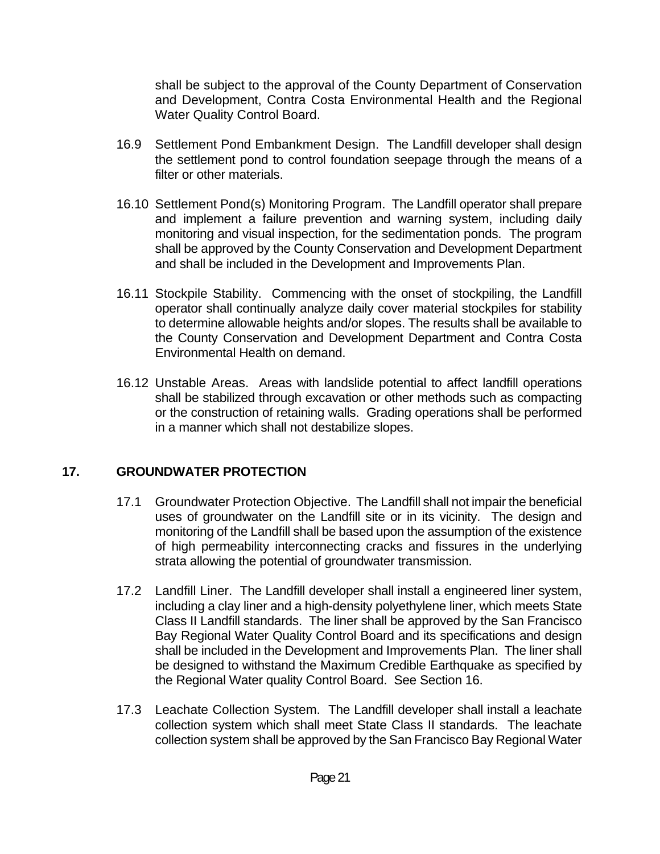shall be subject to the approval of the County Department of Conservation and Development, Contra Costa Environmental Health and the Regional Water Quality Control Board.

- 16.9 Settlement Pond Embankment Design. The Landfill developer shall design the settlement pond to control foundation seepage through the means of a filter or other materials.
- 16.10 Settlement Pond(s) Monitoring Program. The Landfill operator shall prepare and implement a failure prevention and warning system, including daily monitoring and visual inspection, for the sedimentation ponds. The program shall be approved by the County Conservation and Development Department and shall be included in the Development and Improvements Plan.
- 16.11 Stockpile Stability. Commencing with the onset of stockpiling, the Landfill operator shall continually analyze daily cover material stockpiles for stability to determine allowable heights and/or slopes. The results shall be available to the County Conservation and Development Department and Contra Costa Environmental Health on demand.
- 16.12 Unstable Areas. Areas with landslide potential to affect landfill operations shall be stabilized through excavation or other methods such as compacting or the construction of retaining walls. Grading operations shall be performed in a manner which shall not destabilize slopes.

#### **17. GROUNDWATER PROTECTION**

- 17.1 Groundwater Protection Objective. The Landfill shall not impair the beneficial uses of groundwater on the Landfill site or in its vicinity. The design and monitoring of the Landfill shall be based upon the assumption of the existence of high permeability interconnecting cracks and fissures in the underlying strata allowing the potential of groundwater transmission.
- 17.2 Landfill Liner. The Landfill developer shall install a engineered liner system, including a clay liner and a high-density polyethylene liner, which meets State Class II Landfill standards. The liner shall be approved by the San Francisco Bay Regional Water Quality Control Board and its specifications and design shall be included in the Development and Improvements Plan. The liner shall be designed to withstand the Maximum Credible Earthquake as specified by the Regional Water quality Control Board. See Section 16.
- 17.3 Leachate Collection System. The Landfill developer shall install a leachate collection system which shall meet State Class II standards. The leachate collection system shall be approved by the San Francisco Bay Regional Water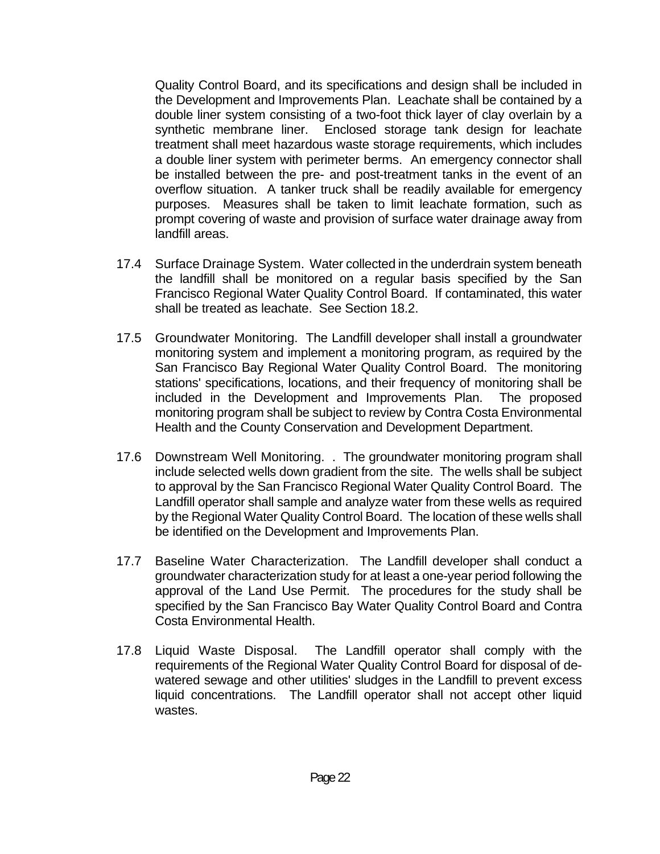Quality Control Board, and its specifications and design shall be included in the Development and Improvements Plan. Leachate shall be contained by a double liner system consisting of a two-foot thick layer of clay overlain by a synthetic membrane liner. Enclosed storage tank design for leachate treatment shall meet hazardous waste storage requirements, which includes a double liner system with perimeter berms. An emergency connector shall be installed between the pre- and post-treatment tanks in the event of an overflow situation. A tanker truck shall be readily available for emergency purposes. Measures shall be taken to limit leachate formation, such as prompt covering of waste and provision of surface water drainage away from landfill areas.

- 17.4 Surface Drainage System. Water collected in the underdrain system beneath the landfill shall be monitored on a regular basis specified by the San Francisco Regional Water Quality Control Board. If contaminated, this water shall be treated as leachate. See Section 18.2.
- 17.5 Groundwater Monitoring. The Landfill developer shall install a groundwater monitoring system and implement a monitoring program, as required by the San Francisco Bay Regional Water Quality Control Board. The monitoring stations' specifications, locations, and their frequency of monitoring shall be included in the Development and Improvements Plan. The proposed monitoring program shall be subject to review by Contra Costa Environmental Health and the County Conservation and Development Department.
- 17.6 Downstream Well Monitoring. . The groundwater monitoring program shall include selected wells down gradient from the site. The wells shall be subject to approval by the San Francisco Regional Water Quality Control Board. The Landfill operator shall sample and analyze water from these wells as required by the Regional Water Quality Control Board. The location of these wells shall be identified on the Development and Improvements Plan.
- 17.7 Baseline Water Characterization. The Landfill developer shall conduct a groundwater characterization study for at least a one-year period following the approval of the Land Use Permit. The procedures for the study shall be specified by the San Francisco Bay Water Quality Control Board and Contra Costa Environmental Health.
- 17.8 Liquid Waste Disposal. The Landfill operator shall comply with the requirements of the Regional Water Quality Control Board for disposal of dewatered sewage and other utilities' sludges in the Landfill to prevent excess liquid concentrations. The Landfill operator shall not accept other liquid wastes.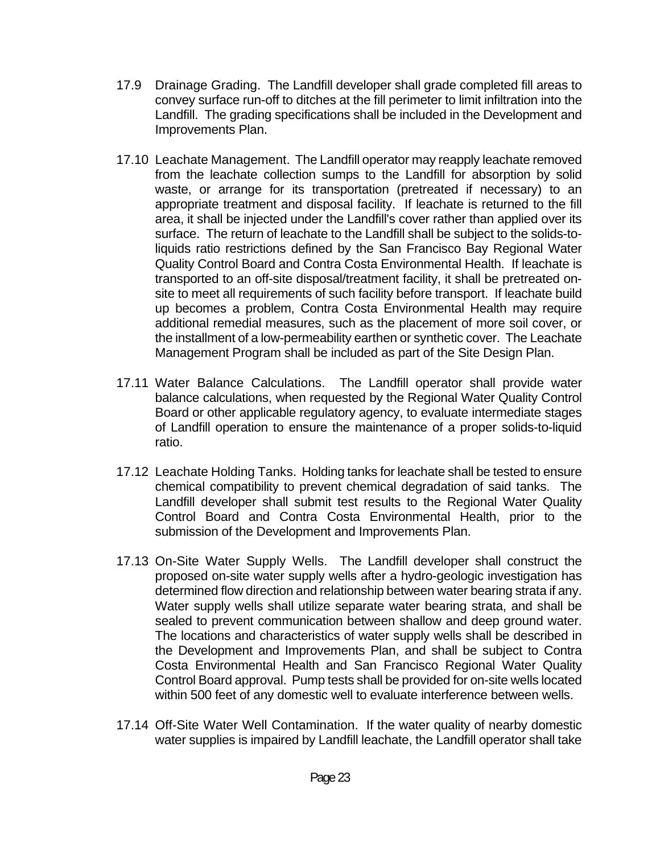- 17.9 Drainage Grading. The Landfill developer shall grade completed fill areas to convey surface run-off to ditches at the fill perimeter to limit infiltration into the Landfill. The grading specifications shall be included in the Development and Improvements Plan.
- 17.10 Leachate Management. The Landfill operator may reapply leachate removed from the leachate collection sumps to the Landfill for absorption by solid waste, or arrange for its transportation (pretreated if necessary) to an appropriate treatment and disposal facility. If leachate is returned to the fill area, it shall be injected under the Landfill's cover rather than applied over its surface. The return of leachate to the Landfill shall be subject to the solids-toliquids ratio restrictions defined by the San Francisco Bay Regional Water Quality Control Board and Contra Costa Environmental Health. If leachate is transported to an off-site disposal/treatment facility, it shall be pretreated onsite to meet all requirements of such facility before transport. If leachate build up becomes a problem, Contra Costa Environmental Health may require additional remedial measures, such as the placement of more soil cover, or the installment of a low-permeability earthen or synthetic cover. The Leachate Management Program shall be included as part of the Site Design Plan.
- 17.11 Water Balance Calculations. The Landfill operator shall provide water balance calculations, when requested by the Regional Water Quality Control Board or other applicable regulatory agency, to evaluate intermediate stages of Landfill operation to ensure the maintenance of a proper solids-to-liquid ratio.
- 17.12 Leachate Holding Tanks. Holding tanks for leachate shall be tested to ensure chemical compatibility to prevent chemical degradation of said tanks. The Landfill developer shall submit test results to the Regional Water Quality Control Board and Contra Costa Environmental Health, prior to the submission of the Development and Improvements Plan.
- 17.13 On-Site Water Supply Wells. The Landfill developer shall construct the proposed on-site water supply wells after a hydro-geologic investigation has determined flow direction and relationship between water bearing strata if any. Water supply wells shall utilize separate water bearing strata, and shall be sealed to prevent communication between shallow and deep ground water. The locations and characteristics of water supply wells shall be described in the Development and Improvements Plan, and shall be subject to Contra Costa Environmental Health and San Francisco Regional Water Quality Control Board approval. Pump tests shall be provided for on-site wells located within 500 feet of any domestic well to evaluate interference between wells.
- 17.14 Off-Site Water Well Contamination. If the water quality of nearby domestic water supplies is impaired by Landfill leachate, the Landfill operator shall take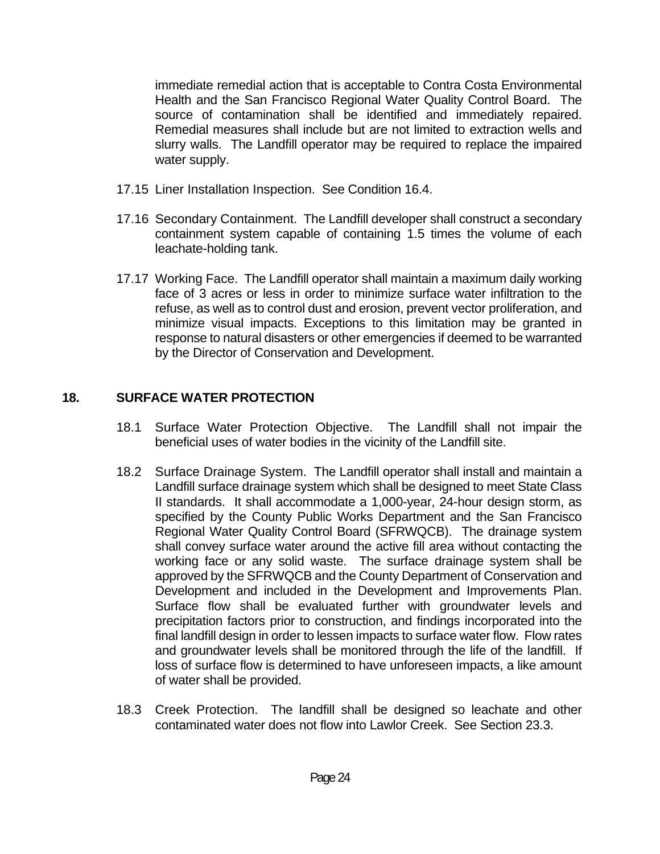immediate remedial action that is acceptable to Contra Costa Environmental Health and the San Francisco Regional Water Quality Control Board. The source of contamination shall be identified and immediately repaired. Remedial measures shall include but are not limited to extraction wells and slurry walls. The Landfill operator may be required to replace the impaired water supply.

- 17.15 Liner Installation Inspection. See Condition 16.4.
- 17.16 Secondary Containment. The Landfill developer shall construct a secondary containment system capable of containing 1.5 times the volume of each leachate-holding tank.
- 17.17 Working Face. The Landfill operator shall maintain a maximum daily working face of 3 acres or less in order to minimize surface water infiltration to the refuse, as well as to control dust and erosion, prevent vector proliferation, and minimize visual impacts. Exceptions to this limitation may be granted in response to natural disasters or other emergencies if deemed to be warranted by the Director of Conservation and Development.

## **18. SURFACE WATER PROTECTION**

- 18.1 Surface Water Protection Objective. The Landfill shall not impair the beneficial uses of water bodies in the vicinity of the Landfill site.
- 18.2 Surface Drainage System. The Landfill operator shall install and maintain a Landfill surface drainage system which shall be designed to meet State Class II standards. It shall accommodate a 1,000-year, 24-hour design storm, as specified by the County Public Works Department and the San Francisco Regional Water Quality Control Board (SFRWQCB). The drainage system shall convey surface water around the active fill area without contacting the working face or any solid waste. The surface drainage system shall be approved by the SFRWQCB and the County Department of Conservation and Development and included in the Development and Improvements Plan. Surface flow shall be evaluated further with groundwater levels and precipitation factors prior to construction, and findings incorporated into the final landfill design in order to lessen impacts to surface water flow. Flow rates and groundwater levels shall be monitored through the life of the landfill. If loss of surface flow is determined to have unforeseen impacts, a like amount of water shall be provided.
- 18.3 Creek Protection. The landfill shall be designed so leachate and other contaminated water does not flow into Lawlor Creek. See Section 23.3.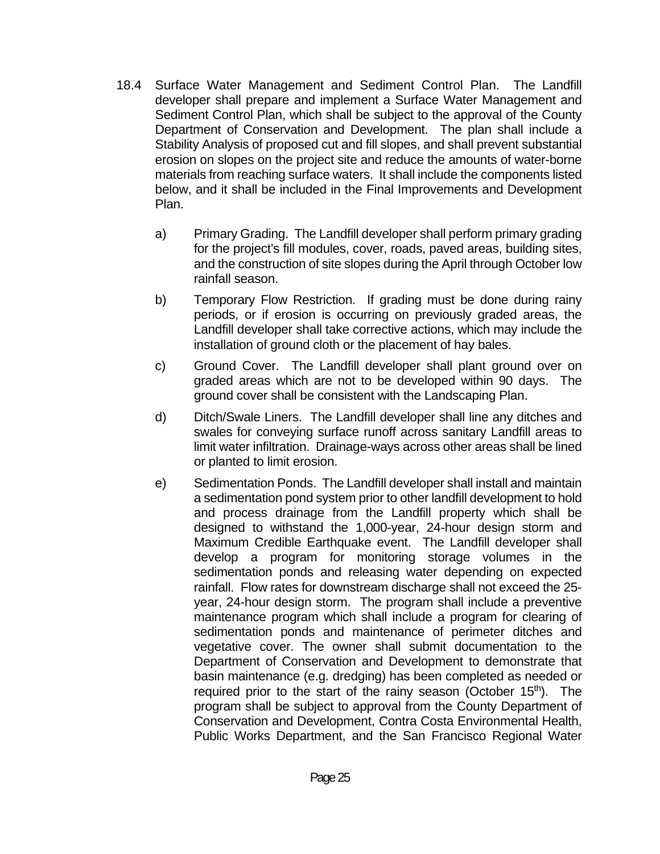- 18.4 Surface Water Management and Sediment Control Plan. The Landfill developer shall prepare and implement a Surface Water Management and Sediment Control Plan, which shall be subject to the approval of the County Department of Conservation and Development. The plan shall include a Stability Analysis of proposed cut and fill slopes, and shall prevent substantial erosion on slopes on the project site and reduce the amounts of water-borne materials from reaching surface waters. It shall include the components listed below, and it shall be included in the Final Improvements and Development Plan.
	- a) Primary Grading. The Landfill developer shall perform primary grading for the project's fill modules, cover, roads, paved areas, building sites, and the construction of site slopes during the April through October low rainfall season.
	- b) Temporary Flow Restriction. If grading must be done during rainy periods, or if erosion is occurring on previously graded areas, the Landfill developer shall take corrective actions, which may include the installation of ground cloth or the placement of hay bales.
	- c) Ground Cover. The Landfill developer shall plant ground over on graded areas which are not to be developed within 90 days. The ground cover shall be consistent with the Landscaping Plan.
	- d) Ditch/Swale Liners. The Landfill developer shall line any ditches and swales for conveying surface runoff across sanitary Landfill areas to limit water infiltration. Drainage-ways across other areas shall be lined or planted to limit erosion.
	- e) Sedimentation Ponds. The Landfill developer shall install and maintain a sedimentation pond system prior to other landfill development to hold and process drainage from the Landfill property which shall be designed to withstand the 1,000-year, 24-hour design storm and Maximum Credible Earthquake event. The Landfill developer shall develop a program for monitoring storage volumes in the sedimentation ponds and releasing water depending on expected rainfall. Flow rates for downstream discharge shall not exceed the 25 year, 24-hour design storm. The program shall include a preventive maintenance program which shall include a program for clearing of sedimentation ponds and maintenance of perimeter ditches and vegetative cover. The owner shall submit documentation to the Department of Conservation and Development to demonstrate that basin maintenance (e.g. dredging) has been completed as needed or required prior to the start of the rainy season (October 15<sup>th</sup>). The program shall be subject to approval from the County Department of Conservation and Development, Contra Costa Environmental Health, Public Works Department, and the San Francisco Regional Water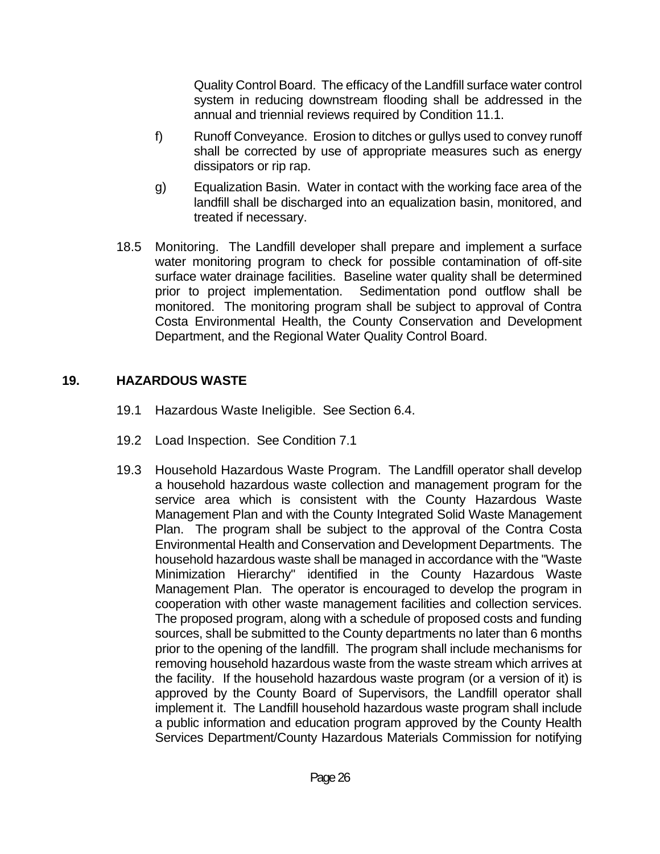Quality Control Board. The efficacy of the Landfill surface water control system in reducing downstream flooding shall be addressed in the annual and triennial reviews required by Condition 11.1.

- f) Runoff Conveyance. Erosion to ditches or gullys used to convey runoff shall be corrected by use of appropriate measures such as energy dissipators or rip rap.
- g) Equalization Basin. Water in contact with the working face area of the landfill shall be discharged into an equalization basin, monitored, and treated if necessary.
- 18.5 Monitoring. The Landfill developer shall prepare and implement a surface water monitoring program to check for possible contamination of off-site surface water drainage facilities. Baseline water quality shall be determined prior to project implementation. Sedimentation pond outflow shall be monitored. The monitoring program shall be subject to approval of Contra Costa Environmental Health, the County Conservation and Development Department, and the Regional Water Quality Control Board.

#### **19. HAZARDOUS WASTE**

- 19.1 Hazardous Waste Ineligible. See Section 6.4.
- 19.2 Load Inspection. See Condition 7.1
- 19.3 Household Hazardous Waste Program. The Landfill operator shall develop a household hazardous waste collection and management program for the service area which is consistent with the County Hazardous Waste Management Plan and with the County Integrated Solid Waste Management Plan. The program shall be subject to the approval of the Contra Costa Environmental Health and Conservation and Development Departments. The household hazardous waste shall be managed in accordance with the "Waste Minimization Hierarchy" identified in the County Hazardous Waste Management Plan. The operator is encouraged to develop the program in cooperation with other waste management facilities and collection services. The proposed program, along with a schedule of proposed costs and funding sources, shall be submitted to the County departments no later than 6 months prior to the opening of the landfill. The program shall include mechanisms for removing household hazardous waste from the waste stream which arrives at the facility. If the household hazardous waste program (or a version of it) is approved by the County Board of Supervisors, the Landfill operator shall implement it. The Landfill household hazardous waste program shall include a public information and education program approved by the County Health Services Department/County Hazardous Materials Commission for notifying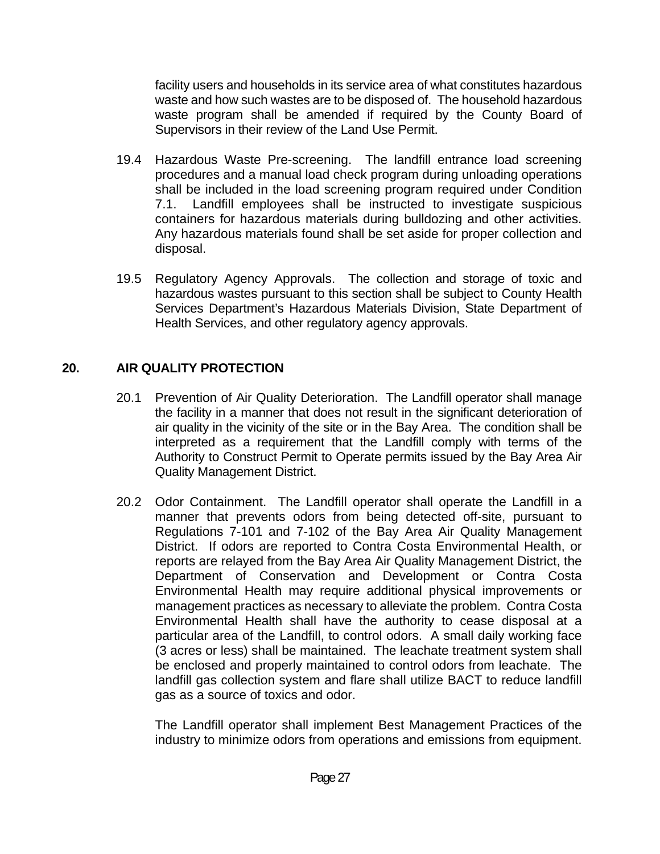facility users and households in its service area of what constitutes hazardous waste and how such wastes are to be disposed of. The household hazardous waste program shall be amended if required by the County Board of Supervisors in their review of the Land Use Permit.

- 19.4 Hazardous Waste Pre-screening. The landfill entrance load screening procedures and a manual load check program during unloading operations shall be included in the load screening program required under Condition 7.1. Landfill employees shall be instructed to investigate suspicious containers for hazardous materials during bulldozing and other activities. Any hazardous materials found shall be set aside for proper collection and disposal.
- 19.5 Regulatory Agency Approvals. The collection and storage of toxic and hazardous wastes pursuant to this section shall be subject to County Health Services Department's Hazardous Materials Division, State Department of Health Services, and other regulatory agency approvals.

## **20. AIR QUALITY PROTECTION**

- 20.1 Prevention of Air Quality Deterioration. The Landfill operator shall manage the facility in a manner that does not result in the significant deterioration of air quality in the vicinity of the site or in the Bay Area. The condition shall be interpreted as a requirement that the Landfill comply with terms of the Authority to Construct Permit to Operate permits issued by the Bay Area Air Quality Management District.
- 20.2 Odor Containment. The Landfill operator shall operate the Landfill in a manner that prevents odors from being detected off-site, pursuant to Regulations 7-101 and 7-102 of the Bay Area Air Quality Management District. If odors are reported to Contra Costa Environmental Health, or reports are relayed from the Bay Area Air Quality Management District, the Department of Conservation and Development or Contra Costa Environmental Health may require additional physical improvements or management practices as necessary to alleviate the problem. Contra Costa Environmental Health shall have the authority to cease disposal at a particular area of the Landfill, to control odors. A small daily working face (3 acres or less) shall be maintained. The leachate treatment system shall be enclosed and properly maintained to control odors from leachate. The landfill gas collection system and flare shall utilize BACT to reduce landfill gas as a source of toxics and odor.

The Landfill operator shall implement Best Management Practices of the industry to minimize odors from operations and emissions from equipment.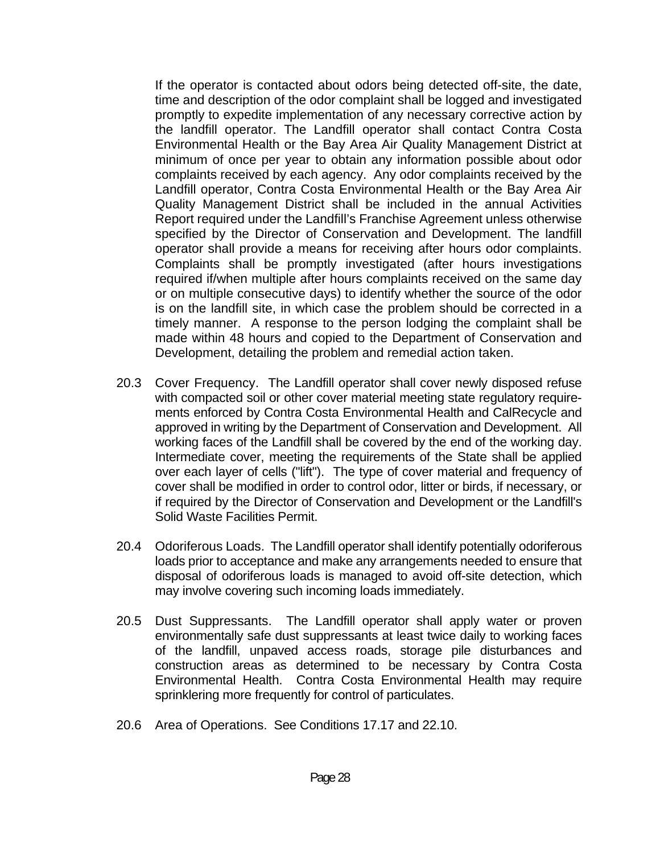If the operator is contacted about odors being detected off-site, the date, time and description of the odor complaint shall be logged and investigated promptly to expedite implementation of any necessary corrective action by the landfill operator. The Landfill operator shall contact Contra Costa Environmental Health or the Bay Area Air Quality Management District at minimum of once per year to obtain any information possible about odor complaints received by each agency. Any odor complaints received by the Landfill operator, Contra Costa Environmental Health or the Bay Area Air Quality Management District shall be included in the annual Activities Report required under the Landfill's Franchise Agreement unless otherwise specified by the Director of Conservation and Development. The landfill operator shall provide a means for receiving after hours odor complaints. Complaints shall be promptly investigated (after hours investigations required if/when multiple after hours complaints received on the same day or on multiple consecutive days) to identify whether the source of the odor is on the landfill site, in which case the problem should be corrected in a timely manner. A response to the person lodging the complaint shall be made within 48 hours and copied to the Department of Conservation and Development, detailing the problem and remedial action taken.

- 20.3 Cover Frequency. The Landfill operator shall cover newly disposed refuse with compacted soil or other cover material meeting state regulatory requirements enforced by Contra Costa Environmental Health and CalRecycle and approved in writing by the Department of Conservation and Development. All working faces of the Landfill shall be covered by the end of the working day. Intermediate cover, meeting the requirements of the State shall be applied over each layer of cells ("lift"). The type of cover material and frequency of cover shall be modified in order to control odor, litter or birds, if necessary, or if required by the Director of Conservation and Development or the Landfill's Solid Waste Facilities Permit.
- 20.4 Odoriferous Loads. The Landfill operator shall identify potentially odoriferous loads prior to acceptance and make any arrangements needed to ensure that disposal of odoriferous loads is managed to avoid off-site detection, which may involve covering such incoming loads immediately.
- 20.5 Dust Suppressants. The Landfill operator shall apply water or proven environmentally safe dust suppressants at least twice daily to working faces of the landfill, unpaved access roads, storage pile disturbances and construction areas as determined to be necessary by Contra Costa Environmental Health. Contra Costa Environmental Health may require sprinklering more frequently for control of particulates.
- 20.6 Area of Operations. See Conditions 17.17 and 22.10.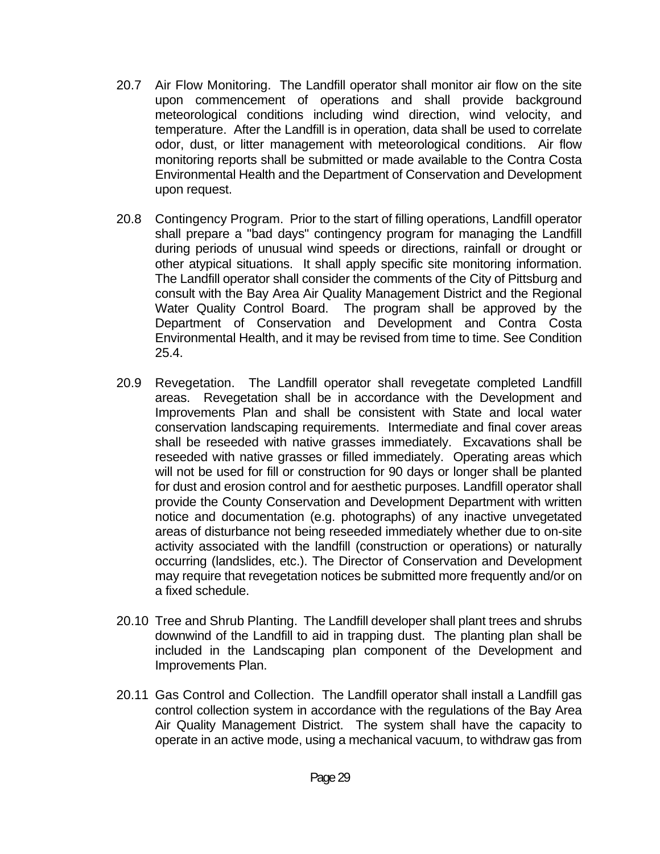- 20.7 Air Flow Monitoring. The Landfill operator shall monitor air flow on the site upon commencement of operations and shall provide background meteorological conditions including wind direction, wind velocity, and temperature. After the Landfill is in operation, data shall be used to correlate odor, dust, or litter management with meteorological conditions. Air flow monitoring reports shall be submitted or made available to the Contra Costa Environmental Health and the Department of Conservation and Development upon request.
- 20.8 Contingency Program. Prior to the start of filling operations, Landfill operator shall prepare a "bad days" contingency program for managing the Landfill during periods of unusual wind speeds or directions, rainfall or drought or other atypical situations. It shall apply specific site monitoring information. The Landfill operator shall consider the comments of the City of Pittsburg and consult with the Bay Area Air Quality Management District and the Regional Water Quality Control Board. The program shall be approved by the Department of Conservation and Development and Contra Costa Environmental Health, and it may be revised from time to time. See Condition 25.4.
- 20.9 Revegetation. The Landfill operator shall revegetate completed Landfill areas. Revegetation shall be in accordance with the Development and Improvements Plan and shall be consistent with State and local water conservation landscaping requirements. Intermediate and final cover areas shall be reseeded with native grasses immediately. Excavations shall be reseeded with native grasses or filled immediately. Operating areas which will not be used for fill or construction for 90 days or longer shall be planted for dust and erosion control and for aesthetic purposes. Landfill operator shall provide the County Conservation and Development Department with written notice and documentation (e.g. photographs) of any inactive unvegetated areas of disturbance not being reseeded immediately whether due to on-site activity associated with the landfill (construction or operations) or naturally occurring (landslides, etc.). The Director of Conservation and Development may require that revegetation notices be submitted more frequently and/or on a fixed schedule.
- 20.10 Tree and Shrub Planting. The Landfill developer shall plant trees and shrubs downwind of the Landfill to aid in trapping dust. The planting plan shall be included in the Landscaping plan component of the Development and Improvements Plan.
- 20.11 Gas Control and Collection. The Landfill operator shall install a Landfill gas control collection system in accordance with the regulations of the Bay Area Air Quality Management District. The system shall have the capacity to operate in an active mode, using a mechanical vacuum, to withdraw gas from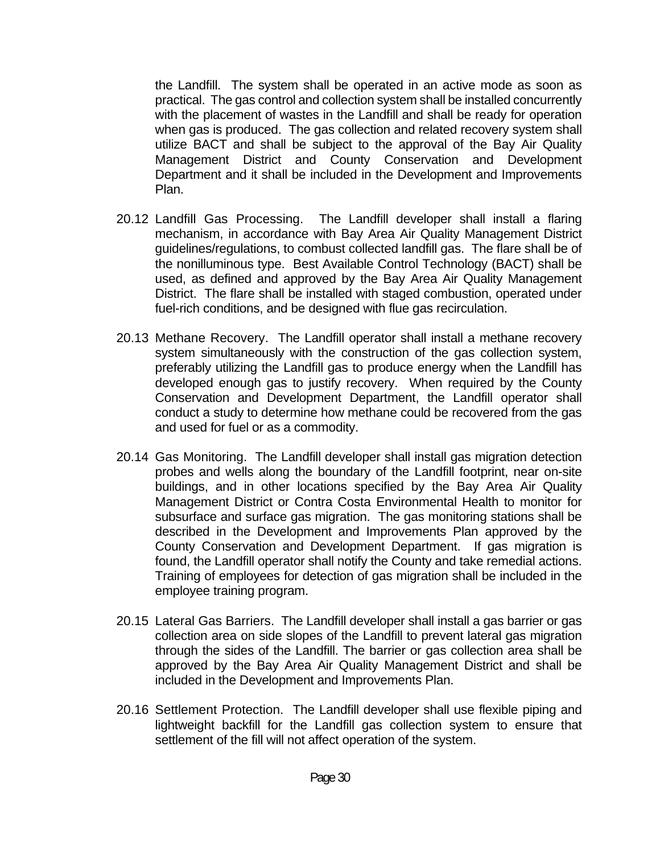the Landfill. The system shall be operated in an active mode as soon as practical. The gas control and collection system shall be installed concurrently with the placement of wastes in the Landfill and shall be ready for operation when gas is produced. The gas collection and related recovery system shall utilize BACT and shall be subject to the approval of the Bay Air Quality Management District and County Conservation and Development Department and it shall be included in the Development and Improvements Plan.

- 20.12 Landfill Gas Processing. The Landfill developer shall install a flaring mechanism, in accordance with Bay Area Air Quality Management District guidelines/regulations, to combust collected landfill gas. The flare shall be of the nonilluminous type. Best Available Control Technology (BACT) shall be used, as defined and approved by the Bay Area Air Quality Management District. The flare shall be installed with staged combustion, operated under fuel-rich conditions, and be designed with flue gas recirculation.
- 20.13 Methane Recovery. The Landfill operator shall install a methane recovery system simultaneously with the construction of the gas collection system, preferably utilizing the Landfill gas to produce energy when the Landfill has developed enough gas to justify recovery. When required by the County Conservation and Development Department, the Landfill operator shall conduct a study to determine how methane could be recovered from the gas and used for fuel or as a commodity.
- 20.14 Gas Monitoring. The Landfill developer shall install gas migration detection probes and wells along the boundary of the Landfill footprint, near on-site buildings, and in other locations specified by the Bay Area Air Quality Management District or Contra Costa Environmental Health to monitor for subsurface and surface gas migration. The gas monitoring stations shall be described in the Development and Improvements Plan approved by the County Conservation and Development Department. If gas migration is found, the Landfill operator shall notify the County and take remedial actions. Training of employees for detection of gas migration shall be included in the employee training program.
- 20.15 Lateral Gas Barriers. The Landfill developer shall install a gas barrier or gas collection area on side slopes of the Landfill to prevent lateral gas migration through the sides of the Landfill. The barrier or gas collection area shall be approved by the Bay Area Air Quality Management District and shall be included in the Development and Improvements Plan.
- 20.16 Settlement Protection. The Landfill developer shall use flexible piping and lightweight backfill for the Landfill gas collection system to ensure that settlement of the fill will not affect operation of the system.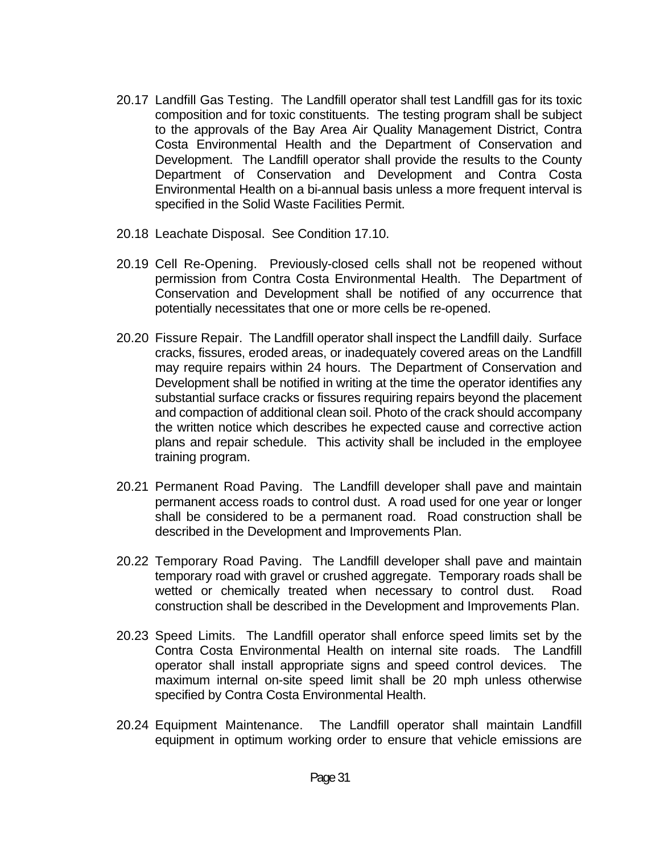- 20.17 Landfill Gas Testing. The Landfill operator shall test Landfill gas for its toxic composition and for toxic constituents. The testing program shall be subject to the approvals of the Bay Area Air Quality Management District, Contra Costa Environmental Health and the Department of Conservation and Development. The Landfill operator shall provide the results to the County Department of Conservation and Development and Contra Costa Environmental Health on a bi-annual basis unless a more frequent interval is specified in the Solid Waste Facilities Permit.
- 20.18 Leachate Disposal. See Condition 17.10.
- 20.19 Cell Re-Opening. Previously-closed cells shall not be reopened without permission from Contra Costa Environmental Health. The Department of Conservation and Development shall be notified of any occurrence that potentially necessitates that one or more cells be re-opened.
- 20.20 Fissure Repair. The Landfill operator shall inspect the Landfill daily. Surface cracks, fissures, eroded areas, or inadequately covered areas on the Landfill may require repairs within 24 hours. The Department of Conservation and Development shall be notified in writing at the time the operator identifies any substantial surface cracks or fissures requiring repairs beyond the placement and compaction of additional clean soil. Photo of the crack should accompany the written notice which describes he expected cause and corrective action plans and repair schedule. This activity shall be included in the employee training program.
- 20.21 Permanent Road Paving. The Landfill developer shall pave and maintain permanent access roads to control dust. A road used for one year or longer shall be considered to be a permanent road. Road construction shall be described in the Development and Improvements Plan.
- 20.22 Temporary Road Paving. The Landfill developer shall pave and maintain temporary road with gravel or crushed aggregate. Temporary roads shall be wetted or chemically treated when necessary to control dust. Road construction shall be described in the Development and Improvements Plan.
- 20.23 Speed Limits. The Landfill operator shall enforce speed limits set by the Contra Costa Environmental Health on internal site roads. The Landfill operator shall install appropriate signs and speed control devices. The maximum internal on-site speed limit shall be 20 mph unless otherwise specified by Contra Costa Environmental Health.
- 20.24 Equipment Maintenance. The Landfill operator shall maintain Landfill equipment in optimum working order to ensure that vehicle emissions are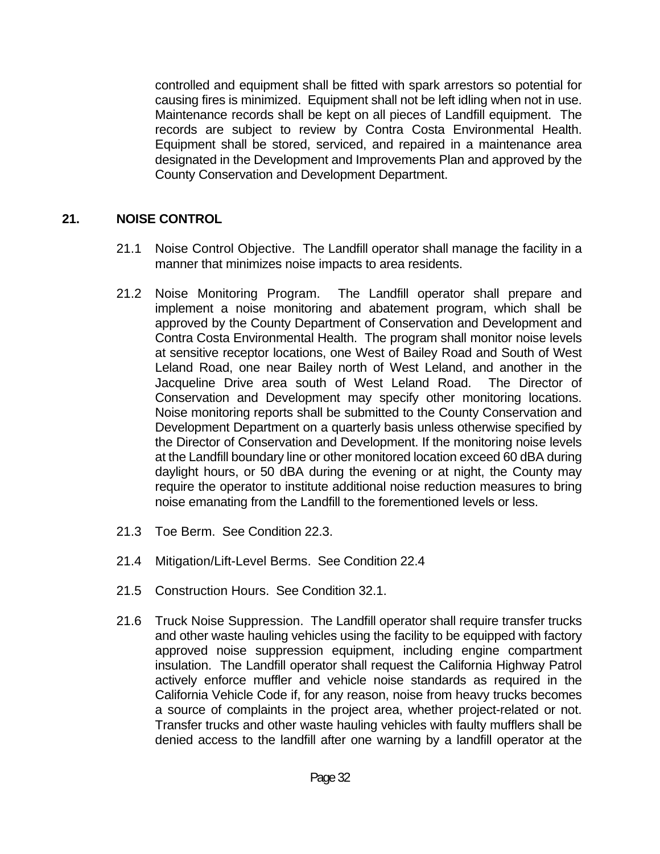controlled and equipment shall be fitted with spark arrestors so potential for causing fires is minimized. Equipment shall not be left idling when not in use. Maintenance records shall be kept on all pieces of Landfill equipment. The records are subject to review by Contra Costa Environmental Health. Equipment shall be stored, serviced, and repaired in a maintenance area designated in the Development and Improvements Plan and approved by the County Conservation and Development Department.

## **21. NOISE CONTROL**

- 21.1 Noise Control Objective. The Landfill operator shall manage the facility in a manner that minimizes noise impacts to area residents.
- 21.2 Noise Monitoring Program. The Landfill operator shall prepare and implement a noise monitoring and abatement program, which shall be approved by the County Department of Conservation and Development and Contra Costa Environmental Health. The program shall monitor noise levels at sensitive receptor locations, one West of Bailey Road and South of West Leland Road, one near Bailey north of West Leland, and another in the Jacqueline Drive area south of West Leland Road. The Director of Conservation and Development may specify other monitoring locations. Noise monitoring reports shall be submitted to the County Conservation and Development Department on a quarterly basis unless otherwise specified by the Director of Conservation and Development. If the monitoring noise levels at the Landfill boundary line or other monitored location exceed 60 dBA during daylight hours, or 50 dBA during the evening or at night, the County may require the operator to institute additional noise reduction measures to bring noise emanating from the Landfill to the forementioned levels or less.
- 21.3 Toe Berm. See Condition 22.3.
- 21.4 Mitigation/Lift-Level Berms. See Condition 22.4
- 21.5 Construction Hours. See Condition 32.1.
- 21.6 Truck Noise Suppression. The Landfill operator shall require transfer trucks and other waste hauling vehicles using the facility to be equipped with factory approved noise suppression equipment, including engine compartment insulation. The Landfill operator shall request the California Highway Patrol actively enforce muffler and vehicle noise standards as required in the California Vehicle Code if, for any reason, noise from heavy trucks becomes a source of complaints in the project area, whether project-related or not. Transfer trucks and other waste hauling vehicles with faulty mufflers shall be denied access to the landfill after one warning by a landfill operator at the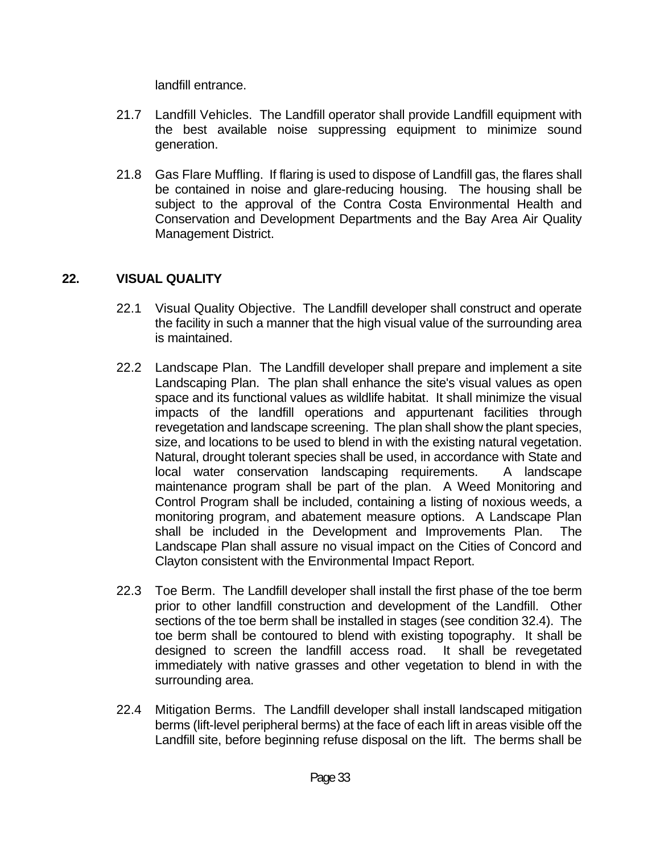landfill entrance.

- 21.7 Landfill Vehicles. The Landfill operator shall provide Landfill equipment with the best available noise suppressing equipment to minimize sound generation.
- 21.8 Gas Flare Muffling. If flaring is used to dispose of Landfill gas, the flares shall be contained in noise and glare-reducing housing. The housing shall be subject to the approval of the Contra Costa Environmental Health and Conservation and Development Departments and the Bay Area Air Quality Management District.

## **22. VISUAL QUALITY**

- 22.1 Visual Quality Objective. The Landfill developer shall construct and operate the facility in such a manner that the high visual value of the surrounding area is maintained.
- 22.2 Landscape Plan. The Landfill developer shall prepare and implement a site Landscaping Plan. The plan shall enhance the site's visual values as open space and its functional values as wildlife habitat. It shall minimize the visual impacts of the landfill operations and appurtenant facilities through revegetation and landscape screening. The plan shall show the plant species, size, and locations to be used to blend in with the existing natural vegetation. Natural, drought tolerant species shall be used, in accordance with State and local water conservation landscaping requirements. A landscape maintenance program shall be part of the plan. A Weed Monitoring and Control Program shall be included, containing a listing of noxious weeds, a monitoring program, and abatement measure options. A Landscape Plan shall be included in the Development and Improvements Plan. The Landscape Plan shall assure no visual impact on the Cities of Concord and Clayton consistent with the Environmental Impact Report.
- 22.3 Toe Berm. The Landfill developer shall install the first phase of the toe berm prior to other landfill construction and development of the Landfill. Other sections of the toe berm shall be installed in stages (see condition 32.4). The toe berm shall be contoured to blend with existing topography. It shall be designed to screen the landfill access road. It shall be revegetated immediately with native grasses and other vegetation to blend in with the surrounding area.
- 22.4 Mitigation Berms. The Landfill developer shall install landscaped mitigation berms (lift-level peripheral berms) at the face of each lift in areas visible off the Landfill site, before beginning refuse disposal on the lift. The berms shall be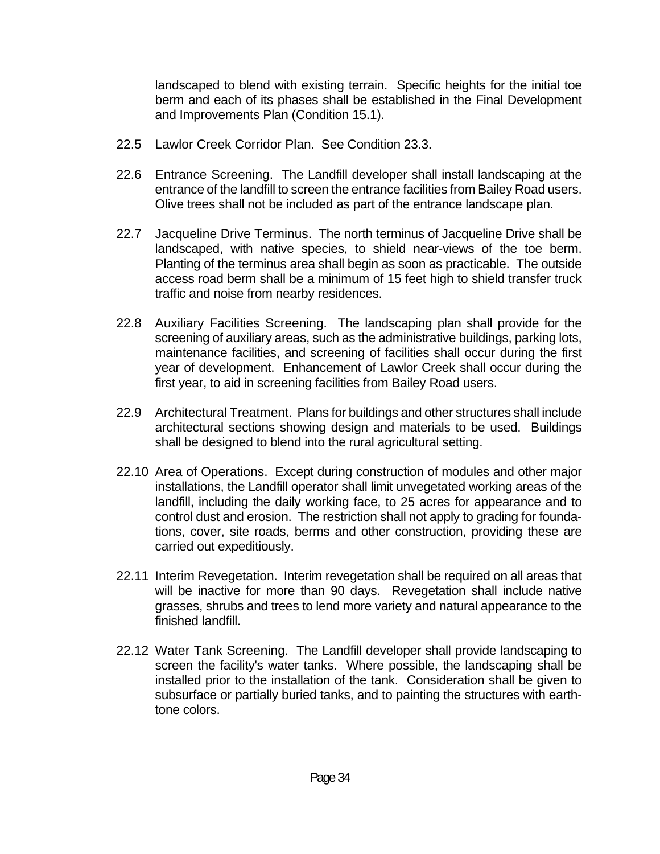landscaped to blend with existing terrain. Specific heights for the initial toe berm and each of its phases shall be established in the Final Development and Improvements Plan (Condition 15.1).

- 22.5 Lawlor Creek Corridor Plan. See Condition 23.3.
- 22.6 Entrance Screening. The Landfill developer shall install landscaping at the entrance of the landfill to screen the entrance facilities from Bailey Road users. Olive trees shall not be included as part of the entrance landscape plan.
- 22.7 Jacqueline Drive Terminus. The north terminus of Jacqueline Drive shall be landscaped, with native species, to shield near-views of the toe berm. Planting of the terminus area shall begin as soon as practicable. The outside access road berm shall be a minimum of 15 feet high to shield transfer truck traffic and noise from nearby residences.
- 22.8 Auxiliary Facilities Screening. The landscaping plan shall provide for the screening of auxiliary areas, such as the administrative buildings, parking lots, maintenance facilities, and screening of facilities shall occur during the first year of development. Enhancement of Lawlor Creek shall occur during the first year, to aid in screening facilities from Bailey Road users.
- 22.9 Architectural Treatment. Plans for buildings and other structures shall include architectural sections showing design and materials to be used. Buildings shall be designed to blend into the rural agricultural setting.
- 22.10 Area of Operations. Except during construction of modules and other major installations, the Landfill operator shall limit unvegetated working areas of the landfill, including the daily working face, to 25 acres for appearance and to control dust and erosion. The restriction shall not apply to grading for foundations, cover, site roads, berms and other construction, providing these are carried out expeditiously.
- 22.11 Interim Revegetation. Interim revegetation shall be required on all areas that will be inactive for more than 90 days. Revegetation shall include native grasses, shrubs and trees to lend more variety and natural appearance to the finished landfill.
- 22.12 Water Tank Screening. The Landfill developer shall provide landscaping to screen the facility's water tanks. Where possible, the landscaping shall be installed prior to the installation of the tank. Consideration shall be given to subsurface or partially buried tanks, and to painting the structures with earthtone colors.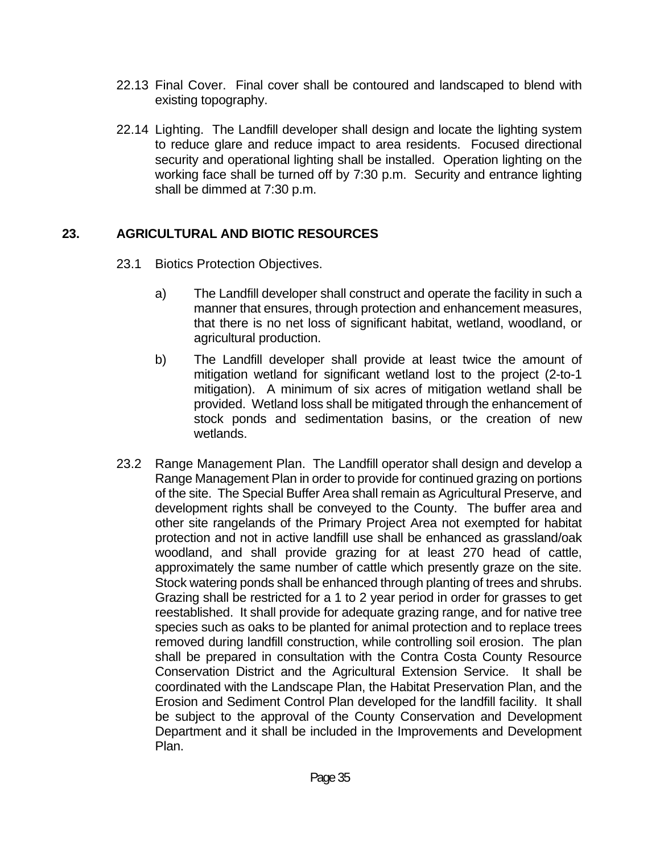- 22.13 Final Cover. Final cover shall be contoured and landscaped to blend with existing topography.
- 22.14 Lighting. The Landfill developer shall design and locate the lighting system to reduce glare and reduce impact to area residents. Focused directional security and operational lighting shall be installed. Operation lighting on the working face shall be turned off by 7:30 p.m. Security and entrance lighting shall be dimmed at 7:30 p.m.

#### **23. AGRICULTURAL AND BIOTIC RESOURCES**

- 23.1 Biotics Protection Objectives.
	- a) The Landfill developer shall construct and operate the facility in such a manner that ensures, through protection and enhancement measures, that there is no net loss of significant habitat, wetland, woodland, or agricultural production.
	- b) The Landfill developer shall provide at least twice the amount of mitigation wetland for significant wetland lost to the project (2-to-1 mitigation). A minimum of six acres of mitigation wetland shall be provided. Wetland loss shall be mitigated through the enhancement of stock ponds and sedimentation basins, or the creation of new wetlands.
- 23.2 Range Management Plan. The Landfill operator shall design and develop a Range Management Plan in order to provide for continued grazing on portions of the site. The Special Buffer Area shall remain as Agricultural Preserve, and development rights shall be conveyed to the County. The buffer area and other site rangelands of the Primary Project Area not exempted for habitat protection and not in active landfill use shall be enhanced as grassland/oak woodland, and shall provide grazing for at least 270 head of cattle, approximately the same number of cattle which presently graze on the site. Stock watering ponds shall be enhanced through planting of trees and shrubs. Grazing shall be restricted for a 1 to 2 year period in order for grasses to get reestablished. It shall provide for adequate grazing range, and for native tree species such as oaks to be planted for animal protection and to replace trees removed during landfill construction, while controlling soil erosion. The plan shall be prepared in consultation with the Contra Costa County Resource Conservation District and the Agricultural Extension Service. It shall be coordinated with the Landscape Plan, the Habitat Preservation Plan, and the Erosion and Sediment Control Plan developed for the landfill facility. It shall be subject to the approval of the County Conservation and Development Department and it shall be included in the Improvements and Development Plan.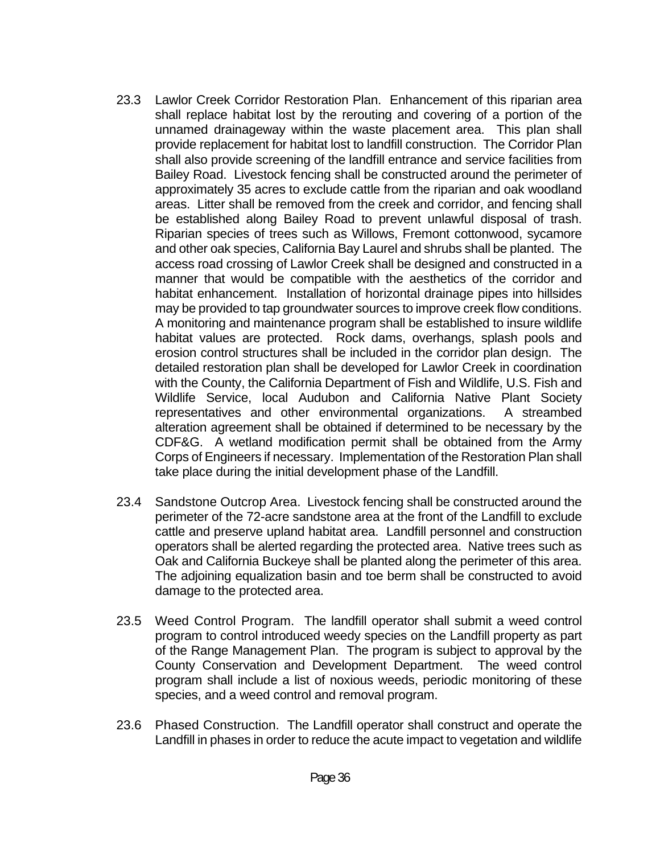- 23.3 Lawlor Creek Corridor Restoration Plan. Enhancement of this riparian area shall replace habitat lost by the rerouting and covering of a portion of the unnamed drainageway within the waste placement area. This plan shall provide replacement for habitat lost to landfill construction. The Corridor Plan shall also provide screening of the landfill entrance and service facilities from Bailey Road. Livestock fencing shall be constructed around the perimeter of approximately 35 acres to exclude cattle from the riparian and oak woodland areas. Litter shall be removed from the creek and corridor, and fencing shall be established along Bailey Road to prevent unlawful disposal of trash. Riparian species of trees such as Willows, Fremont cottonwood, sycamore and other oak species, California Bay Laurel and shrubs shall be planted. The access road crossing of Lawlor Creek shall be designed and constructed in a manner that would be compatible with the aesthetics of the corridor and habitat enhancement. Installation of horizontal drainage pipes into hillsides may be provided to tap groundwater sources to improve creek flow conditions. A monitoring and maintenance program shall be established to insure wildlife habitat values are protected. Rock dams, overhangs, splash pools and erosion control structures shall be included in the corridor plan design. The detailed restoration plan shall be developed for Lawlor Creek in coordination with the County, the California Department of Fish and Wildlife, U.S. Fish and Wildlife Service, local Audubon and California Native Plant Society representatives and other environmental organizations. A streambed alteration agreement shall be obtained if determined to be necessary by the CDF&G. A wetland modification permit shall be obtained from the Army Corps of Engineers if necessary. Implementation of the Restoration Plan shall take place during the initial development phase of the Landfill.
- 23.4 Sandstone Outcrop Area. Livestock fencing shall be constructed around the perimeter of the 72-acre sandstone area at the front of the Landfill to exclude cattle and preserve upland habitat area. Landfill personnel and construction operators shall be alerted regarding the protected area. Native trees such as Oak and California Buckeye shall be planted along the perimeter of this area. The adjoining equalization basin and toe berm shall be constructed to avoid damage to the protected area.
- 23.5 Weed Control Program. The landfill operator shall submit a weed control program to control introduced weedy species on the Landfill property as part of the Range Management Plan. The program is subject to approval by the County Conservation and Development Department. The weed control program shall include a list of noxious weeds, periodic monitoring of these species, and a weed control and removal program.
- 23.6 Phased Construction. The Landfill operator shall construct and operate the Landfill in phases in order to reduce the acute impact to vegetation and wildlife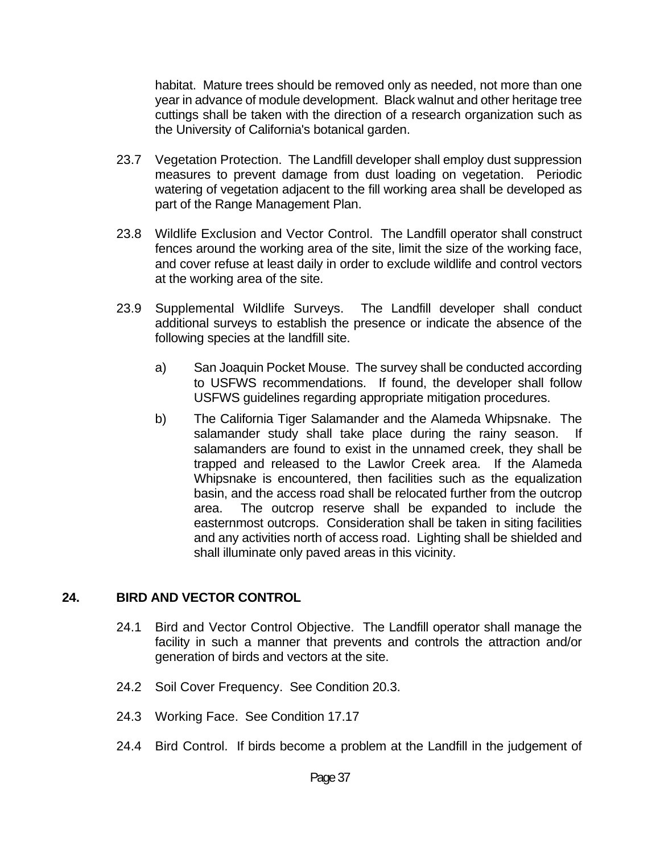habitat. Mature trees should be removed only as needed, not more than one year in advance of module development. Black walnut and other heritage tree cuttings shall be taken with the direction of a research organization such as the University of California's botanical garden.

- 23.7 Vegetation Protection. The Landfill developer shall employ dust suppression measures to prevent damage from dust loading on vegetation. Periodic watering of vegetation adjacent to the fill working area shall be developed as part of the Range Management Plan.
- 23.8 Wildlife Exclusion and Vector Control. The Landfill operator shall construct fences around the working area of the site, limit the size of the working face, and cover refuse at least daily in order to exclude wildlife and control vectors at the working area of the site.
- 23.9 Supplemental Wildlife Surveys. The Landfill developer shall conduct additional surveys to establish the presence or indicate the absence of the following species at the landfill site.
	- a) San Joaquin Pocket Mouse. The survey shall be conducted according to USFWS recommendations. If found, the developer shall follow USFWS guidelines regarding appropriate mitigation procedures.
	- b) The California Tiger Salamander and the Alameda Whipsnake. The salamander study shall take place during the rainy season. If salamanders are found to exist in the unnamed creek, they shall be trapped and released to the Lawlor Creek area. If the Alameda Whipsnake is encountered, then facilities such as the equalization basin, and the access road shall be relocated further from the outcrop area. The outcrop reserve shall be expanded to include the easternmost outcrops. Consideration shall be taken in siting facilities and any activities north of access road. Lighting shall be shielded and shall illuminate only paved areas in this vicinity.

#### **24. BIRD AND VECTOR CONTROL**

- 24.1 Bird and Vector Control Objective. The Landfill operator shall manage the facility in such a manner that prevents and controls the attraction and/or generation of birds and vectors at the site.
- 24.2 Soil Cover Frequency. See Condition 20.3.
- 24.3 Working Face. See Condition 17.17
- 24.4 Bird Control. If birds become a problem at the Landfill in the judgement of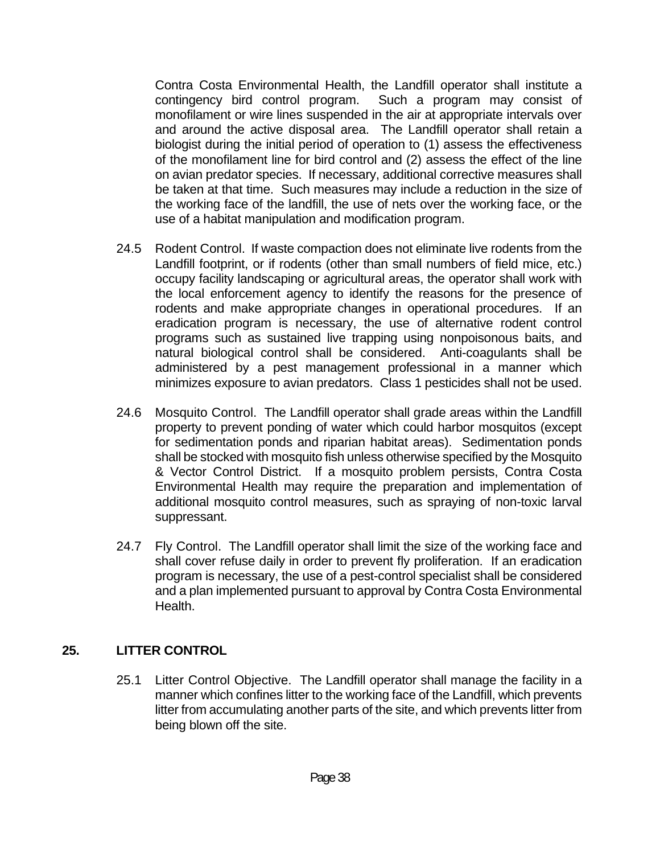Contra Costa Environmental Health, the Landfill operator shall institute a contingency bird control program. Such a program may consist of monofilament or wire lines suspended in the air at appropriate intervals over and around the active disposal area. The Landfill operator shall retain a biologist during the initial period of operation to (1) assess the effectiveness of the monofilament line for bird control and (2) assess the effect of the line on avian predator species. If necessary, additional corrective measures shall be taken at that time. Such measures may include a reduction in the size of the working face of the landfill, the use of nets over the working face, or the use of a habitat manipulation and modification program.

- 24.5 Rodent Control. If waste compaction does not eliminate live rodents from the Landfill footprint, or if rodents (other than small numbers of field mice, etc.) occupy facility landscaping or agricultural areas, the operator shall work with the local enforcement agency to identify the reasons for the presence of rodents and make appropriate changes in operational procedures. If an eradication program is necessary, the use of alternative rodent control programs such as sustained live trapping using nonpoisonous baits, and natural biological control shall be considered. Anti-coagulants shall be administered by a pest management professional in a manner which minimizes exposure to avian predators. Class 1 pesticides shall not be used.
- 24.6 Mosquito Control. The Landfill operator shall grade areas within the Landfill property to prevent ponding of water which could harbor mosquitos (except for sedimentation ponds and riparian habitat areas). Sedimentation ponds shall be stocked with mosquito fish unless otherwise specified by the Mosquito & Vector Control District. If a mosquito problem persists, Contra Costa Environmental Health may require the preparation and implementation of additional mosquito control measures, such as spraying of non-toxic larval suppressant.
- 24.7 Fly Control. The Landfill operator shall limit the size of the working face and shall cover refuse daily in order to prevent fly proliferation. If an eradication program is necessary, the use of a pest-control specialist shall be considered and a plan implemented pursuant to approval by Contra Costa Environmental Health.

## **25. LITTER CONTROL**

 25.1 Litter Control Objective. The Landfill operator shall manage the facility in a manner which confines litter to the working face of the Landfill, which prevents litter from accumulating another parts of the site, and which prevents litter from being blown off the site.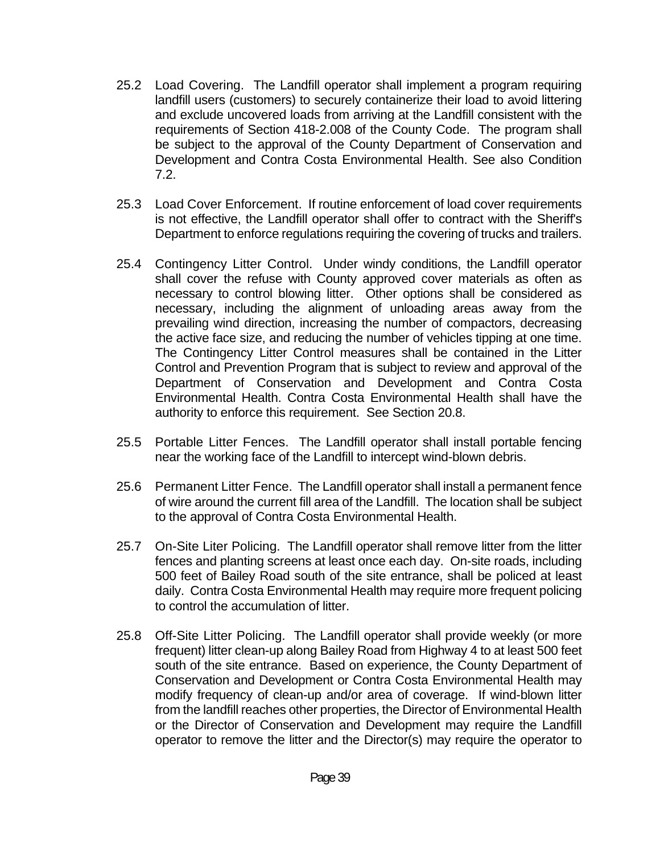- 25.2 Load Covering. The Landfill operator shall implement a program requiring landfill users (customers) to securely containerize their load to avoid littering and exclude uncovered loads from arriving at the Landfill consistent with the requirements of Section 418-2.008 of the County Code. The program shall be subject to the approval of the County Department of Conservation and Development and Contra Costa Environmental Health. See also Condition 7.2.
- 25.3 Load Cover Enforcement. If routine enforcement of load cover requirements is not effective, the Landfill operator shall offer to contract with the Sheriff's Department to enforce regulations requiring the covering of trucks and trailers.
- 25.4 Contingency Litter Control. Under windy conditions, the Landfill operator shall cover the refuse with County approved cover materials as often as necessary to control blowing litter. Other options shall be considered as necessary, including the alignment of unloading areas away from the prevailing wind direction, increasing the number of compactors, decreasing the active face size, and reducing the number of vehicles tipping at one time. The Contingency Litter Control measures shall be contained in the Litter Control and Prevention Program that is subject to review and approval of the Department of Conservation and Development and Contra Costa Environmental Health. Contra Costa Environmental Health shall have the authority to enforce this requirement. See Section 20.8.
- 25.5 Portable Litter Fences. The Landfill operator shall install portable fencing near the working face of the Landfill to intercept wind-blown debris.
- 25.6 Permanent Litter Fence. The Landfill operator shall install a permanent fence of wire around the current fill area of the Landfill. The location shall be subject to the approval of Contra Costa Environmental Health.
- 25.7 On-Site Liter Policing. The Landfill operator shall remove litter from the litter fences and planting screens at least once each day. On-site roads, including 500 feet of Bailey Road south of the site entrance, shall be policed at least daily. Contra Costa Environmental Health may require more frequent policing to control the accumulation of litter.
- 25.8 Off-Site Litter Policing. The Landfill operator shall provide weekly (or more frequent) litter clean-up along Bailey Road from Highway 4 to at least 500 feet south of the site entrance. Based on experience, the County Department of Conservation and Development or Contra Costa Environmental Health may modify frequency of clean-up and/or area of coverage. If wind-blown litter from the landfill reaches other properties, the Director of Environmental Health or the Director of Conservation and Development may require the Landfill operator to remove the litter and the Director(s) may require the operator to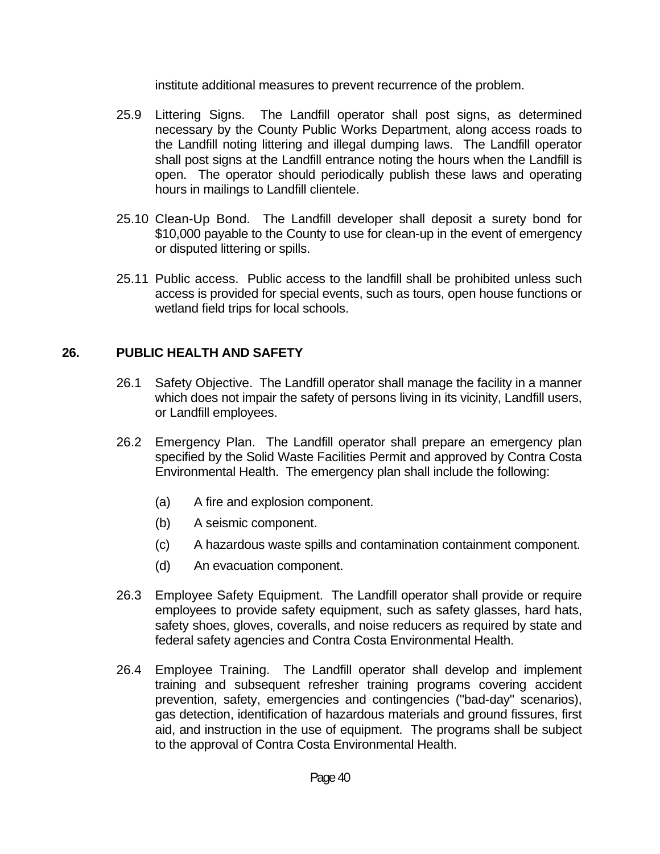institute additional measures to prevent recurrence of the problem.

- 25.9 Littering Signs. The Landfill operator shall post signs, as determined necessary by the County Public Works Department, along access roads to the Landfill noting littering and illegal dumping laws. The Landfill operator shall post signs at the Landfill entrance noting the hours when the Landfill is open. The operator should periodically publish these laws and operating hours in mailings to Landfill clientele.
- 25.10 Clean-Up Bond. The Landfill developer shall deposit a surety bond for \$10,000 payable to the County to use for clean-up in the event of emergency or disputed littering or spills.
- 25.11 Public access. Public access to the landfill shall be prohibited unless such access is provided for special events, such as tours, open house functions or wetland field trips for local schools.

## **26. PUBLIC HEALTH AND SAFETY**

- 26.1 Safety Objective. The Landfill operator shall manage the facility in a manner which does not impair the safety of persons living in its vicinity, Landfill users, or Landfill employees.
- 26.2 Emergency Plan. The Landfill operator shall prepare an emergency plan specified by the Solid Waste Facilities Permit and approved by Contra Costa Environmental Health. The emergency plan shall include the following:
	- (a) A fire and explosion component.
	- (b) A seismic component.
	- (c) A hazardous waste spills and contamination containment component.
	- (d) An evacuation component.
- 26.3 Employee Safety Equipment. The Landfill operator shall provide or require employees to provide safety equipment, such as safety glasses, hard hats, safety shoes, gloves, coveralls, and noise reducers as required by state and federal safety agencies and Contra Costa Environmental Health.
- 26.4 Employee Training. The Landfill operator shall develop and implement training and subsequent refresher training programs covering accident prevention, safety, emergencies and contingencies ("bad-day" scenarios), gas detection, identification of hazardous materials and ground fissures, first aid, and instruction in the use of equipment. The programs shall be subject to the approval of Contra Costa Environmental Health.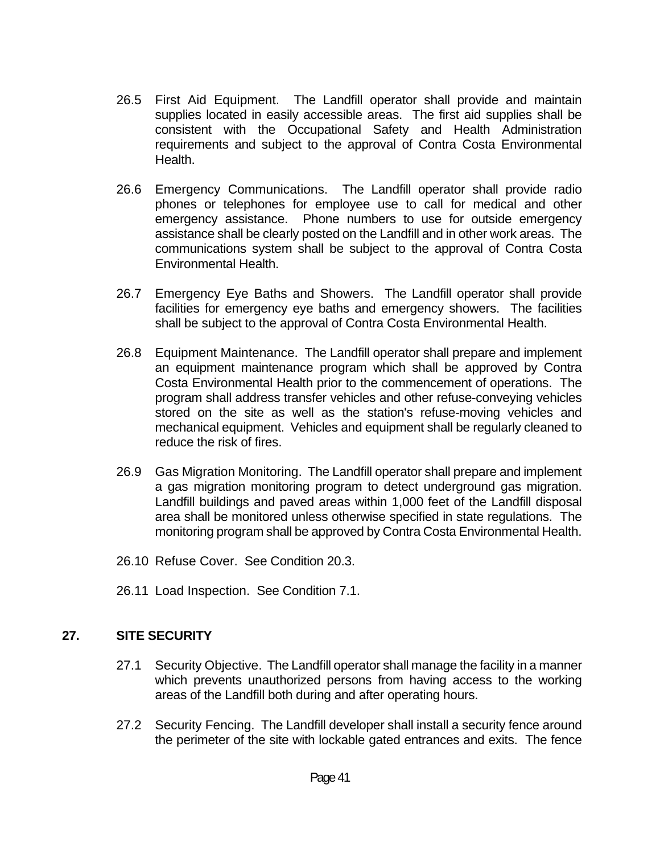- 26.5 First Aid Equipment. The Landfill operator shall provide and maintain supplies located in easily accessible areas. The first aid supplies shall be consistent with the Occupational Safety and Health Administration requirements and subject to the approval of Contra Costa Environmental Health.
- 26.6 Emergency Communications. The Landfill operator shall provide radio phones or telephones for employee use to call for medical and other emergency assistance. Phone numbers to use for outside emergency assistance shall be clearly posted on the Landfill and in other work areas. The communications system shall be subject to the approval of Contra Costa Environmental Health.
- 26.7 Emergency Eye Baths and Showers. The Landfill operator shall provide facilities for emergency eye baths and emergency showers. The facilities shall be subject to the approval of Contra Costa Environmental Health.
- 26.8 Equipment Maintenance. The Landfill operator shall prepare and implement an equipment maintenance program which shall be approved by Contra Costa Environmental Health prior to the commencement of operations. The program shall address transfer vehicles and other refuse-conveying vehicles stored on the site as well as the station's refuse-moving vehicles and mechanical equipment. Vehicles and equipment shall be regularly cleaned to reduce the risk of fires.
- 26.9 Gas Migration Monitoring. The Landfill operator shall prepare and implement a gas migration monitoring program to detect underground gas migration. Landfill buildings and paved areas within 1,000 feet of the Landfill disposal area shall be monitored unless otherwise specified in state regulations. The monitoring program shall be approved by Contra Costa Environmental Health.
- 26.10 Refuse Cover. See Condition 20.3.
- 26.11 Load Inspection. See Condition 7.1.

#### **27. SITE SECURITY**

- 27.1 Security Objective. The Landfill operator shall manage the facility in a manner which prevents unauthorized persons from having access to the working areas of the Landfill both during and after operating hours.
- 27.2 Security Fencing. The Landfill developer shall install a security fence around the perimeter of the site with lockable gated entrances and exits. The fence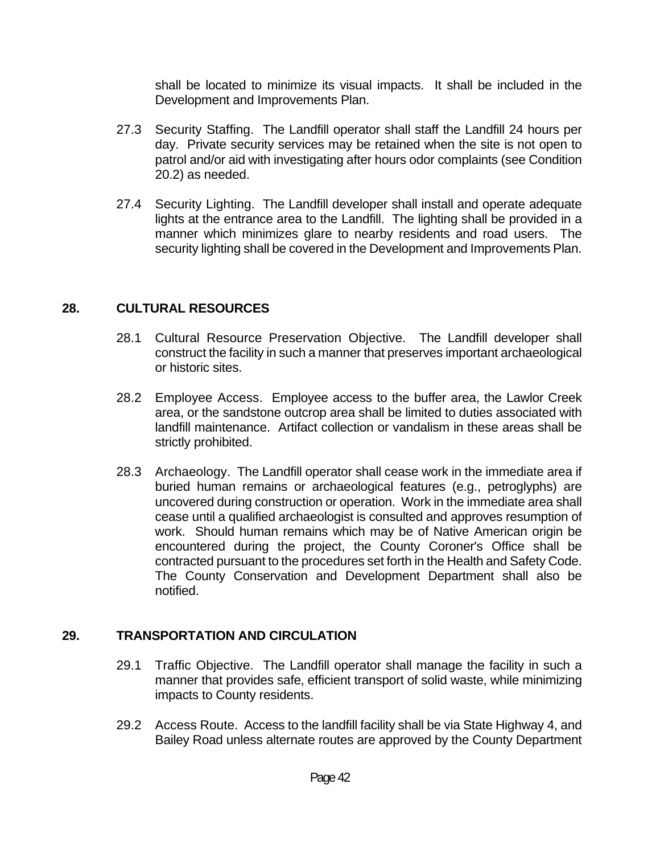shall be located to minimize its visual impacts. It shall be included in the Development and Improvements Plan.

- 27.3 Security Staffing. The Landfill operator shall staff the Landfill 24 hours per day. Private security services may be retained when the site is not open to patrol and/or aid with investigating after hours odor complaints (see Condition 20.2) as needed.
- 27.4 Security Lighting. The Landfill developer shall install and operate adequate lights at the entrance area to the Landfill. The lighting shall be provided in a manner which minimizes glare to nearby residents and road users. The security lighting shall be covered in the Development and Improvements Plan.

## **28. CULTURAL RESOURCES**

- 28.1 Cultural Resource Preservation Objective. The Landfill developer shall construct the facility in such a manner that preserves important archaeological or historic sites.
- 28.2 Employee Access. Employee access to the buffer area, the Lawlor Creek area, or the sandstone outcrop area shall be limited to duties associated with landfill maintenance. Artifact collection or vandalism in these areas shall be strictly prohibited.
- 28.3 Archaeology. The Landfill operator shall cease work in the immediate area if buried human remains or archaeological features (e.g., petroglyphs) are uncovered during construction or operation. Work in the immediate area shall cease until a qualified archaeologist is consulted and approves resumption of work. Should human remains which may be of Native American origin be encountered during the project, the County Coroner's Office shall be contracted pursuant to the procedures set forth in the Health and Safety Code. The County Conservation and Development Department shall also be notified.

#### **29. TRANSPORTATION AND CIRCULATION**

- 29.1 Traffic Objective. The Landfill operator shall manage the facility in such a manner that provides safe, efficient transport of solid waste, while minimizing impacts to County residents.
- 29.2 Access Route. Access to the landfill facility shall be via State Highway 4, and Bailey Road unless alternate routes are approved by the County Department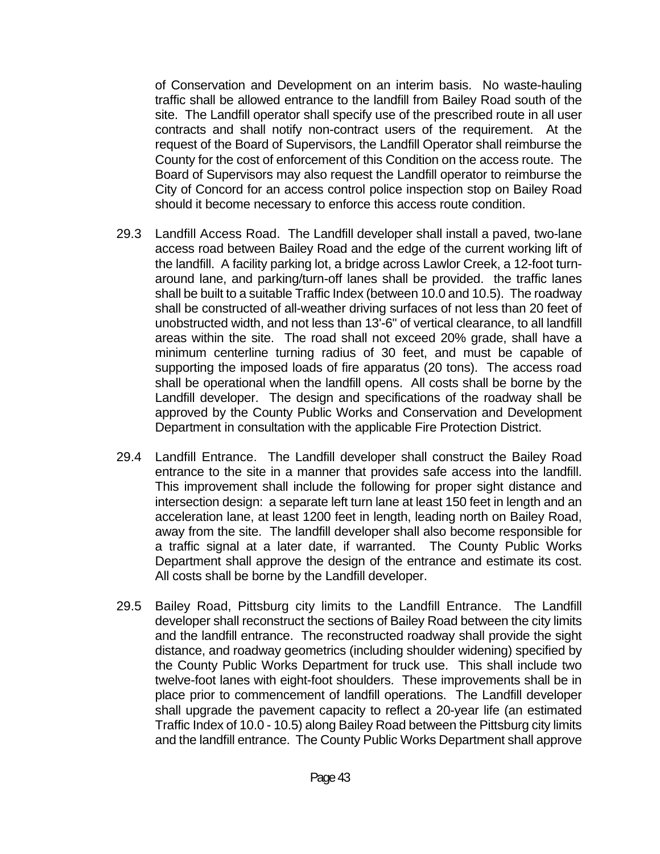of Conservation and Development on an interim basis. No waste-hauling traffic shall be allowed entrance to the landfill from Bailey Road south of the site. The Landfill operator shall specify use of the prescribed route in all user contracts and shall notify non-contract users of the requirement. At the request of the Board of Supervisors, the Landfill Operator shall reimburse the County for the cost of enforcement of this Condition on the access route. The Board of Supervisors may also request the Landfill operator to reimburse the City of Concord for an access control police inspection stop on Bailey Road should it become necessary to enforce this access route condition.

- 29.3 Landfill Access Road. The Landfill developer shall install a paved, two-lane access road between Bailey Road and the edge of the current working lift of the landfill. A facility parking lot, a bridge across Lawlor Creek, a 12-foot turnaround lane, and parking/turn-off lanes shall be provided. the traffic lanes shall be built to a suitable Traffic Index (between 10.0 and 10.5). The roadway shall be constructed of all-weather driving surfaces of not less than 20 feet of unobstructed width, and not less than 13'-6" of vertical clearance, to all landfill areas within the site. The road shall not exceed 20% grade, shall have a minimum centerline turning radius of 30 feet, and must be capable of supporting the imposed loads of fire apparatus (20 tons). The access road shall be operational when the landfill opens. All costs shall be borne by the Landfill developer. The design and specifications of the roadway shall be approved by the County Public Works and Conservation and Development Department in consultation with the applicable Fire Protection District.
- 29.4 Landfill Entrance. The Landfill developer shall construct the Bailey Road entrance to the site in a manner that provides safe access into the landfill. This improvement shall include the following for proper sight distance and intersection design: a separate left turn lane at least 150 feet in length and an acceleration lane, at least 1200 feet in length, leading north on Bailey Road, away from the site. The landfill developer shall also become responsible for a traffic signal at a later date, if warranted. The County Public Works Department shall approve the design of the entrance and estimate its cost. All costs shall be borne by the Landfill developer.
- 29.5 Bailey Road, Pittsburg city limits to the Landfill Entrance. The Landfill developer shall reconstruct the sections of Bailey Road between the city limits and the landfill entrance. The reconstructed roadway shall provide the sight distance, and roadway geometrics (including shoulder widening) specified by the County Public Works Department for truck use. This shall include two twelve-foot lanes with eight-foot shoulders. These improvements shall be in place prior to commencement of landfill operations. The Landfill developer shall upgrade the pavement capacity to reflect a 20-year life (an estimated Traffic Index of 10.0 - 10.5) along Bailey Road between the Pittsburg city limits and the landfill entrance. The County Public Works Department shall approve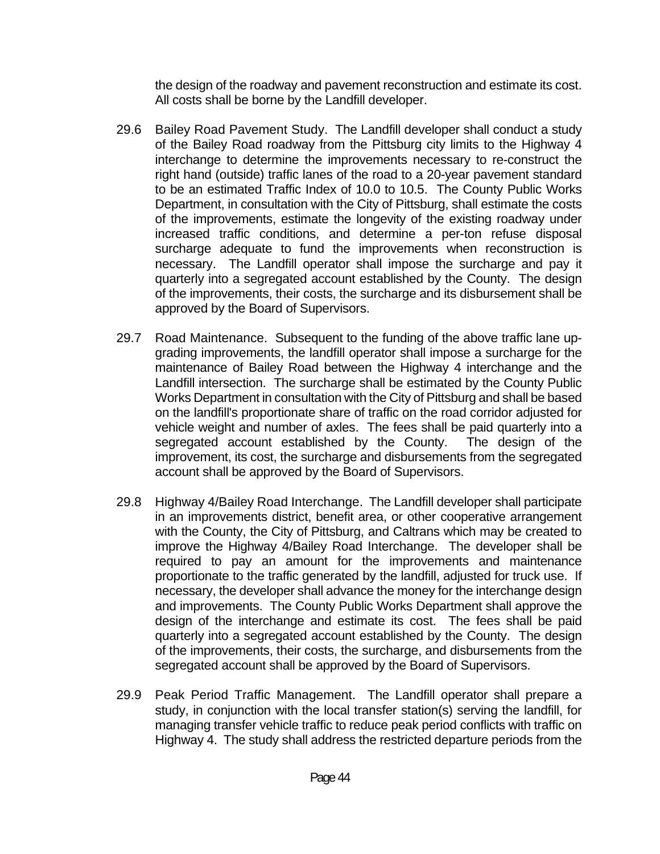the design of the roadway and pavement reconstruction and estimate its cost. All costs shall be borne by the Landfill developer.

- 29.6 Bailey Road Pavement Study. The Landfill developer shall conduct a study of the Bailey Road roadway from the Pittsburg city limits to the Highway 4 interchange to determine the improvements necessary to re-construct the right hand (outside) traffic lanes of the road to a 20-year pavement standard to be an estimated Traffic Index of 10.0 to 10.5. The County Public Works Department, in consultation with the City of Pittsburg, shall estimate the costs of the improvements, estimate the longevity of the existing roadway under increased traffic conditions, and determine a per-ton refuse disposal surcharge adequate to fund the improvements when reconstruction is necessary. The Landfill operator shall impose the surcharge and pay it quarterly into a segregated account established by the County. The design of the improvements, their costs, the surcharge and its disbursement shall be approved by the Board of Supervisors.
- 29.7 Road Maintenance. Subsequent to the funding of the above traffic lane upgrading improvements, the landfill operator shall impose a surcharge for the maintenance of Bailey Road between the Highway 4 interchange and the Landfill intersection. The surcharge shall be estimated by the County Public Works Department in consultation with the City of Pittsburg and shall be based on the landfill's proportionate share of traffic on the road corridor adjusted for vehicle weight and number of axles. The fees shall be paid quarterly into a segregated account established by the County. The design of the improvement, its cost, the surcharge and disbursements from the segregated account shall be approved by the Board of Supervisors.
- 29.8 Highway 4/Bailey Road Interchange. The Landfill developer shall participate in an improvements district, benefit area, or other cooperative arrangement with the County, the City of Pittsburg, and Caltrans which may be created to improve the Highway 4/Bailey Road Interchange. The developer shall be required to pay an amount for the improvements and maintenance proportionate to the traffic generated by the landfill, adjusted for truck use. If necessary, the developer shall advance the money for the interchange design and improvements. The County Public Works Department shall approve the design of the interchange and estimate its cost. The fees shall be paid quarterly into a segregated account established by the County. The design of the improvements, their costs, the surcharge, and disbursements from the segregated account shall be approved by the Board of Supervisors.
- 29.9 Peak Period Traffic Management. The Landfill operator shall prepare a study, in conjunction with the local transfer station(s) serving the landfill, for managing transfer vehicle traffic to reduce peak period conflicts with traffic on Highway 4. The study shall address the restricted departure periods from the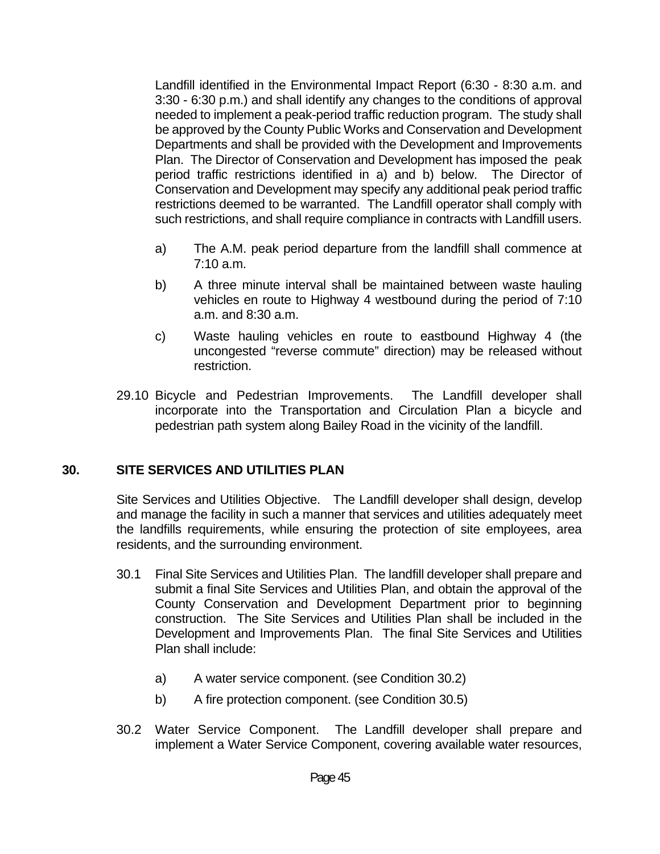Landfill identified in the Environmental Impact Report (6:30 - 8:30 a.m. and 3:30 - 6:30 p.m.) and shall identify any changes to the conditions of approval needed to implement a peak-period traffic reduction program. The study shall be approved by the County Public Works and Conservation and Development Departments and shall be provided with the Development and Improvements Plan. The Director of Conservation and Development has imposed the peak period traffic restrictions identified in a) and b) below. The Director of Conservation and Development may specify any additional peak period traffic restrictions deemed to be warranted. The Landfill operator shall comply with such restrictions, and shall require compliance in contracts with Landfill users.

- a) The A.M. peak period departure from the landfill shall commence at 7:10 a.m.
- b) A three minute interval shall be maintained between waste hauling vehicles en route to Highway 4 westbound during the period of 7:10 a.m. and 8:30 a.m.
- c) Waste hauling vehicles en route to eastbound Highway 4 (the uncongested "reverse commute" direction) may be released without restriction.
- 29.10 Bicycle and Pedestrian Improvements. The Landfill developer shall incorporate into the Transportation and Circulation Plan a bicycle and pedestrian path system along Bailey Road in the vicinity of the landfill.

#### **30. SITE SERVICES AND UTILITIES PLAN**

 Site Services and Utilities Objective. The Landfill developer shall design, develop and manage the facility in such a manner that services and utilities adequately meet the landfills requirements, while ensuring the protection of site employees, area residents, and the surrounding environment.

- 30.1 Final Site Services and Utilities Plan. The landfill developer shall prepare and submit a final Site Services and Utilities Plan, and obtain the approval of the County Conservation and Development Department prior to beginning construction. The Site Services and Utilities Plan shall be included in the Development and Improvements Plan. The final Site Services and Utilities Plan shall include:
	- a) A water service component. (see Condition 30.2)
	- b) A fire protection component. (see Condition 30.5)
- 30.2 Water Service Component. The Landfill developer shall prepare and implement a Water Service Component, covering available water resources,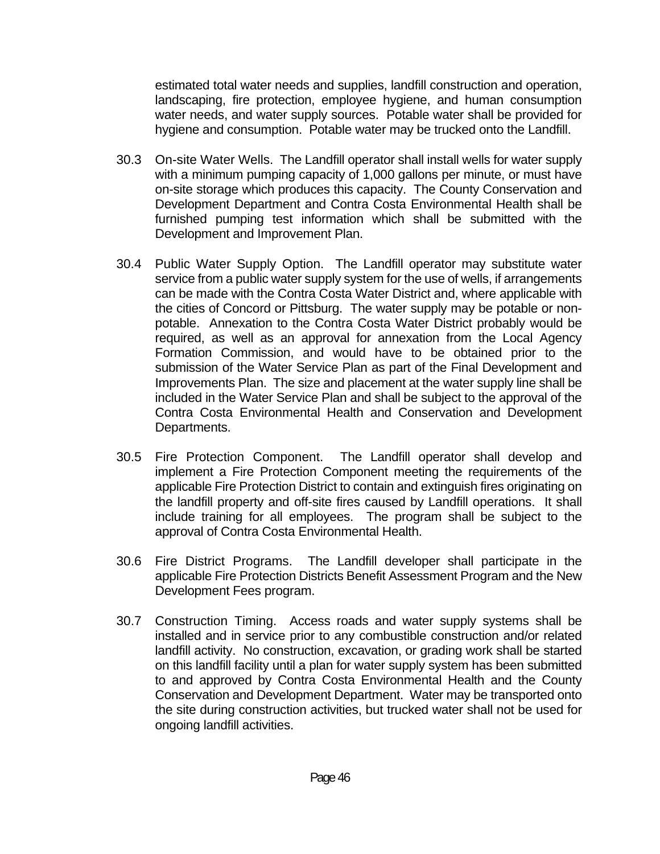estimated total water needs and supplies, landfill construction and operation, landscaping, fire protection, employee hygiene, and human consumption water needs, and water supply sources. Potable water shall be provided for hygiene and consumption. Potable water may be trucked onto the Landfill.

- 30.3 On-site Water Wells. The Landfill operator shall install wells for water supply with a minimum pumping capacity of 1,000 gallons per minute, or must have on-site storage which produces this capacity. The County Conservation and Development Department and Contra Costa Environmental Health shall be furnished pumping test information which shall be submitted with the Development and Improvement Plan.
- 30.4 Public Water Supply Option. The Landfill operator may substitute water service from a public water supply system for the use of wells, if arrangements can be made with the Contra Costa Water District and, where applicable with the cities of Concord or Pittsburg. The water supply may be potable or nonpotable. Annexation to the Contra Costa Water District probably would be required, as well as an approval for annexation from the Local Agency Formation Commission, and would have to be obtained prior to the submission of the Water Service Plan as part of the Final Development and Improvements Plan. The size and placement at the water supply line shall be included in the Water Service Plan and shall be subject to the approval of the Contra Costa Environmental Health and Conservation and Development Departments.
- 30.5 Fire Protection Component. The Landfill operator shall develop and implement a Fire Protection Component meeting the requirements of the applicable Fire Protection District to contain and extinguish fires originating on the landfill property and off-site fires caused by Landfill operations. It shall include training for all employees. The program shall be subject to the approval of Contra Costa Environmental Health.
- 30.6 Fire District Programs. The Landfill developer shall participate in the applicable Fire Protection Districts Benefit Assessment Program and the New Development Fees program.
- 30.7 Construction Timing. Access roads and water supply systems shall be installed and in service prior to any combustible construction and/or related landfill activity. No construction, excavation, or grading work shall be started on this landfill facility until a plan for water supply system has been submitted to and approved by Contra Costa Environmental Health and the County Conservation and Development Department. Water may be transported onto the site during construction activities, but trucked water shall not be used for ongoing landfill activities.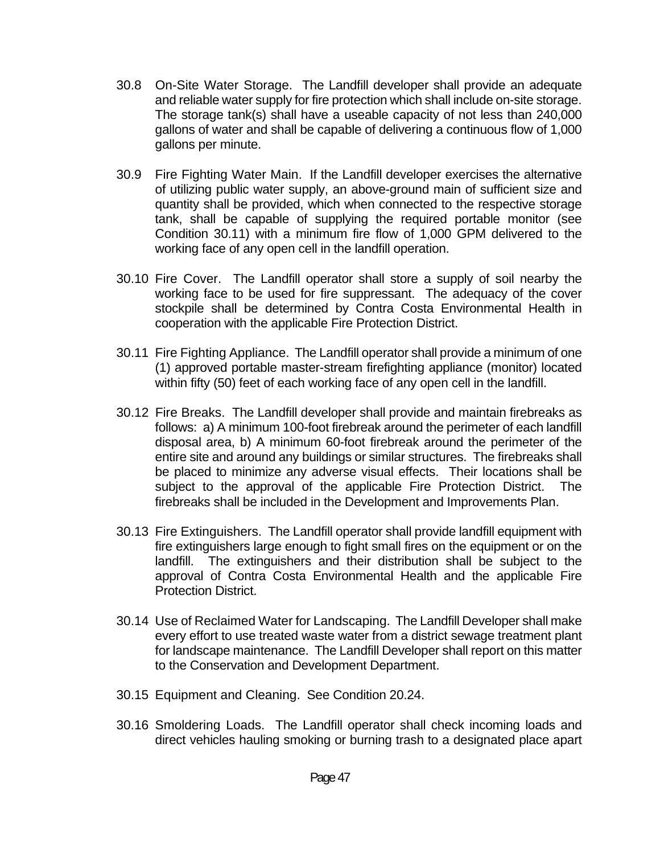- 30.8 On-Site Water Storage. The Landfill developer shall provide an adequate and reliable water supply for fire protection which shall include on-site storage. The storage tank(s) shall have a useable capacity of not less than 240,000 gallons of water and shall be capable of delivering a continuous flow of 1,000 gallons per minute.
- 30.9 Fire Fighting Water Main. If the Landfill developer exercises the alternative of utilizing public water supply, an above-ground main of sufficient size and quantity shall be provided, which when connected to the respective storage tank, shall be capable of supplying the required portable monitor (see Condition 30.11) with a minimum fire flow of 1,000 GPM delivered to the working face of any open cell in the landfill operation.
- 30.10 Fire Cover. The Landfill operator shall store a supply of soil nearby the working face to be used for fire suppressant. The adequacy of the cover stockpile shall be determined by Contra Costa Environmental Health in cooperation with the applicable Fire Protection District.
- 30.11 Fire Fighting Appliance. The Landfill operator shall provide a minimum of one (1) approved portable master-stream firefighting appliance (monitor) located within fifty (50) feet of each working face of any open cell in the landfill.
- 30.12 Fire Breaks. The Landfill developer shall provide and maintain firebreaks as follows: a) A minimum 100-foot firebreak around the perimeter of each landfill disposal area, b) A minimum 60-foot firebreak around the perimeter of the entire site and around any buildings or similar structures. The firebreaks shall be placed to minimize any adverse visual effects. Their locations shall be subject to the approval of the applicable Fire Protection District. The firebreaks shall be included in the Development and Improvements Plan.
- 30.13 Fire Extinguishers. The Landfill operator shall provide landfill equipment with fire extinguishers large enough to fight small fires on the equipment or on the landfill. The extinguishers and their distribution shall be subject to the approval of Contra Costa Environmental Health and the applicable Fire Protection District.
- 30.14 Use of Reclaimed Water for Landscaping. The Landfill Developer shall make every effort to use treated waste water from a district sewage treatment plant for landscape maintenance. The Landfill Developer shall report on this matter to the Conservation and Development Department.
- 30.15 Equipment and Cleaning. See Condition 20.24.
- 30.16 Smoldering Loads. The Landfill operator shall check incoming loads and direct vehicles hauling smoking or burning trash to a designated place apart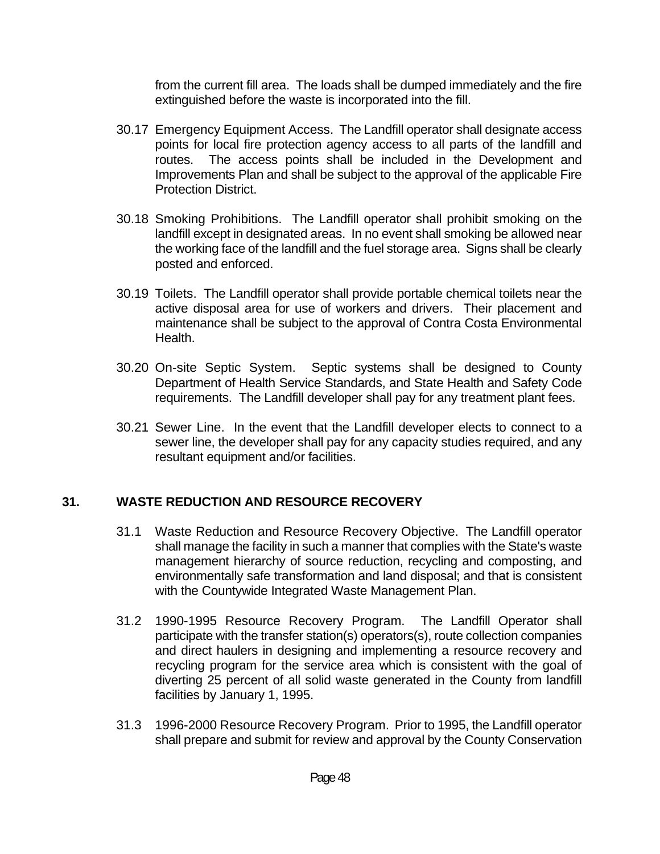from the current fill area. The loads shall be dumped immediately and the fire extinguished before the waste is incorporated into the fill.

- 30.17 Emergency Equipment Access. The Landfill operator shall designate access points for local fire protection agency access to all parts of the landfill and routes. The access points shall be included in the Development and Improvements Plan and shall be subject to the approval of the applicable Fire Protection District.
- 30.18 Smoking Prohibitions. The Landfill operator shall prohibit smoking on the landfill except in designated areas. In no event shall smoking be allowed near the working face of the landfill and the fuel storage area. Signs shall be clearly posted and enforced.
- 30.19 Toilets. The Landfill operator shall provide portable chemical toilets near the active disposal area for use of workers and drivers. Their placement and maintenance shall be subject to the approval of Contra Costa Environmental Health.
- 30.20 On-site Septic System. Septic systems shall be designed to County Department of Health Service Standards, and State Health and Safety Code requirements. The Landfill developer shall pay for any treatment plant fees.
- 30.21 Sewer Line. In the event that the Landfill developer elects to connect to a sewer line, the developer shall pay for any capacity studies required, and any resultant equipment and/or facilities.

## **31. WASTE REDUCTION AND RESOURCE RECOVERY**

- 31.1 Waste Reduction and Resource Recovery Objective. The Landfill operator shall manage the facility in such a manner that complies with the State's waste management hierarchy of source reduction, recycling and composting, and environmentally safe transformation and land disposal; and that is consistent with the Countywide Integrated Waste Management Plan.
- 31.2 1990-1995 Resource Recovery Program. The Landfill Operator shall participate with the transfer station(s) operators(s), route collection companies and direct haulers in designing and implementing a resource recovery and recycling program for the service area which is consistent with the goal of diverting 25 percent of all solid waste generated in the County from landfill facilities by January 1, 1995.
- 31.3 1996-2000 Resource Recovery Program. Prior to 1995, the Landfill operator shall prepare and submit for review and approval by the County Conservation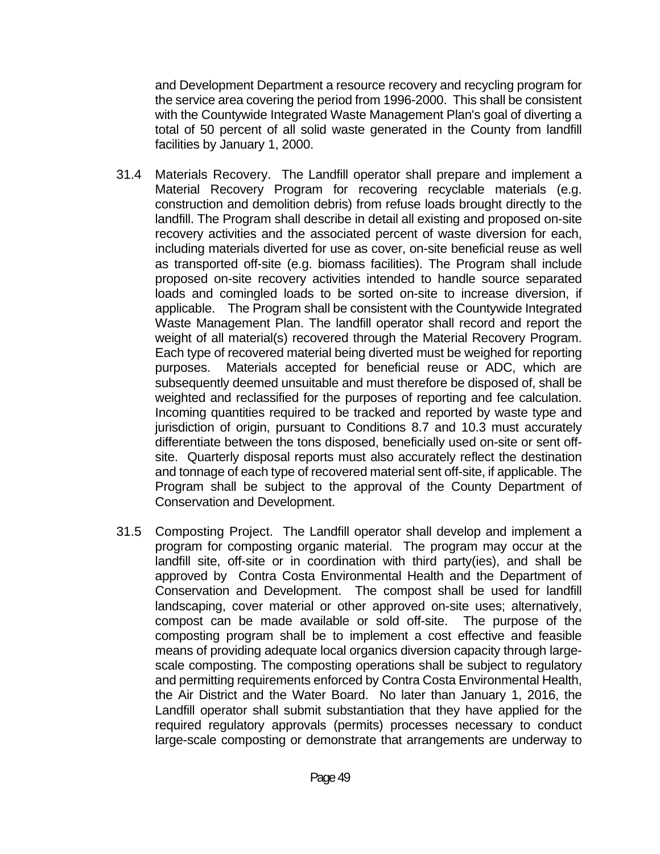and Development Department a resource recovery and recycling program for the service area covering the period from 1996-2000. This shall be consistent with the Countywide Integrated Waste Management Plan's goal of diverting a total of 50 percent of all solid waste generated in the County from landfill facilities by January 1, 2000.

- 31.4 Materials Recovery. The Landfill operator shall prepare and implement a Material Recovery Program for recovering recyclable materials (e.g. construction and demolition debris) from refuse loads brought directly to the landfill. The Program shall describe in detail all existing and proposed on-site recovery activities and the associated percent of waste diversion for each, including materials diverted for use as cover, on-site beneficial reuse as well as transported off-site (e.g. biomass facilities). The Program shall include proposed on-site recovery activities intended to handle source separated loads and comingled loads to be sorted on-site to increase diversion, if applicable. The Program shall be consistent with the Countywide Integrated Waste Management Plan. The landfill operator shall record and report the weight of all material(s) recovered through the Material Recovery Program. Each type of recovered material being diverted must be weighed for reporting purposes. Materials accepted for beneficial reuse or ADC, which are subsequently deemed unsuitable and must therefore be disposed of, shall be weighted and reclassified for the purposes of reporting and fee calculation. Incoming quantities required to be tracked and reported by waste type and jurisdiction of origin, pursuant to Conditions 8.7 and 10.3 must accurately differentiate between the tons disposed, beneficially used on-site or sent offsite. Quarterly disposal reports must also accurately reflect the destination and tonnage of each type of recovered material sent off-site, if applicable. The Program shall be subject to the approval of the County Department of Conservation and Development.
- 31.5 Composting Project. The Landfill operator shall develop and implement a program for composting organic material. The program may occur at the landfill site, off-site or in coordination with third party(ies), and shall be approved by Contra Costa Environmental Health and the Department of Conservation and Development. The compost shall be used for landfill landscaping, cover material or other approved on-site uses; alternatively, compost can be made available or sold off-site. The purpose of the composting program shall be to implement a cost effective and feasible means of providing adequate local organics diversion capacity through largescale composting. The composting operations shall be subject to regulatory and permitting requirements enforced by Contra Costa Environmental Health, the Air District and the Water Board. No later than January 1, 2016, the Landfill operator shall submit substantiation that they have applied for the required regulatory approvals (permits) processes necessary to conduct large-scale composting or demonstrate that arrangements are underway to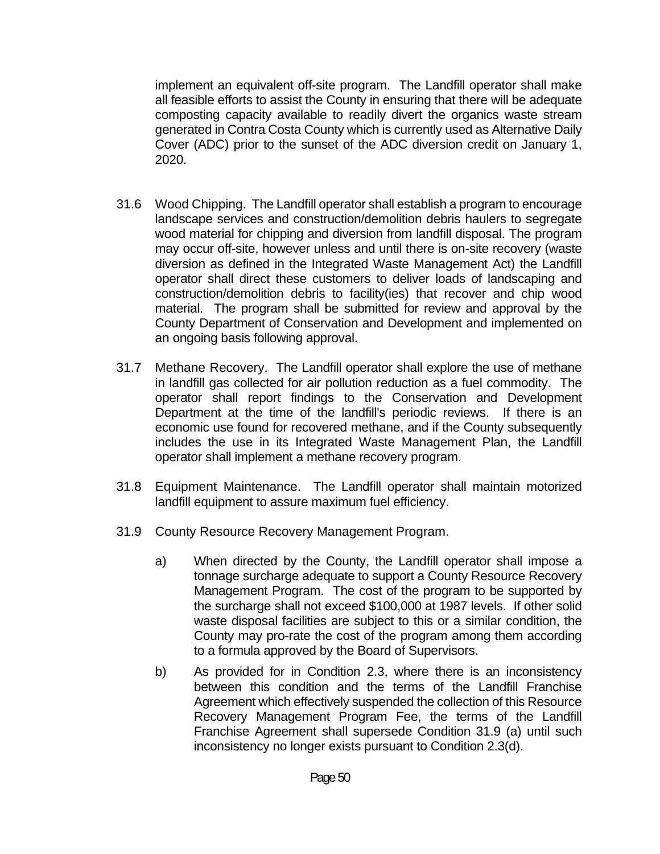implement an equivalent off-site program. The Landfill operator shall make all feasible efforts to assist the County in ensuring that there will be adequate composting capacity available to readily divert the organics waste stream generated in Contra Costa County which is currently used as Alternative Daily Cover (ADC) prior to the sunset of the ADC diversion credit on January 1, 2020.

- 31.6 Wood Chipping. The Landfill operator shall establish a program to encourage landscape services and construction/demolition debris haulers to segregate wood material for chipping and diversion from landfill disposal. The program may occur off-site, however unless and until there is on-site recovery (waste diversion as defined in the Integrated Waste Management Act) the Landfill operator shall direct these customers to deliver loads of landscaping and construction/demolition debris to facility(ies) that recover and chip wood material. The program shall be submitted for review and approval by the County Department of Conservation and Development and implemented on an ongoing basis following approval.
- 31.7 Methane Recovery. The Landfill operator shall explore the use of methane in landfill gas collected for air pollution reduction as a fuel commodity. The operator shall report findings to the Conservation and Development Department at the time of the landfill's periodic reviews. If there is an economic use found for recovered methane, and if the County subsequently includes the use in its Integrated Waste Management Plan, the Landfill operator shall implement a methane recovery program.
- 31.8 Equipment Maintenance. The Landfill operator shall maintain motorized landfill equipment to assure maximum fuel efficiency.
- 31.9 County Resource Recovery Management Program.
	- a) When directed by the County, the Landfill operator shall impose a tonnage surcharge adequate to support a County Resource Recovery Management Program. The cost of the program to be supported by the surcharge shall not exceed \$100,000 at 1987 levels. If other solid waste disposal facilities are subject to this or a similar condition, the County may pro-rate the cost of the program among them according to a formula approved by the Board of Supervisors.
	- b) As provided for in Condition 2.3, where there is an inconsistency between this condition and the terms of the Landfill Franchise Agreement which effectively suspended the collection of this Resource Recovery Management Program Fee, the terms of the Landfill Franchise Agreement shall supersede Condition 31.9 (a) until such inconsistency no longer exists pursuant to Condition 2.3(d).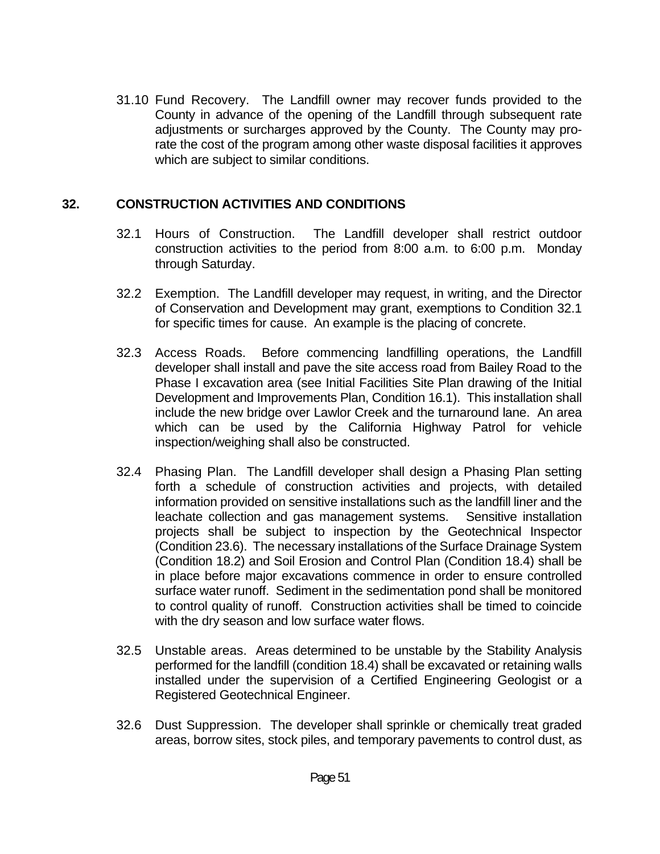31.10 Fund Recovery. The Landfill owner may recover funds provided to the County in advance of the opening of the Landfill through subsequent rate adjustments or surcharges approved by the County. The County may prorate the cost of the program among other waste disposal facilities it approves which are subject to similar conditions.

## **32. CONSTRUCTION ACTIVITIES AND CONDITIONS**

- 32.1 Hours of Construction. The Landfill developer shall restrict outdoor construction activities to the period from 8:00 a.m. to 6:00 p.m. Monday through Saturday.
- 32.2 Exemption. The Landfill developer may request, in writing, and the Director of Conservation and Development may grant, exemptions to Condition 32.1 for specific times for cause. An example is the placing of concrete.
- 32.3 Access Roads. Before commencing landfilling operations, the Landfill developer shall install and pave the site access road from Bailey Road to the Phase I excavation area (see Initial Facilities Site Plan drawing of the Initial Development and Improvements Plan, Condition 16.1). This installation shall include the new bridge over Lawlor Creek and the turnaround lane. An area which can be used by the California Highway Patrol for vehicle inspection/weighing shall also be constructed.
- 32.4 Phasing Plan. The Landfill developer shall design a Phasing Plan setting forth a schedule of construction activities and projects, with detailed information provided on sensitive installations such as the landfill liner and the leachate collection and gas management systems. Sensitive installation projects shall be subject to inspection by the Geotechnical Inspector (Condition 23.6). The necessary installations of the Surface Drainage System (Condition 18.2) and Soil Erosion and Control Plan (Condition 18.4) shall be in place before major excavations commence in order to ensure controlled surface water runoff. Sediment in the sedimentation pond shall be monitored to control quality of runoff. Construction activities shall be timed to coincide with the dry season and low surface water flows.
- 32.5 Unstable areas. Areas determined to be unstable by the Stability Analysis performed for the landfill (condition 18.4) shall be excavated or retaining walls installed under the supervision of a Certified Engineering Geologist or a Registered Geotechnical Engineer.
- 32.6 Dust Suppression. The developer shall sprinkle or chemically treat graded areas, borrow sites, stock piles, and temporary pavements to control dust, as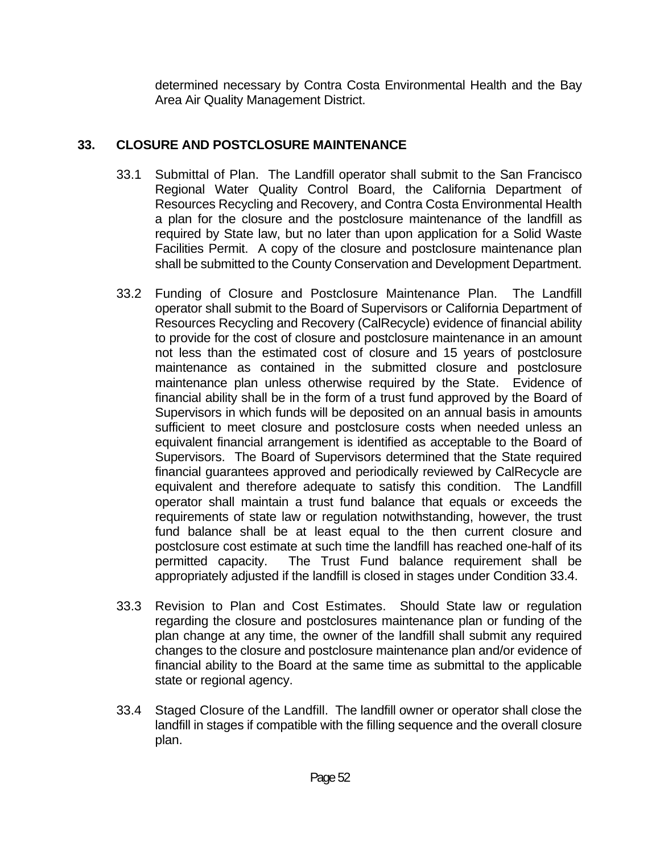determined necessary by Contra Costa Environmental Health and the Bay Area Air Quality Management District.

## **33. CLOSURE AND POSTCLOSURE MAINTENANCE**

- 33.1 Submittal of Plan. The Landfill operator shall submit to the San Francisco Regional Water Quality Control Board, the California Department of Resources Recycling and Recovery, and Contra Costa Environmental Health a plan for the closure and the postclosure maintenance of the landfill as required by State law, but no later than upon application for a Solid Waste Facilities Permit. A copy of the closure and postclosure maintenance plan shall be submitted to the County Conservation and Development Department.
- 33.2 Funding of Closure and Postclosure Maintenance Plan. The Landfill operator shall submit to the Board of Supervisors or California Department of Resources Recycling and Recovery (CalRecycle) evidence of financial ability to provide for the cost of closure and postclosure maintenance in an amount not less than the estimated cost of closure and 15 years of postclosure maintenance as contained in the submitted closure and postclosure maintenance plan unless otherwise required by the State. Evidence of financial ability shall be in the form of a trust fund approved by the Board of Supervisors in which funds will be deposited on an annual basis in amounts sufficient to meet closure and postclosure costs when needed unless an equivalent financial arrangement is identified as acceptable to the Board of Supervisors. The Board of Supervisors determined that the State required financial guarantees approved and periodically reviewed by CalRecycle are equivalent and therefore adequate to satisfy this condition. The Landfill operator shall maintain a trust fund balance that equals or exceeds the requirements of state law or regulation notwithstanding, however, the trust fund balance shall be at least equal to the then current closure and postclosure cost estimate at such time the landfill has reached one-half of its permitted capacity. The Trust Fund balance requirement shall be appropriately adjusted if the landfill is closed in stages under Condition 33.4.
- 33.3 Revision to Plan and Cost Estimates. Should State law or regulation regarding the closure and postclosures maintenance plan or funding of the plan change at any time, the owner of the landfill shall submit any required changes to the closure and postclosure maintenance plan and/or evidence of financial ability to the Board at the same time as submittal to the applicable state or regional agency.
- 33.4 Staged Closure of the Landfill. The landfill owner or operator shall close the landfill in stages if compatible with the filling sequence and the overall closure plan.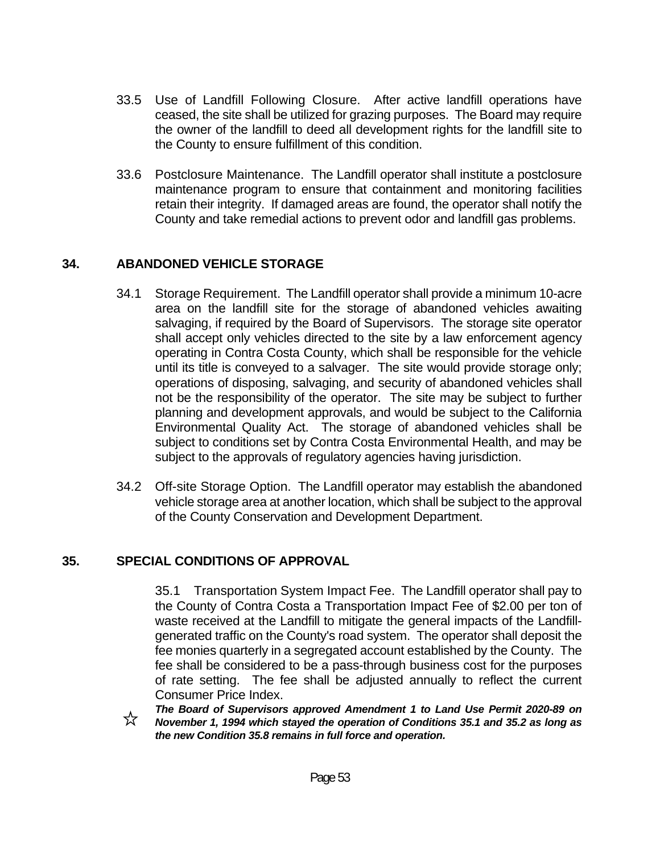- 33.5 Use of Landfill Following Closure. After active landfill operations have ceased, the site shall be utilized for grazing purposes. The Board may require the owner of the landfill to deed all development rights for the landfill site to the County to ensure fulfillment of this condition.
- 33.6 Postclosure Maintenance. The Landfill operator shall institute a postclosure maintenance program to ensure that containment and monitoring facilities retain their integrity. If damaged areas are found, the operator shall notify the County and take remedial actions to prevent odor and landfill gas problems.

## **34. ABANDONED VEHICLE STORAGE**

- 34.1 Storage Requirement. The Landfill operator shall provide a minimum 10-acre area on the landfill site for the storage of abandoned vehicles awaiting salvaging, if required by the Board of Supervisors. The storage site operator shall accept only vehicles directed to the site by a law enforcement agency operating in Contra Costa County, which shall be responsible for the vehicle until its title is conveyed to a salvager. The site would provide storage only; operations of disposing, salvaging, and security of abandoned vehicles shall not be the responsibility of the operator. The site may be subject to further planning and development approvals, and would be subject to the California Environmental Quality Act. The storage of abandoned vehicles shall be subject to conditions set by Contra Costa Environmental Health, and may be subject to the approvals of regulatory agencies having jurisdiction.
- 34.2 Off-site Storage Option. The Landfill operator may establish the abandoned vehicle storage area at another location, which shall be subject to the approval of the County Conservation and Development Department.

#### **35. SPECIAL CONDITIONS OF APPROVAL**

35.1 Transportation System Impact Fee. The Landfill operator shall pay to the County of Contra Costa a Transportation Impact Fee of \$2.00 per ton of waste received at the Landfill to mitigate the general impacts of the Landfillgenerated traffic on the County's road system. The operator shall deposit the fee monies quarterly in a segregated account established by the County. The fee shall be considered to be a pass-through business cost for the purposes of rate setting. The fee shall be adjusted annually to reflect the current Consumer Price Index.

*The Board of Supervisors approved Amendment 1 to Land Use Permit 2020-89 on*  ☆ *November 1, 1994 which stayed the operation of Conditions 35.1 and 35.2 as long as the new Condition 35.8 remains in full force and operation.*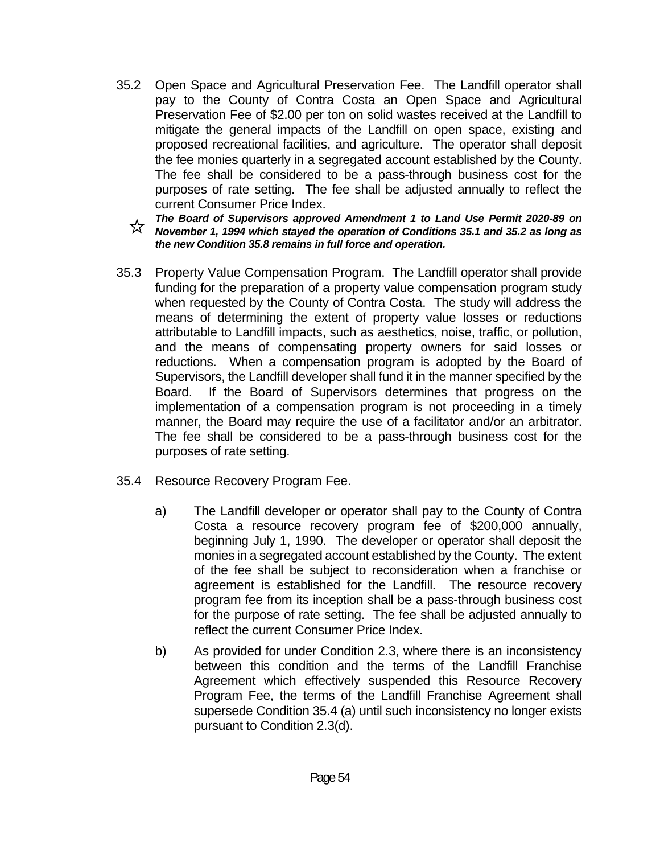- 35.2 Open Space and Agricultural Preservation Fee. The Landfill operator shall pay to the County of Contra Costa an Open Space and Agricultural Preservation Fee of \$2.00 per ton on solid wastes received at the Landfill to mitigate the general impacts of the Landfill on open space, existing and proposed recreational facilities, and agriculture. The operator shall deposit the fee monies quarterly in a segregated account established by the County. The fee shall be considered to be a pass-through business cost for the purposes of rate setting. The fee shall be adjusted annually to reflect the current Consumer Price Index.
	- *The Board of Supervisors approved Amendment 1 to Land Use Permit 2020-89 on November 1, 1994 which stayed the operation of Conditions 35.1 and 35.2 as long as the new Condition 35.8 remains in full force and operation.*
- 35.3 Property Value Compensation Program. The Landfill operator shall provide funding for the preparation of a property value compensation program study when requested by the County of Contra Costa. The study will address the means of determining the extent of property value losses or reductions attributable to Landfill impacts, such as aesthetics, noise, traffic, or pollution, and the means of compensating property owners for said losses or reductions. When a compensation program is adopted by the Board of Supervisors, the Landfill developer shall fund it in the manner specified by the Board. If the Board of Supervisors determines that progress on the implementation of a compensation program is not proceeding in a timely manner, the Board may require the use of a facilitator and/or an arbitrator. The fee shall be considered to be a pass-through business cost for the purposes of rate setting.
- 35.4 Resource Recovery Program Fee.
	- a) The Landfill developer or operator shall pay to the County of Contra Costa a resource recovery program fee of \$200,000 annually, beginning July 1, 1990. The developer or operator shall deposit the monies in a segregated account established by the County. The extent of the fee shall be subject to reconsideration when a franchise or agreement is established for the Landfill. The resource recovery program fee from its inception shall be a pass-through business cost for the purpose of rate setting. The fee shall be adjusted annually to reflect the current Consumer Price Index.
	- b) As provided for under Condition 2.3, where there is an inconsistency between this condition and the terms of the Landfill Franchise Agreement which effectively suspended this Resource Recovery Program Fee, the terms of the Landfill Franchise Agreement shall supersede Condition 35.4 (a) until such inconsistency no longer exists pursuant to Condition 2.3(d).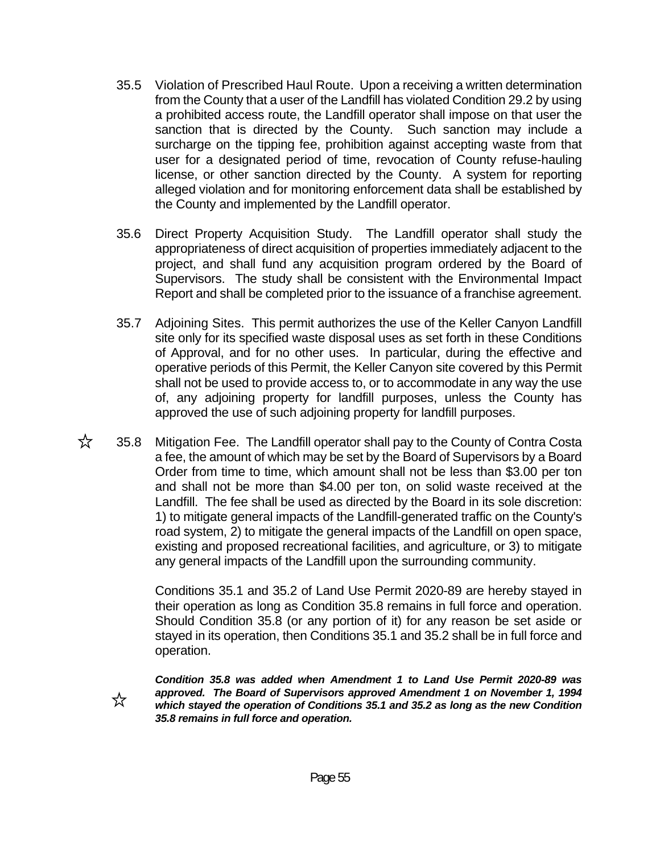- 35.5 Violation of Prescribed Haul Route. Upon a receiving a written determination from the County that a user of the Landfill has violated Condition 29.2 by using a prohibited access route, the Landfill operator shall impose on that user the sanction that is directed by the County. Such sanction may include a surcharge on the tipping fee, prohibition against accepting waste from that user for a designated period of time, revocation of County refuse-hauling license, or other sanction directed by the County. A system for reporting alleged violation and for monitoring enforcement data shall be established by the County and implemented by the Landfill operator.
- 35.6 Direct Property Acquisition Study. The Landfill operator shall study the appropriateness of direct acquisition of properties immediately adjacent to the project, and shall fund any acquisition program ordered by the Board of Supervisors. The study shall be consistent with the Environmental Impact Report and shall be completed prior to the issuance of a franchise agreement.
- 35.7 Adjoining Sites. This permit authorizes the use of the Keller Canyon Landfill site only for its specified waste disposal uses as set forth in these Conditions of Approval, and for no other uses. In particular, during the effective and operative periods of this Permit, the Keller Canyon site covered by this Permit shall not be used to provide access to, or to accommodate in any way the use of, any adjoining property for landfill purposes, unless the County has approved the use of such adjoining property for landfill purposes.
- $\overrightarrow{\chi}$  35.8 Mitigation Fee. The Landfill operator shall pay to the County of Contra Costa a fee, the amount of which may be set by the Board of Supervisors by a Board Order from time to time, which amount shall not be less than \$3.00 per ton and shall not be more than \$4.00 per ton, on solid waste received at the Landfill. The fee shall be used as directed by the Board in its sole discretion: 1) to mitigate general impacts of the Landfill-generated traffic on the County's road system, 2) to mitigate the general impacts of the Landfill on open space, existing and proposed recreational facilities, and agriculture, or 3) to mitigate any general impacts of the Landfill upon the surrounding community.

 Conditions 35.1 and 35.2 of Land Use Permit 2020-89 are hereby stayed in their operation as long as Condition 35.8 remains in full force and operation. Should Condition 35.8 (or any portion of it) for any reason be set aside or stayed in its operation, then Conditions 35.1 and 35.2 shall be in full force and operation.

 *Condition 35.8 was added when Amendment 1 to Land Use Permit 2020-89 was approved. The Board of Supervisors approved Amendment 1 on November 1, 1994 which stayed the operation of Conditions 35.1 and 35.2 as long as the new Condition 35.8 remains in full force and operation.* 

☆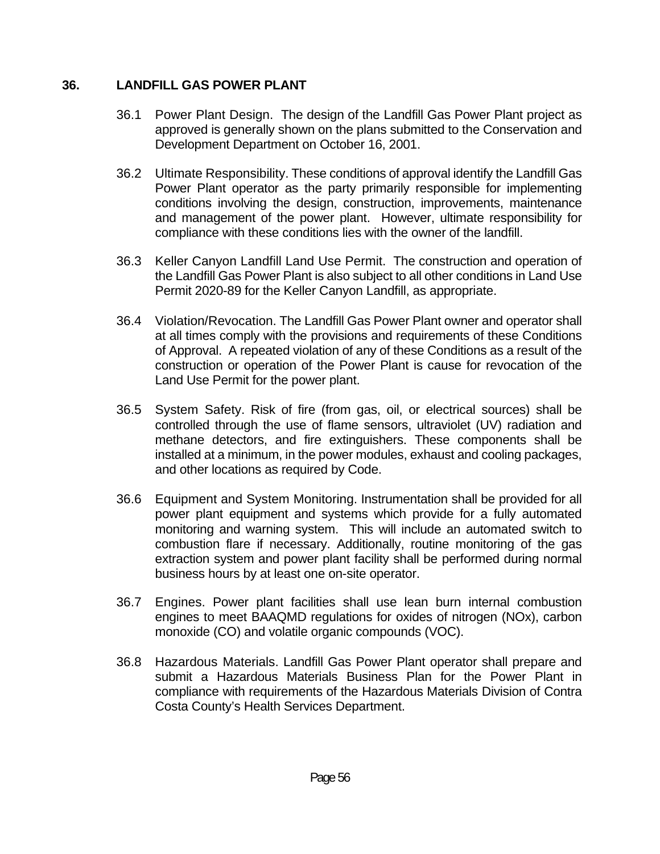## **36. LANDFILL GAS POWER PLANT**

- 36.1 Power Plant Design. The design of the Landfill Gas Power Plant project as approved is generally shown on the plans submitted to the Conservation and Development Department on October 16, 2001.
- 36.2 Ultimate Responsibility. These conditions of approval identify the Landfill Gas Power Plant operator as the party primarily responsible for implementing conditions involving the design, construction, improvements, maintenance and management of the power plant. However, ultimate responsibility for compliance with these conditions lies with the owner of the landfill.
- 36.3 Keller Canyon Landfill Land Use Permit. The construction and operation of the Landfill Gas Power Plant is also subject to all other conditions in Land Use Permit 2020-89 for the Keller Canyon Landfill, as appropriate.
- 36.4 Violation/Revocation. The Landfill Gas Power Plant owner and operator shall at all times comply with the provisions and requirements of these Conditions of Approval. A repeated violation of any of these Conditions as a result of the construction or operation of the Power Plant is cause for revocation of the Land Use Permit for the power plant.
- 36.5 System Safety. Risk of fire (from gas, oil, or electrical sources) shall be controlled through the use of flame sensors, ultraviolet (UV) radiation and methane detectors, and fire extinguishers. These components shall be installed at a minimum, in the power modules, exhaust and cooling packages, and other locations as required by Code.
- 36.6 Equipment and System Monitoring. Instrumentation shall be provided for all power plant equipment and systems which provide for a fully automated monitoring and warning system. This will include an automated switch to combustion flare if necessary. Additionally, routine monitoring of the gas extraction system and power plant facility shall be performed during normal business hours by at least one on-site operator.
- 36.7 Engines. Power plant facilities shall use lean burn internal combustion engines to meet BAAQMD regulations for oxides of nitrogen (NOx), carbon monoxide (CO) and volatile organic compounds (VOC).
- 36.8 Hazardous Materials. Landfill Gas Power Plant operator shall prepare and submit a Hazardous Materials Business Plan for the Power Plant in compliance with requirements of the Hazardous Materials Division of Contra Costa County's Health Services Department.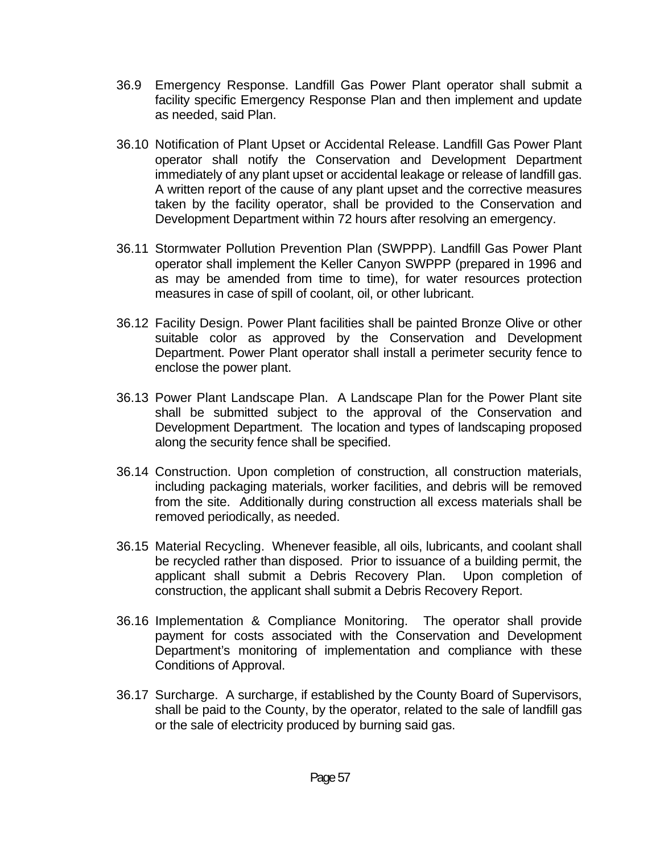- 36.9 Emergency Response. Landfill Gas Power Plant operator shall submit a facility specific Emergency Response Plan and then implement and update as needed, said Plan.
- 36.10 Notification of Plant Upset or Accidental Release. Landfill Gas Power Plant operator shall notify the Conservation and Development Department immediately of any plant upset or accidental leakage or release of landfill gas. A written report of the cause of any plant upset and the corrective measures taken by the facility operator, shall be provided to the Conservation and Development Department within 72 hours after resolving an emergency.
- 36.11 Stormwater Pollution Prevention Plan (SWPPP). Landfill Gas Power Plant operator shall implement the Keller Canyon SWPPP (prepared in 1996 and as may be amended from time to time), for water resources protection measures in case of spill of coolant, oil, or other lubricant.
- 36.12 Facility Design. Power Plant facilities shall be painted Bronze Olive or other suitable color as approved by the Conservation and Development Department. Power Plant operator shall install a perimeter security fence to enclose the power plant.
- 36.13 Power Plant Landscape Plan. A Landscape Plan for the Power Plant site shall be submitted subject to the approval of the Conservation and Development Department. The location and types of landscaping proposed along the security fence shall be specified.
- 36.14 Construction. Upon completion of construction, all construction materials, including packaging materials, worker facilities, and debris will be removed from the site. Additionally during construction all excess materials shall be removed periodically, as needed.
- 36.15 Material Recycling. Whenever feasible, all oils, lubricants, and coolant shall be recycled rather than disposed. Prior to issuance of a building permit, the applicant shall submit a Debris Recovery Plan. Upon completion of construction, the applicant shall submit a Debris Recovery Report.
- 36.16 Implementation & Compliance Monitoring. The operator shall provide payment for costs associated with the Conservation and Development Department's monitoring of implementation and compliance with these Conditions of Approval.
- 36.17 Surcharge. A surcharge, if established by the County Board of Supervisors, shall be paid to the County, by the operator, related to the sale of landfill gas or the sale of electricity produced by burning said gas.